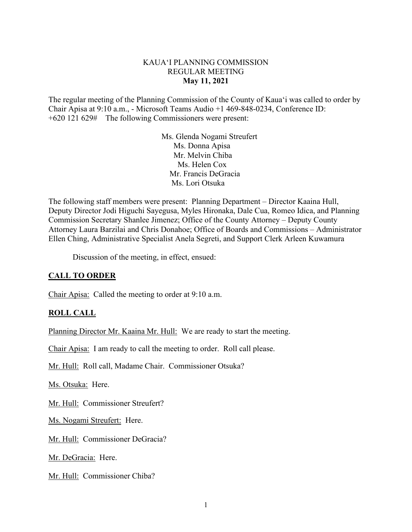### KAUA'I PLANNING COMMISSION REGULAR MEETING **May 11, 2021**

The regular meeting of the Planning Commission of the County of Kaua'i was called to order by Chair Apisa at 9:10 a.m., - Microsoft Teams Audio +1 469-848-0234, Conference ID: +620 121 629# The following Commissioners were present:

> Ms. Glenda Nogami Streufert Ms. Donna Apisa Mr. Melvin Chiba Ms. Helen Cox Mr. Francis DeGracia Ms. Lori Otsuka

The following staff members were present: Planning Department – Director Kaaina Hull, Deputy Director Jodi Higuchi Sayegusa, Myles Hironaka, Dale Cua, Romeo Idica, and Planning Commission Secretary Shanlee Jimenez; Office of the County Attorney – Deputy County Attorney Laura Barzilai and Chris Donahoe; Office of Boards and Commissions – Administrator Ellen Ching, Administrative Specialist Anela Segreti, and Support Clerk Arleen Kuwamura

Discussion of the meeting, in effect, ensued:

## **CALL TO ORDER**

Chair Apisa: Called the meeting to order at 9:10 a.m.

#### **ROLL CALL**

Planning Director Mr. Kaaina Mr. Hull: We are ready to start the meeting.

Chair Apisa: I am ready to call the meeting to order. Roll call please.

Mr. Hull: Roll call, Madame Chair. Commissioner Otsuka?

Ms. Otsuka: Here.

Mr. Hull: Commissioner Streufert?

Ms. Nogami Streufert: Here.

Mr. Hull: Commissioner DeGracia?

Mr. DeGracia: Here.

Mr. Hull: Commissioner Chiba?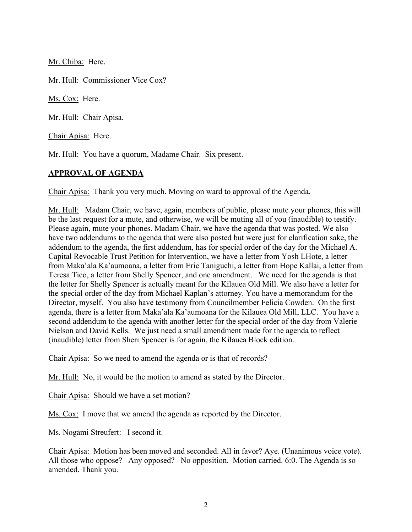Mr. Chiba: Here.

Mr. Hull: Commissioner Vice Cox?

Ms. Cox: Here.

Mr. Hull: Chair Apisa.

Chair Apisa: Here.

Mr. Hull: You have a quorum, Madame Chair. Six present.

### **APPROVAL OF AGENDA**

Chair Apisa: Thank you very much. Moving on ward to approval of the Agenda.

Mr. Hull: Madam Chair, we have, again, members of public, please mute your phones, this will be the last request for a mute, and otherwise, we will be muting all of you (inaudible) to testify. Please again, mute your phones. Madam Chair, we have the agenda that was posted. We also have two addendums to the agenda that were also posted but were just for clarification sake, the addendum to the agenda, the first addendum, has for special order of the day for the Michael A. Capital Revocable Trust Petition for Intervention, we have a letter from Yosh LHote, a letter from Maka'ala Ka'aumoana, a letter from Eric Taniguchi, a letter from Hope Kallai, a letter from Teresa Tico, a letter from Shelly Spencer, and one amendment. We need for the agenda is that the letter for Shelly Spencer is actually meant for the Kilauea Old Mill. We also have a letter for the special order of the day from Michael Kaplan's attorney. You have a memorandum for the Director, myself. You also have testimony from Councilmember Felicia Cowden. On the first agenda, there is a letter from Maka'ala Ka'aumoana for the Kilauea Old Mill, LLC. You have a second addendum to the agenda with another letter for the special order of the day from Valerie Nielson and David Kells. We just need a small amendment made for the agenda to reflect (inaudible) letter from Sheri Spencer is for again, the Kilauea Block edition.

Chair Apisa: So we need to amend the agenda or is that of records?

Mr. Hull: No, it would be the motion to amend as stated by the Director.

Chair Apisa: Should we have a set motion?

Ms. Cox: I move that we amend the agenda as reported by the Director.

Ms. Nogami Streufert: I second it.

Chair Apisa: Motion has been moved and seconded. All in favor? Aye. (Unanimous voice vote). All those who oppose? Any opposed? No opposition. Motion carried. 6:0. The Agenda is so amended. Thank you.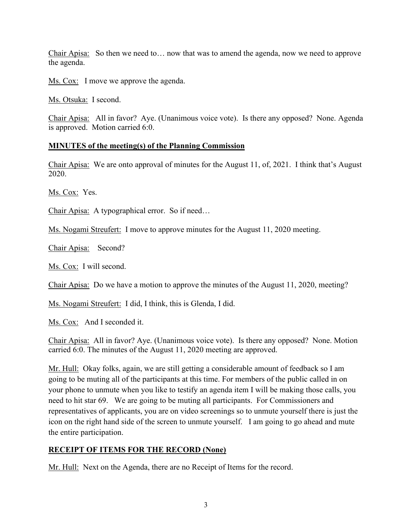Chair Apisa: So then we need to… now that was to amend the agenda, now we need to approve the agenda.

Ms. Cox: I move we approve the agenda.

Ms. Otsuka: I second.

Chair Apisa: All in favor? Aye. (Unanimous voice vote). Is there any opposed? None. Agenda is approved. Motion carried 6:0.

### **MINUTES of the meeting(s) of the Planning Commission**

Chair Apisa: We are onto approval of minutes for the August 11, of, 2021. I think that's August 2020.

Ms. Cox: Yes.

Chair Apisa: A typographical error. So if need...

Ms. Nogami Streufert: I move to approve minutes for the August 11, 2020 meeting.

Chair Apisa: Second?

Ms. Cox: I will second.

Chair Apisa: Do we have a motion to approve the minutes of the August 11, 2020, meeting?

Ms. Nogami Streufert: I did, I think, this is Glenda, I did.

Ms. Cox: And I seconded it.

Chair Apisa: All in favor? Aye. (Unanimous voice vote). Is there any opposed? None. Motion carried 6:0. The minutes of the August 11, 2020 meeting are approved.

Mr. Hull: Okay folks, again, we are still getting a considerable amount of feedback so I am going to be muting all of the participants at this time. For members of the public called in on your phone to unmute when you like to testify an agenda item I will be making those calls, you need to hit star 69. We are going to be muting all participants. For Commissioners and representatives of applicants, you are on video screenings so to unmute yourself there is just the icon on the right hand side of the screen to unmute yourself. I am going to go ahead and mute the entire participation.

## **RECEIPT OF ITEMS FOR THE RECORD (None)**

Mr. Hull: Next on the Agenda, there are no Receipt of Items for the record.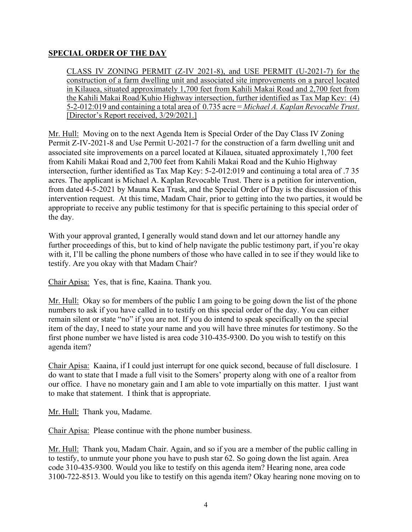# **SPECIAL ORDER OF THE DAY**

CLASS IV ZONING PERMIT (Z-IV 2021-8), and USE PERMIT (U-2021-7) for the construction of a farm dwelling unit and associated site improvements on a parcel located in Kilauea, situated approximately 1,700 feet from Kahili Makai Road and 2,700 feet from the Kahili Makai Road/Kuhio Highway intersection, further identified as Tax Map Key: (4) 5-2-012:019 and containing a total area of 0.735 acre = *Michael A. Kaplan Revocable Trust*. [Director's Report received, 3/29/2021.]

Mr. Hull: Moving on to the next Agenda Item is Special Order of the Day Class IV Zoning Permit Z-IV-2021-8 and Use Permit U-2021-7 for the construction of a farm dwelling unit and associated site improvements on a parcel located at Kilauea, situated approximately 1,700 feet from Kahili Makai Road and 2,700 feet from Kahili Makai Road and the Kuhio Highway intersection, further identified as Tax Map Key: 5-2-012:019 and continuing a total area of .7 35 acres. The applicant is Michael A. Kaplan Revocable Trust. There is a petition for intervention, from dated 4-5-2021 by Mauna Kea Trask, and the Special Order of Day is the discussion of this intervention request. At this time, Madam Chair, prior to getting into the two parties, it would be appropriate to receive any public testimony for that is specific pertaining to this special order of the day.

With your approval granted, I generally would stand down and let our attorney handle any further proceedings of this, but to kind of help navigate the public testimony part, if you're okay with it, I'll be calling the phone numbers of those who have called in to see if they would like to testify. Are you okay with that Madam Chair?

Chair Apisa: Yes, that is fine, Kaaina. Thank you.

Mr. Hull: Okay so for members of the public I am going to be going down the list of the phone numbers to ask if you have called in to testify on this special order of the day. You can either remain silent or state "no" if you are not. If you do intend to speak specifically on the special item of the day, I need to state your name and you will have three minutes for testimony. So the first phone number we have listed is area code 310-435-9300. Do you wish to testify on this agenda item?

Chair Apisa: Kaaina, if I could just interrupt for one quick second, because of full disclosure. I do want to state that I made a full visit to the Somers' property along with one of a realtor from our office. I have no monetary gain and I am able to vote impartially on this matter. I just want to make that statement. I think that is appropriate.

Mr. Hull: Thank you, Madame.

Chair Apisa: Please continue with the phone number business.

Mr. Hull: Thank you, Madam Chair. Again, and so if you are a member of the public calling in to testify, to unmute your phone you have to push star 62. So going down the list again. Area code 310-435-9300. Would you like to testify on this agenda item? Hearing none, area code 3100-722-8513. Would you like to testify on this agenda item? Okay hearing none moving on to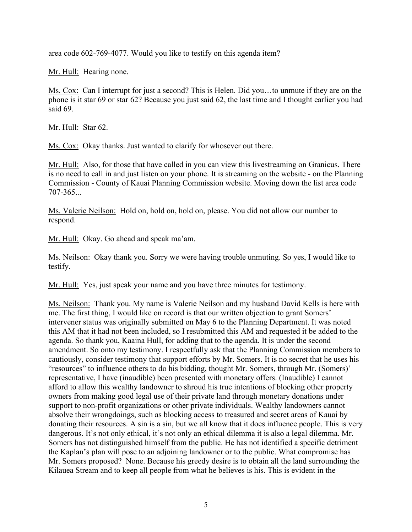area code 602-769-4077. Would you like to testify on this agenda item?

Mr. Hull: Hearing none.

Ms. Cox: Can I interrupt for just a second? This is Helen. Did you…to unmute if they are on the phone is it star 69 or star 62? Because you just said 62, the last time and I thought earlier you had said 69.

Mr. Hull: Star 62.

Ms. Cox: Okay thanks. Just wanted to clarify for whosever out there.

Mr. Hull: Also, for those that have called in you can view this livestreaming on Granicus. There is no need to call in and just listen on your phone. It is streaming on the website - on the Planning Commission - County of Kauai Planning Commission website. Moving down the list area code 707-365...

Ms. Valerie Neilson: Hold on, hold on, hold on, please. You did not allow our number to respond.

Mr. Hull: Okay. Go ahead and speak ma'am.

Ms. Neilson: Okay thank you. Sorry we were having trouble unmuting. So yes, I would like to testify.

Mr. Hull: Yes, just speak your name and you have three minutes for testimony.

Ms. Neilson: Thank you. My name is Valerie Neilson and my husband David Kells is here with me. The first thing, I would like on record is that our written objection to grant Somers' intervener status was originally submitted on May 6 to the Planning Department. It was noted this AM that it had not been included, so I resubmitted this AM and requested it be added to the agenda. So thank you, Kaaina Hull, for adding that to the agenda. It is under the second amendment. So onto my testimony. I respectfully ask that the Planning Commission members to cautiously, consider testimony that support efforts by Mr. Somers. It is no secret that he uses his "resources" to influence others to do his bidding, thought Mr. Somers, through Mr. (Somers)' representative, I have (inaudible) been presented with monetary offers. (Inaudible) I cannot afford to allow this wealthy landowner to shroud his true intentions of blocking other property owners from making good legal use of their private land through monetary donations under support to non-profit organizations or other private individuals. Wealthy landowners cannot absolve their wrongdoings, such as blocking access to treasured and secret areas of Kauai by donating their resources. A sin is a sin, but we all know that it does influence people. This is very dangerous. It's not only ethical, it's not only an ethical dilemma it is also a legal dilemma. Mr. Somers has not distinguished himself from the public. He has not identified a specific detriment the Kaplan's plan will pose to an adjoining landowner or to the public. What compromise has Mr. Somers proposed? None. Because his greedy desire is to obtain all the land surrounding the Kilauea Stream and to keep all people from what he believes is his. This is evident in the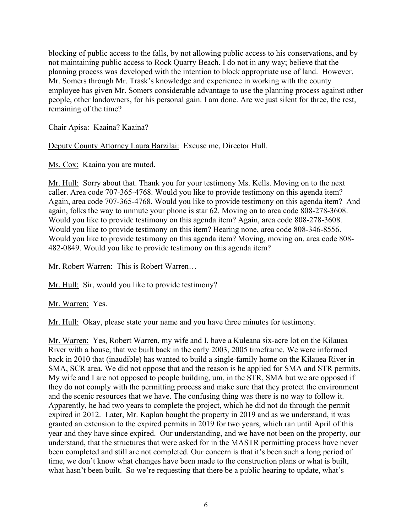blocking of public access to the falls, by not allowing public access to his conservations, and by not maintaining public access to Rock Quarry Beach. I do not in any way; believe that the planning process was developed with the intention to block appropriate use of land. However, Mr. Somers through Mr. Trask's knowledge and experience in working with the county employee has given Mr. Somers considerable advantage to use the planning process against other people, other landowners, for his personal gain. I am done. Are we just silent for three, the rest, remaining of the time?

### Chair Apisa: Kaaina? Kaaina?

Deputy County Attorney Laura Barzilai: Excuse me, Director Hull.

Ms. Cox: Kaaina you are muted.

Mr. Hull: Sorry about that. Thank you for your testimony Ms. Kells. Moving on to the next caller. Area code 707-365-4768. Would you like to provide testimony on this agenda item? Again, area code 707-365-4768. Would you like to provide testimony on this agenda item? And again, folks the way to unmute your phone is star 62. Moving on to area code 808-278-3608. Would you like to provide testimony on this agenda item? Again, area code 808-278-3608. Would you like to provide testimony on this item? Hearing none, area code 808-346-8556. Would you like to provide testimony on this agenda item? Moving, moving on, area code 808- 482-0849. Would you like to provide testimony on this agenda item?

Mr. Robert Warren: This is Robert Warren…

Mr. Hull: Sir, would you like to provide testimony?

Mr. Warren: Yes.

Mr. Hull: Okay, please state your name and you have three minutes for testimony.

Mr. Warren: Yes, Robert Warren, my wife and I, have a Kuleana six-acre lot on the Kilauea River with a house, that we built back in the early 2003, 2005 timeframe. We were informed back in 2010 that (inaudible) has wanted to build a single-family home on the Kilauea River in SMA, SCR area. We did not oppose that and the reason is he applied for SMA and STR permits. My wife and I are not opposed to people building, um, in the STR, SMA but we are opposed if they do not comply with the permitting process and make sure that they protect the environment and the scenic resources that we have. The confusing thing was there is no way to follow it. Apparently, he had two years to complete the project, which he did not do through the permit expired in 2012. Later, Mr. Kaplan bought the property in 2019 and as we understand, it was granted an extension to the expired permits in 2019 for two years, which ran until April of this year and they have since expired. Our understanding, and we have not been on the property, our understand, that the structures that were asked for in the MASTR permitting process have never been completed and still are not completed. Our concern is that it's been such a long period of time, we don't know what changes have been made to the construction plans or what is built, what hasn't been built. So we're requesting that there be a public hearing to update, what's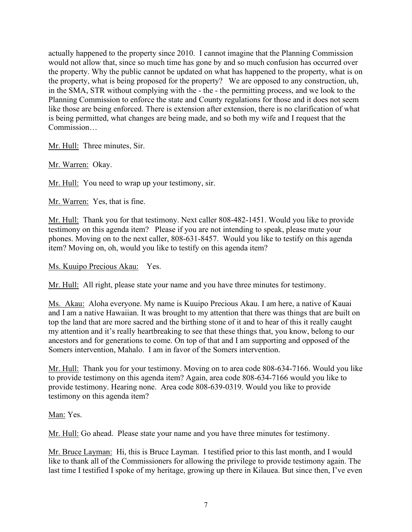actually happened to the property since 2010. I cannot imagine that the Planning Commission would not allow that, since so much time has gone by and so much confusion has occurred over the property. Why the public cannot be updated on what has happened to the property, what is on the property, what is being proposed for the property? We are opposed to any construction, uh, in the SMA, STR without complying with the - the - the permitting process, and we look to the Planning Commission to enforce the state and County regulations for those and it does not seem like those are being enforced. There is extension after extension, there is no clarification of what is being permitted, what changes are being made, and so both my wife and I request that the Commission…

Mr. Hull: Three minutes, Sir.

Mr. Warren: Okay.

Mr. Hull: You need to wrap up your testimony, sir.

Mr. Warren: Yes, that is fine.

Mr. Hull: Thank you for that testimony. Next caller 808-482-1451. Would you like to provide testimony on this agenda item? Please if you are not intending to speak, please mute your phones. Moving on to the next caller, 808-631-8457. Would you like to testify on this agenda item? Moving on, oh, would you like to testify on this agenda item?

#### Ms. Kuuipo Precious Akau: Yes.

Mr. Hull: All right, please state your name and you have three minutes for testimony.

Ms. Akau: Aloha everyone. My name is Kuuipo Precious Akau. I am here, a native of Kauai and I am a native Hawaiian. It was brought to my attention that there was things that are built on top the land that are more sacred and the birthing stone of it and to hear of this it really caught my attention and it's really heartbreaking to see that these things that, you know, belong to our ancestors and for generations to come. On top of that and I am supporting and opposed of the Somers intervention, Mahalo. I am in favor of the Somers intervention.

Mr. Hull: Thank you for your testimony. Moving on to area code 808-634-7166. Would you like to provide testimony on this agenda item? Again, area code 808-634-7166 would you like to provide testimony. Hearing none. Area code 808-639-0319. Would you like to provide testimony on this agenda item?

#### Man: Yes.

Mr. Hull: Go ahead. Please state your name and you have three minutes for testimony.

Mr. Bruce Layman: Hi, this is Bruce Layman. I testified prior to this last month, and I would like to thank all of the Commissioners for allowing the privilege to provide testimony again. The last time I testified I spoke of my heritage, growing up there in Kilauea. But since then, I've even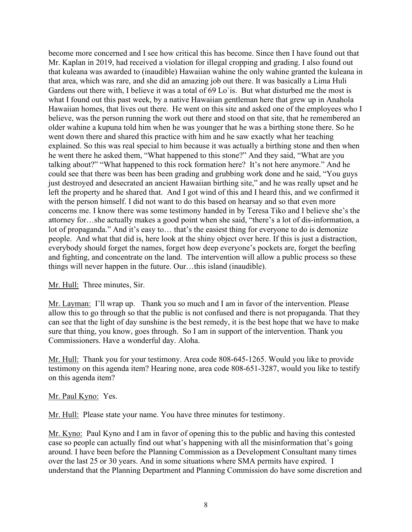become more concerned and I see how critical this has become. Since then I have found out that Mr. Kaplan in 2019, had received a violation for illegal cropping and grading. I also found out that kuleana was awarded to (inaudible) Hawaiian wahine the only wahine granted the kuleana in that area, which was rare, and she did an amazing job out there. It was basically a Lima Huli Gardens out there with, I believe it was a total of 69 Lo'is. But what disturbed me the most is what I found out this past week, by a native Hawaiian gentleman here that grew up in Anahola Hawaiian homes, that lives out there. He went on this site and asked one of the employees who I believe, was the person running the work out there and stood on that site, that he remembered an older wahine a kupuna told him when he was younger that he was a birthing stone there. So he went down there and shared this practice with him and he saw exactly what her teaching explained. So this was real special to him because it was actually a birthing stone and then when he went there he asked them, "What happened to this stone?" And they said, "What are you talking about?" "What happened to this rock formation here? It's not here anymore." And he could see that there was been has been grading and grubbing work done and he said, "You guys just destroyed and desecrated an ancient Hawaiian birthing site," and he was really upset and he left the property and he shared that. And I got wind of this and I heard this, and we confirmed it with the person himself. I did not want to do this based on hearsay and so that even more concerns me. I know there was some testimony handed in by Teresa Tiko and I believe she's the attorney for…she actually makes a good point when she said, "there's a lot of dis-information, a lot of propaganda." And it's easy to... that's the easiest thing for everyone to do is demonize people. And what that did is, here look at the shiny object over here. If this is just a distraction, everybody should forget the names, forget how deep everyone's pockets are, forget the beefing and fighting, and concentrate on the land. The intervention will allow a public process so these things will never happen in the future. Our…this island (inaudible).

#### Mr. Hull: Three minutes, Sir.

Mr. Layman: I'll wrap up. Thank you so much and I am in favor of the intervention. Please allow this to go through so that the public is not confused and there is not propaganda. That they can see that the light of day sunshine is the best remedy, it is the best hope that we have to make sure that thing, you know, goes through. So I am in support of the intervention. Thank you Commissioners. Have a wonderful day. Aloha.

Mr. Hull: Thank you for your testimony. Area code 808-645-1265. Would you like to provide testimony on this agenda item? Hearing none, area code 808-651-3287, would you like to testify on this agenda item?

#### Mr. Paul Kyno: Yes.

Mr. Hull: Please state your name. You have three minutes for testimony.

Mr. Kyno: Paul Kyno and I am in favor of opening this to the public and having this contested case so people can actually find out what's happening with all the misinformation that's going around. I have been before the Planning Commission as a Development Consultant many times over the last 25 or 30 years. And in some situations where SMA permits have expired. I understand that the Planning Department and Planning Commission do have some discretion and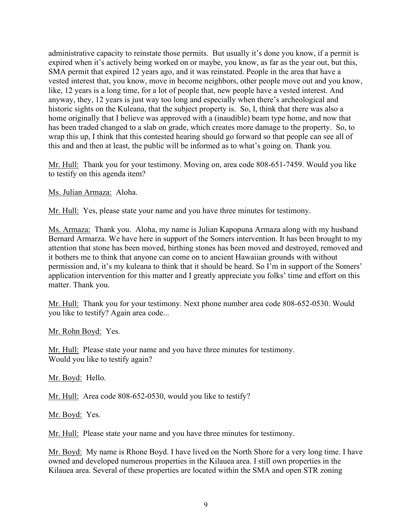administrative capacity to reinstate those permits. But usually it's done you know, if a permit is expired when it's actively being worked on or maybe, you know, as far as the year out, but this, SMA permit that expired 12 years ago, and it was reinstated. People in the area that have a vested interest that, you know, move in become neighbors, other people move out and you know, like, 12 years is a long time, for a lot of people that, new people have a vested interest. And anyway, they, 12 years is just way too long and especially when there's archeological and historic sights on the Kuleana, that the subject property is. So, I, think that there was also a home originally that I believe was approved with a (inaudible) beam type home, and now that has been traded changed to a slab on grade, which creates more damage to the property. So, to wrap this up, I think that this contested hearing should go forward so that people can see all of this and and then at least, the public will be informed as to what's going on. Thank you.

Mr. Hull: Thank you for your testimony. Moving on, area code 808-651-7459. Would you like to testify on this agenda item?

Ms. Julian Armaza: Aloha.

Mr. Hull: Yes, please state your name and you have three minutes for testimony.

Ms. Armaza: Thank you. Aloha, my name is Julian Kapopuna Armaza along with my husband Bernard Armarza. We have here in support of the Somers intervention. It has been brought to my attention that stone has been moved, birthing stones has been moved and destroyed, removed and it bothers me to think that anyone can come on to ancient Hawaiian grounds with without permission and, it's my kuleana to think that it should be heard. So I'm in support of the Somers' application intervention for this matter and I greatly appreciate you folks' time and effort on this matter. Thank you.

Mr. Hull: Thank you for your testimony. Next phone number area code 808-652-0530. Would you like to testify? Again area code...

Mr. Rohn Boyd: Yes.

Mr. Hull: Please state your name and you have three minutes for testimony. Would you like to testify again?

Mr. Boyd: Hello.

Mr. Hull: Area code 808-652-0530, would you like to testify?

Mr. Boyd: Yes.

Mr. Hull: Please state your name and you have three minutes for testimony.

Mr. Boyd: My name is Rhone Boyd. I have lived on the North Shore for a very long time. I have owned and developed numerous properties in the Kilauea area. I still own properties in the Kilauea area. Several of these properties are located within the SMA and open STR zoning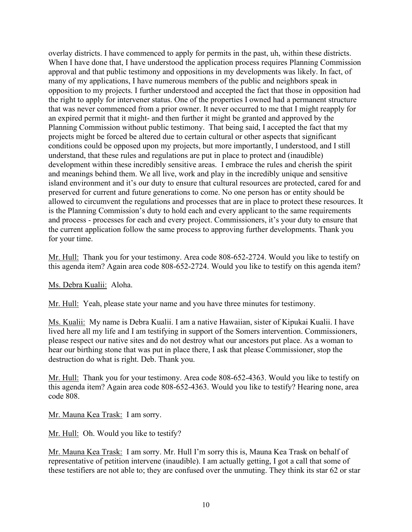overlay districts. I have commenced to apply for permits in the past, uh, within these districts. When I have done that, I have understood the application process requires Planning Commission approval and that public testimony and oppositions in my developments was likely. In fact, of many of my applications, I have numerous members of the public and neighbors speak in opposition to my projects. I further understood and accepted the fact that those in opposition had the right to apply for intervener status. One of the properties I owned had a permanent structure that was never commenced from a prior owner. It never occurred to me that I might reapply for an expired permit that it might- and then further it might be granted and approved by the Planning Commission without public testimony. That being said, I accepted the fact that my projects might be forced be altered due to certain cultural or other aspects that significant conditions could be opposed upon my projects, but more importantly, I understood, and I still understand, that these rules and regulations are put in place to protect and (inaudible) development within these incredibly sensitive areas. I embrace the rules and cherish the spirit and meanings behind them. We all live, work and play in the incredibly unique and sensitive island environment and it's our duty to ensure that cultural resources are protected, cared for and preserved for current and future generations to come. No one person has or entity should be allowed to circumvent the regulations and processes that are in place to protect these resources. It is the Planning Commission's duty to hold each and every applicant to the same requirements and process - processes for each and every project. Commissioners, it's your duty to ensure that the current application follow the same process to approving further developments. Thank you for your time.

Mr. Hull: Thank you for your testimony. Area code 808-652-2724. Would you like to testify on this agenda item? Again area code 808-652-2724. Would you like to testify on this agenda item?

## Ms. Debra Kualii: Aloha.

Mr. Hull: Yeah, please state your name and you have three minutes for testimony.

Ms. Kualii: My name is Debra Kualii. I am a native Hawaiian, sister of Kipukai Kualii. I have lived here all my life and I am testifying in support of the Somers intervention. Commissioners, please respect our native sites and do not destroy what our ancestors put place. As a woman to hear our birthing stone that was put in place there, I ask that please Commissioner, stop the destruction do what is right. Deb. Thank you.

Mr. Hull: Thank you for your testimony. Area code 808-652-4363. Would you like to testify on this agenda item? Again area code 808-652-4363. Would you like to testify? Hearing none, area code 808.

Mr. Mauna Kea Trask: I am sorry.

Mr. Hull: Oh. Would you like to testify?

Mr. Mauna Kea Trask: I am sorry. Mr. Hull I'm sorry this is, Mauna Kea Trask on behalf of representative of petition intervene (inaudible). I am actually getting, I got a call that some of these testifiers are not able to; they are confused over the unmuting. They think its star 62 or star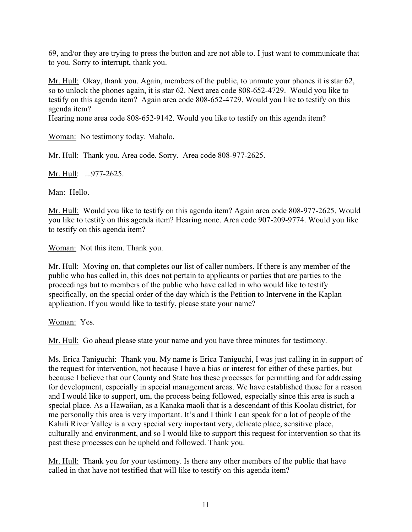69, and/or they are trying to press the button and are not able to. I just want to communicate that to you. Sorry to interrupt, thank you.

Mr. Hull: Okay, thank you. Again, members of the public, to unmute your phones it is star 62, so to unlock the phones again, it is star 62. Next area code 808-652-4729. Would you like to testify on this agenda item? Again area code 808-652-4729. Would you like to testify on this agenda item?

Hearing none area code 808-652-9142. Would you like to testify on this agenda item?

Woman: No testimony today. Mahalo.

Mr. Hull: Thank you. Area code. Sorry. Area code 808-977-2625.

Mr. Hull: ...977-2625.

Man: Hello.

Mr. Hull: Would you like to testify on this agenda item? Again area code 808-977-2625. Would you like to testify on this agenda item? Hearing none. Area code 907-209-9774. Would you like to testify on this agenda item?

Woman: Not this item. Thank you.

Mr. Hull: Moving on, that completes our list of caller numbers. If there is any member of the public who has called in, this does not pertain to applicants or parties that are parties to the proceedings but to members of the public who have called in who would like to testify specifically, on the special order of the day which is the Petition to Intervene in the Kaplan application. If you would like to testify, please state your name?

Woman: Yes.

Mr. Hull: Go ahead please state your name and you have three minutes for testimony.

Ms. Erica Taniguchi: Thank you. My name is Erica Taniguchi, I was just calling in in support of the request for intervention, not because I have a bias or interest for either of these parties, but because I believe that our County and State has these processes for permitting and for addressing for development, especially in special management areas. We have established those for a reason and I would like to support, um, the process being followed, especially since this area is such a special place. As a Hawaiian, as a Kanaka maoli that is a descendant of this Koolau district, for me personally this area is very important. It's and I think I can speak for a lot of people of the Kahili River Valley is a very special very important very, delicate place, sensitive place, culturally and environment, and so I would like to support this request for intervention so that its past these processes can be upheld and followed. Thank you.

Mr. Hull: Thank you for your testimony. Is there any other members of the public that have called in that have not testified that will like to testify on this agenda item?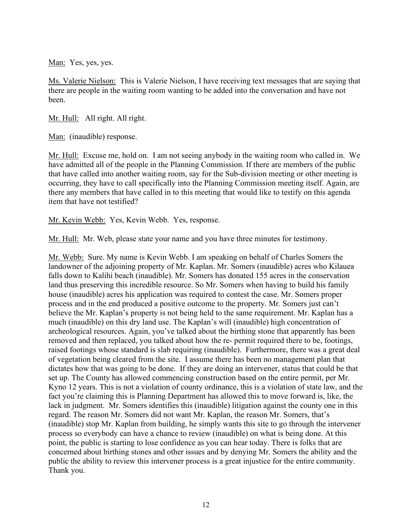Man: Yes, yes, yes.

Ms. Valerie Nielson: This is Valerie Nielson, I have receiving text messages that are saying that there are people in the waiting room wanting to be added into the conversation and have not been.

Mr. Hull: All right. All right.

Man: (inaudible) response.

Mr. Hull: Excuse me, hold on. I am not seeing anybody in the waiting room who called in. We have admitted all of the people in the Planning Commission. If there are members of the public that have called into another waiting room, say for the Sub-division meeting or other meeting is occurring, they have to call specifically into the Planning Commission meeting itself. Again, are there any members that have called in to this meeting that would like to testify on this agenda item that have not testified?

Mr. Kevin Webb: Yes, Kevin Webb. Yes, response.

Mr. Hull: Mr. Web, please state your name and you have three minutes for testimony.

Mr. Webb: Sure. My name is Kevin Webb. I am speaking on behalf of Charles Somers the landowner of the adjoining property of Mr. Kaplan. Mr. Somers (inaudible) acres who Kilauea falls down to Kalihi beach (inaudible). Mr. Somers has donated 155 acres in the conservation land thus preserving this incredible resource. So Mr. Somers when having to build his family house (inaudible) acres his application was required to contest the case. Mr. Somers proper process and in the end produced a positive outcome to the property. Mr. Somers just can't believe the Mr. Kaplan's property is not being held to the same requirement. Mr. Kaplan has a much (inaudible) on this dry land use. The Kaplan's will (inaudible) high concentration of archeological resources. Again, you've talked about the birthing stone that apparently has been removed and then replaced, you talked about how the re- permit required there to be, footings, raised footings whose standard is slab requiring (inaudible). Furthermore, there was a great deal of vegetation being cleared from the site. I assume there has been no management plan that dictates how that was going to be done. If they are doing an intervener, status that could be that set up. The County has allowed commencing construction based on the entire permit, per Mr. Kyno 12 years. This is not a violation of county ordinance, this is a violation of state law, and the fact you're claiming this is Planning Department has allowed this to move forward is, like, the lack in judgment. Mr. Somers identifies this (inaudible) litigation against the county one in this regard. The reason Mr. Somers did not want Mr. Kaplan, the reason Mr. Somers, that's (inaudible) stop Mr. Kaplan from building, he simply wants this site to go through the intervener process so everybody can have a chance to review (inaudible) on what is being done. At this point, the public is starting to lose confidence as you can hear today. There is folks that are concerned about birthing stones and other issues and by denying Mr. Somers the ability and the public the ability to review this intervener process is a great injustice for the entire community. Thank you.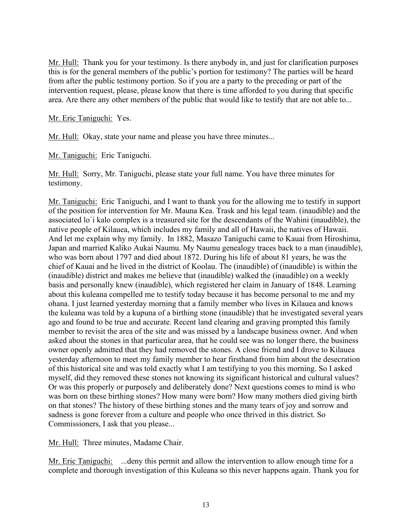Mr. Hull: Thank you for your testimony. Is there anybody in, and just for clarification purposes this is for the general members of the public's portion for testimony? The parties will be heard from after the public testimony portion. So if you are a party to the preceding or part of the intervention request, please, please know that there is time afforded to you during that specific area. Are there any other members of the public that would like to testify that are not able to...

Mr. Eric Taniguchi: Yes.

Mr. Hull: Okay, state your name and please you have three minutes...

Mr. Taniguchi: Eric Taniguchi.

Mr. Hull: Sorry, Mr. Taniguchi, please state your full name. You have three minutes for testimony.

Mr. Taniguchi: Eric Taniguchi, and I want to thank you for the allowing me to testify in support of the position for intervention for Mr. Mauna Kea. Trask and his legal team. (inaudible) and the associated lo`i kalo complex is a treasured site for the descendants of the Wahini (inaudible), the native people of Kilauea, which includes my family and all of Hawaii, the natives of Hawaii. And let me explain why my family. In 1882, Masazo Taniguchi came to Kauai from Hiroshima, Japan and married Kaliko Aukai Naumu. My Naumu genealogy traces back to a man (inaudible), who was born about 1797 and died about 1872. During his life of about 81 years, he was the chief of Kauai and he lived in the district of Koolau. The (inaudible) of (inaudible) is within the (inaudible) district and makes me believe that (inaudible) walked the (inaudible) on a weekly basis and personally knew (inaudible), which registered her claim in January of 1848. Learning about this kuleana compelled me to testify today because it has become personal to me and my ohana. I just learned yesterday morning that a family member who lives in Kilauea and knows the kuleana was told by a kupuna of a birthing stone (inaudible) that he investigated several years ago and found to be true and accurate. Recent land clearing and graving prompted this family member to revisit the area of the site and was missed by a landscape business owner. And when asked about the stones in that particular area, that he could see was no longer there, the business owner openly admitted that they had removed the stones. A close friend and I drove to Kilauea yesterday afternoon to meet my family member to hear firsthand from him about the desecration of this historical site and was told exactly what I am testifying to you this morning. So I asked myself, did they removed these stones not knowing its significant historical and cultural values? Or was this properly or purposely and deliberately done? Next questions comes to mind is who was born on these birthing stones? How many were born? How many mothers died giving birth on that stones? The history of these birthing stones and the many tears of joy and sorrow and sadness is gone forever from a culture and people who once thrived in this district. So Commissioners, I ask that you please...

Mr. Hull: Three minutes, Madame Chair.

Mr. Eric Taniguchi: ...deny this permit and allow the intervention to allow enough time for a complete and thorough investigation of this Kuleana so this never happens again. Thank you for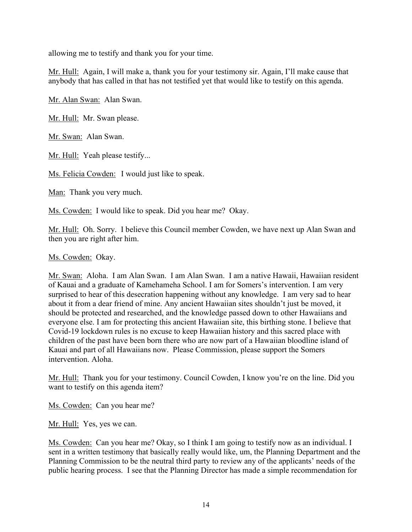allowing me to testify and thank you for your time.

Mr. Hull: Again, I will make a, thank you for your testimony sir. Again, I'll make cause that anybody that has called in that has not testified yet that would like to testify on this agenda.

Mr. Alan Swan: Alan Swan.

Mr. Hull: Mr. Swan please.

Mr. Swan: Alan Swan.

Mr. Hull: Yeah please testify...

Ms. Felicia Cowden: I would just like to speak.

Man: Thank you very much.

Ms. Cowden: I would like to speak. Did you hear me? Okay.

Mr. Hull: Oh. Sorry. I believe this Council member Cowden, we have next up Alan Swan and then you are right after him.

Ms. Cowden: Okay.

Mr. Swan: Aloha. I am Alan Swan. I am Alan Swan. I am a native Hawaii, Hawaiian resident of Kauai and a graduate of Kamehameha School. I am for Somers's intervention. I am very surprised to hear of this desecration happening without any knowledge. I am very sad to hear about it from a dear friend of mine. Any ancient Hawaiian sites shouldn't just be moved, it should be protected and researched, and the knowledge passed down to other Hawaiians and everyone else. I am for protecting this ancient Hawaiian site, this birthing stone. I believe that Covid-19 lockdown rules is no excuse to keep Hawaiian history and this sacred place with children of the past have been born there who are now part of a Hawaiian bloodline island of Kauai and part of all Hawaiians now. Please Commission, please support the Somers intervention. Aloha.

Mr. Hull: Thank you for your testimony. Council Cowden, I know you're on the line. Did you want to testify on this agenda item?

Ms. Cowden: Can you hear me?

Mr. Hull: Yes, yes we can.

Ms. Cowden: Can you hear me? Okay, so I think I am going to testify now as an individual. I sent in a written testimony that basically really would like, um, the Planning Department and the Planning Commission to be the neutral third party to review any of the applicants' needs of the public hearing process. I see that the Planning Director has made a simple recommendation for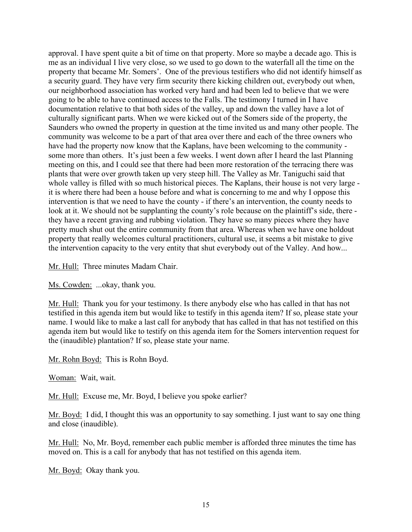approval. I have spent quite a bit of time on that property. More so maybe a decade ago. This is me as an individual I live very close, so we used to go down to the waterfall all the time on the property that became Mr. Somers'. One of the previous testifiers who did not identify himself as a security guard. They have very firm security there kicking children out, everybody out when, our neighborhood association has worked very hard and had been led to believe that we were going to be able to have continued access to the Falls. The testimony I turned in I have documentation relative to that both sides of the valley, up and down the valley have a lot of culturally significant parts. When we were kicked out of the Somers side of the property, the Saunders who owned the property in question at the time invited us and many other people. The community was welcome to be a part of that area over there and each of the three owners who have had the property now know that the Kaplans, have been welcoming to the community some more than others. It's just been a few weeks. I went down after I heard the last Planning meeting on this, and I could see that there had been more restoration of the terracing there was plants that were over growth taken up very steep hill. The Valley as Mr. Taniguchi said that whole valley is filled with so much historical pieces. The Kaplans, their house is not very large it is where there had been a house before and what is concerning to me and why I oppose this intervention is that we need to have the county - if there's an intervention, the county needs to look at it. We should not be supplanting the county's role because on the plaintiff's side, there they have a recent graving and rubbing violation. They have so many pieces where they have pretty much shut out the entire community from that area. Whereas when we have one holdout property that really welcomes cultural practitioners, cultural use, it seems a bit mistake to give the intervention capacity to the very entity that shut everybody out of the Valley. And how...

Mr. Hull: Three minutes Madam Chair.

Ms. Cowden: ...okay, thank you.

Mr. Hull: Thank you for your testimony. Is there anybody else who has called in that has not testified in this agenda item but would like to testify in this agenda item? If so, please state your name. I would like to make a last call for anybody that has called in that has not testified on this agenda item but would like to testify on this agenda item for the Somers intervention request for the (inaudible) plantation? If so, please state your name.

Mr. Rohn Boyd: This is Rohn Boyd.

Woman: Wait, wait.

Mr. Hull: Excuse me, Mr. Boyd, I believe you spoke earlier?

Mr. Boyd: I did, I thought this was an opportunity to say something. I just want to say one thing and close (inaudible).

Mr. Hull: No, Mr. Boyd, remember each public member is afforded three minutes the time has moved on. This is a call for anybody that has not testified on this agenda item.

Mr. Boyd: Okay thank you.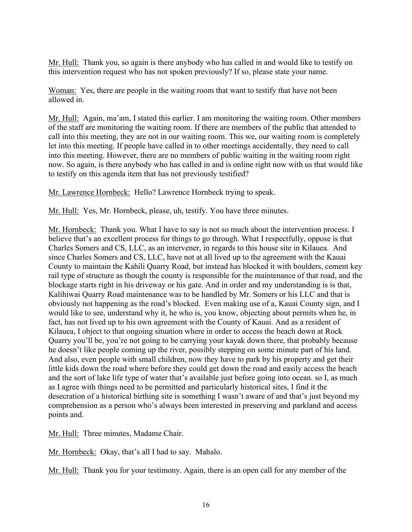Mr. Hull: Thank you, so again is there anybody who has called in and would like to testify on this intervention request who has not spoken previously? If so, please state your name.

Woman: Yes, there are people in the waiting room that want to testify that have not been allowed in.

Mr. Hull: Again, ma'am, I stated this earlier. I am monitoring the waiting room. Other members of the staff are monitoring the waiting room. If there are members of the public that attended to call into this meeting, they are not in our waiting room. This we, our waiting room is completely let into this meeting. If people have called in to other meetings accidentally, they need to call into this meeting. However, there are no members of public waiting in the waiting room right now. So again, is there anybody who has called in and is online right now with us that would like to testify on this agenda item that has not previously testified?

Mr. Lawrence Hornbeck: Hello? Lawrence Hornbeck trying to speak.

Mr. Hull: Yes, Mr. Hornbeck, please, uh, testify. You have three minutes.

Mr. Hornbeck: Thank you. What I have to say is not so much about the intervention process. I believe that's an excellent process for things to go through. What I respectfully, oppose is that Charles Somers and CS, LLC, as an intervener, in regards to this house site in Kilauea. And since Charles Somers and CS, LLC, have not at all lived up to the agreement with the Kauai County to maintain the Kahili Quarry Road, but instead has blocked it with boulders, cement key rail type of structure as though the county is responsible for the maintenance of that road, and the blockage starts right in his driveway or his gate. And in order and my understanding is is that, Kalihiwai Quarry Road maintenance was to be handled by Mr. Somers or his LLC and that is obviously not happening as the road's blocked. Even making use of a, Kauai County sign, and I would like to see, understand why it, he who is, you know, objecting about permits when he, in fact, has not lived up to his own agreement with the County of Kauai. And as a resident of Kilauea, I object to that ongoing situation where in order to access the beach down at Rock Quarry you'll be, you're not going to be carrying your kayak down there, that probably because he doesn't like people coming up the river, possibly stepping on some minute part of his land. And also, even people with small children, now they have to park by his property and get their little kids down the road where before they could get down the road and easily access the beach and the sort of lake life type of water that's available just before going into ocean. so I, as much as I agree with things need to be permitted and particularly historical sites, I find it the desecration of a historical birthing site is something I wasn't aware of and that's just beyond my comprehension as a person who's always been interested in preserving and parkland and access points and.

Mr. Hull: Three minutes, Madame Chair.

Mr. Hornbeck: Okay, that's all I had to say. Mahalo.

Mr. Hull: Thank you for your testimony. Again, there is an open call for any member of the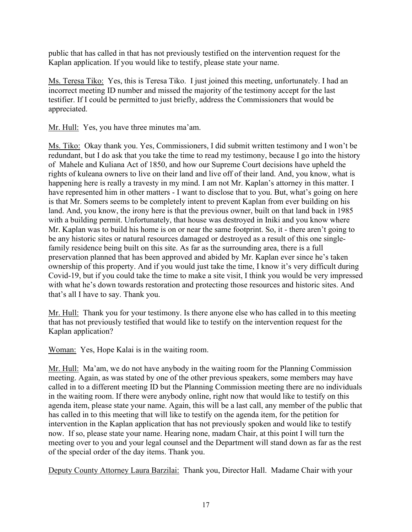public that has called in that has not previously testified on the intervention request for the Kaplan application. If you would like to testify, please state your name.

Ms. Teresa Tiko: Yes, this is Teresa Tiko. I just joined this meeting, unfortunately. I had an incorrect meeting ID number and missed the majority of the testimony accept for the last testifier. If I could be permitted to just briefly, address the Commissioners that would be appreciated.

Mr. Hull: Yes, you have three minutes ma'am.

Ms. Tiko: Okay thank you. Yes, Commissioners, I did submit written testimony and I won't be redundant, but I do ask that you take the time to read my testimony, because I go into the history of Mahele and Kuliana Act of 1850, and how our Supreme Court decisions have upheld the rights of kuleana owners to live on their land and live off of their land. And, you know, what is happening here is really a travesty in my mind. I am not Mr. Kaplan's attorney in this matter. I have represented him in other matters - I want to disclose that to you. But, what's going on here is that Mr. Somers seems to be completely intent to prevent Kaplan from ever building on his land. And, you know, the irony here is that the previous owner, built on that land back in 1985 with a building permit. Unfortunately, that house was destroyed in Iniki and you know where Mr. Kaplan was to build his home is on or near the same footprint. So, it - there aren't going to be any historic sites or natural resources damaged or destroyed as a result of this one singlefamily residence being built on this site. As far as the surrounding area, there is a full preservation planned that has been approved and abided by Mr. Kaplan ever since he's taken ownership of this property. And if you would just take the time, I know it's very difficult during Covid-19, but if you could take the time to make a site visit, I think you would be very impressed with what he's down towards restoration and protecting those resources and historic sites. And that's all I have to say. Thank you.

Mr. Hull: Thank you for your testimony. Is there anyone else who has called in to this meeting that has not previously testified that would like to testify on the intervention request for the Kaplan application?

Woman: Yes, Hope Kalai is in the waiting room.

Mr. Hull: Ma'am, we do not have anybody in the waiting room for the Planning Commission meeting. Again, as was stated by one of the other previous speakers, some members may have called in to a different meeting ID but the Planning Commission meeting there are no individuals in the waiting room. If there were anybody online, right now that would like to testify on this agenda item, please state your name. Again, this will be a last call, any member of the public that has called in to this meeting that will like to testify on the agenda item, for the petition for intervention in the Kaplan application that has not previously spoken and would like to testify now. If so, please state your name. Hearing none, madam Chair, at this point I will turn the meeting over to you and your legal counsel and the Department will stand down as far as the rest of the special order of the day items. Thank you.

Deputy County Attorney Laura Barzilai: Thank you, Director Hall. Madame Chair with your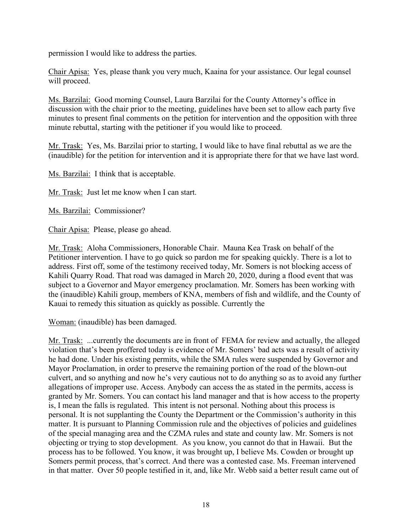permission I would like to address the parties.

Chair Apisa: Yes, please thank you very much, Kaaina for your assistance. Our legal counsel will proceed.

Ms. Barzilai: Good morning Counsel, Laura Barzilai for the County Attorney's office in discussion with the chair prior to the meeting, guidelines have been set to allow each party five minutes to present final comments on the petition for intervention and the opposition with three minute rebuttal, starting with the petitioner if you would like to proceed.

Mr. Trask: Yes, Ms. Barzilai prior to starting, I would like to have final rebuttal as we are the (inaudible) for the petition for intervention and it is appropriate there for that we have last word.

Ms. Barzilai: I think that is acceptable.

Mr. Trask: Just let me know when I can start.

Ms. Barzilai: Commissioner?

Chair Apisa: Please, please go ahead.

Mr. Trask: Aloha Commissioners, Honorable Chair. Mauna Kea Trask on behalf of the Petitioner intervention. I have to go quick so pardon me for speaking quickly. There is a lot to address. First off, some of the testimony received today, Mr. Somers is not blocking access of Kahili Quarry Road. That road was damaged in March 20, 2020, during a flood event that was subject to a Governor and Mayor emergency proclamation. Mr. Somers has been working with the (inaudible) Kahili group, members of KNA, members of fish and wildlife, and the County of Kauai to remedy this situation as quickly as possible. Currently the

Woman: (inaudible) has been damaged.

Mr. Trask: ...currently the documents are in front of FEMA for review and actually, the alleged violation that's been proffered today is evidence of Mr. Somers' bad acts was a result of activity he had done. Under his existing permits, while the SMA rules were suspended by Governor and Mayor Proclamation, in order to preserve the remaining portion of the road of the blown-out culvert, and so anything and now he's very cautious not to do anything so as to avoid any further allegations of improper use. Access. Anybody can access the as stated in the permits, access is granted by Mr. Somers. You can contact his land manager and that is how access to the property is, I mean the falls is regulated. This intent is not personal. Nothing about this process is personal. It is not supplanting the County the Department or the Commission's authority in this matter. It is pursuant to Planning Commission rule and the objectives of policies and guidelines of the special managing area and the CZMA rules and state and county law. Mr. Somers is not objecting or trying to stop development. As you know, you cannot do that in Hawaii. But the process has to be followed. You know, it was brought up, I believe Ms. Cowden or brought up Somers permit process, that's correct. And there was a contested case. Ms. Freeman intervened in that matter. Over 50 people testified in it, and, like Mr. Webb said a better result came out of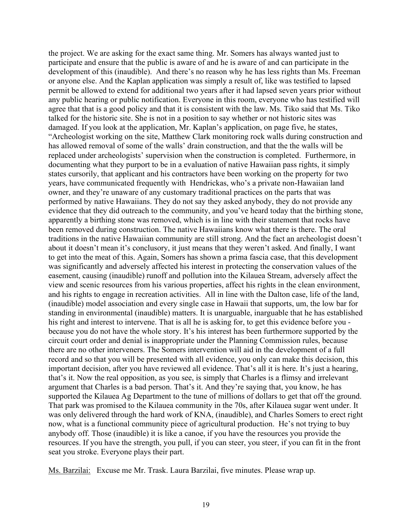the project. We are asking for the exact same thing. Mr. Somers has always wanted just to participate and ensure that the public is aware of and he is aware of and can participate in the development of this (inaudible). And there's no reason why he has less rights than Ms. Freeman or anyone else. And the Kaplan application was simply a result of, like was testified to lapsed permit be allowed to extend for additional two years after it had lapsed seven years prior without any public hearing or public notification. Everyone in this room, everyone who has testified will agree that that is a good policy and that it is consistent with the law. Ms. Tiko said that Ms. Tiko talked for the historic site. She is not in a position to say whether or not historic sites was damaged. If you look at the application, Mr. Kaplan's application, on page five, he states, "Archeologist working on the site, Matthew Clark monitoring rock walls during construction and has allowed removal of some of the walls' drain construction, and that the the walls will be replaced under archeologists' supervision when the construction is completed. Furthermore, in documenting what they purport to be in a evaluation of native Hawaiian pass rights, it simply states cursorily, that applicant and his contractors have been working on the property for two years, have communicated frequently with Hendrickas, who's a private non-Hawaiian land owner, and they're unaware of any customary traditional practices on the parts that was performed by native Hawaiians. They do not say they asked anybody, they do not provide any evidence that they did outreach to the community, and you've heard today that the birthing stone, apparently a birthing stone was removed, which is in line with their statement that rocks have been removed during construction. The native Hawaiians know what there is there. The oral traditions in the native Hawaiian community are still strong. And the fact an archeologist doesn't about it doesn't mean it's conclusory, it just means that they weren't asked. And finally, I want to get into the meat of this. Again, Somers has shown a prima fascia case, that this development was significantly and adversely affected his interest in protecting the conservation values of the easement, causing (inaudible) runoff and pollution into the Kilauea Stream, adversely affect the view and scenic resources from his various properties, affect his rights in the clean environment, and his rights to engage in recreation activities. All in line with the Dalton case, life of the land, (inaudible) model association and every single case in Hawaii that supports, um, the low bar for standing in environmental (inaudible) matters. It is unarguable, inarguable that he has established his right and interest to intervene. That is all he is asking for, to get this evidence before you because you do not have the whole story. It's his interest has been furthermore supported by the circuit court order and denial is inappropriate under the Planning Commission rules, because there are no other interveners. The Somers intervention will aid in the development of a full record and so that you will be presented with all evidence, you only can make this decision, this important decision, after you have reviewed all evidence. That's all it is here. It's just a hearing, that's it. Now the real opposition, as you see, is simply that Charles is a flimsy and irrelevant argument that Charles is a bad person. That's it. And they're saying that, you know, he has supported the Kilauea Ag Department to the tune of millions of dollars to get that off the ground. That park was promised to the Kilauea community in the 70s, after Kilauea sugar went under. It was only delivered through the hard work of KNA, (inaudible), and Charles Somers to erect right now, what is a functional community piece of agricultural production. He's not trying to buy anybody off. Those (inaudible) it is like a canoe, if you have the resources you provide the resources. If you have the strength, you pull, if you can steer, you steer, if you can fit in the front seat you stroke. Everyone plays their part.

Ms. Barzilai: Excuse me Mr. Trask. Laura Barzilai, five minutes. Please wrap up.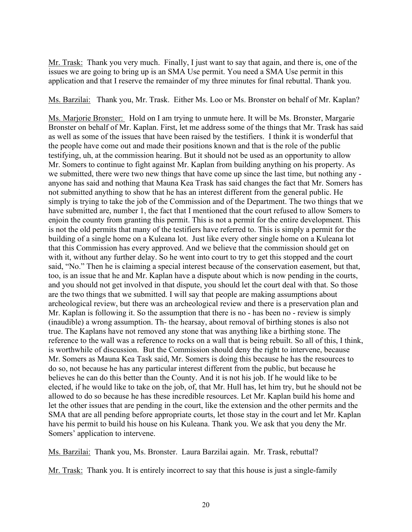Mr. Trask: Thank you very much. Finally, I just want to say that again, and there is, one of the issues we are going to bring up is an SMA Use permit. You need a SMA Use permit in this application and that I reserve the remainder of my three minutes for final rebuttal. Thank you.

Ms. Barzilai: Thank you, Mr. Trask. Either Ms. Loo or Ms. Bronster on behalf of Mr. Kaplan?

Ms. Marjorie Bronster: Hold on I am trying to unmute here. It will be Ms. Bronster, Margarie Bronster on behalf of Mr. Kaplan. First, let me address some of the things that Mr. Trask has said as well as some of the issues that have been raised by the testifiers. I think it is wonderful that the people have come out and made their positions known and that is the role of the public testifying, uh, at the commission hearing. But it should not be used as an opportunity to allow Mr. Somers to continue to fight against Mr. Kaplan from building anything on his property. As we submitted, there were two new things that have come up since the last time, but nothing any anyone has said and nothing that Mauna Kea Trask has said changes the fact that Mr. Somers has not submitted anything to show that he has an interest different from the general public. He simply is trying to take the job of the Commission and of the Department. The two things that we have submitted are, number 1, the fact that I mentioned that the court refused to allow Somers to enjoin the county from granting this permit. This is not a permit for the entire development. This is not the old permits that many of the testifiers have referred to. This is simply a permit for the building of a single home on a Kuleana lot. Just like every other single home on a Kuleana lot that this Commission has every approved. And we believe that the commission should get on with it, without any further delay. So he went into court to try to get this stopped and the court said, "No." Then he is claiming a special interest because of the conservation easement, but that, too, is an issue that he and Mr. Kaplan have a dispute about which is now pending in the courts, and you should not get involved in that dispute, you should let the court deal with that. So those are the two things that we submitted. I will say that people are making assumptions about archeological review, but there was an archeological review and there is a preservation plan and Mr. Kaplan is following it. So the assumption that there is no - has been no - review is simply (inaudible) a wrong assumption. Th- the hearsay, about removal of birthing stones is also not true. The Kaplans have not removed any stone that was anything like a birthing stone. The reference to the wall was a reference to rocks on a wall that is being rebuilt. So all of this, I think, is worthwhile of discussion. But the Commission should deny the right to intervene, because Mr. Somers as Mauna Kea Task said, Mr. Somers is doing this because he has the resources to do so, not because he has any particular interest different from the public, but because he believes he can do this better than the County. And it is not his job. If he would like to be elected, if he would like to take on the job, of, that Mr. Hull has, let him try, but he should not be allowed to do so because he has these incredible resources. Let Mr. Kaplan build his home and let the other issues that are pending in the court, like the extension and the other permits and the SMA that are all pending before appropriate courts, let those stay in the court and let Mr. Kaplan have his permit to build his house on his Kuleana. Thank you. We ask that you deny the Mr. Somers' application to intervene.

Ms. Barzilai: Thank you, Ms. Bronster. Laura Barzilai again. Mr. Trask, rebuttal?

Mr. Trask: Thank you. It is entirely incorrect to say that this house is just a single-family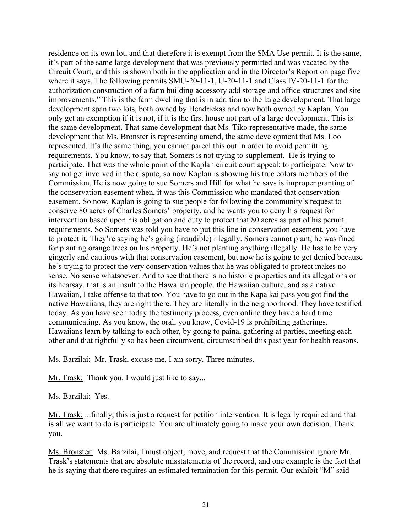residence on its own lot, and that therefore it is exempt from the SMA Use permit. It is the same, it's part of the same large development that was previously permitted and was vacated by the Circuit Court, and this is shown both in the application and in the Director's Report on page five where it says, The following permits SMU-20-11-1, U-20-11-1 and Class IV-20-11-1 for the authorization construction of a farm building accessory add storage and office structures and site improvements." This is the farm dwelling that is in addition to the large development. That large development span two lots, both owned by Hendrickas and now both owned by Kaplan. You only get an exemption if it is not, if it is the first house not part of a large development. This is the same development. That same development that Ms. Tiko representative made, the same development that Ms. Bronster is representing amend, the same development that Ms. Loo represented. It's the same thing, you cannot parcel this out in order to avoid permitting requirements. You know, to say that, Somers is not trying to supplement. He is trying to participate. That was the whole point of the Kaplan circuit court appeal: to participate. Now to say not get involved in the dispute, so now Kaplan is showing his true colors members of the Commission. He is now going to sue Somers and Hill for what he says is improper granting of the conservation easement when, it was this Commission who mandated that conservation easement. So now, Kaplan is going to sue people for following the community's request to conserve 80 acres of Charles Somers' property, and he wants you to deny his request for intervention based upon his obligation and duty to protect that 80 acres as part of his permit requirements. So Somers was told you have to put this line in conservation easement, you have to protect it. They're saying he's going (inaudible) illegally. Somers cannot plant; he was fined for planting orange trees on his property. He's not planting anything illegally. He has to be very gingerly and cautious with that conservation easement, but now he is going to get denied because he's trying to protect the very conservation values that he was obligated to protect makes no sense. No sense whatsoever. And to see that there is no historic properties and its allegations or its hearsay, that is an insult to the Hawaiian people, the Hawaiian culture, and as a native Hawaiian, I take offense to that too. You have to go out in the Kapa kai pass you got find the native Hawaiians, they are right there. They are literally in the neighborhood. They have testified today. As you have seen today the testimony process, even online they have a hard time communicating. As you know, the oral, you know, Covid-19 is prohibiting gatherings. Hawaiians learn by talking to each other, by going to paina, gathering at parties, meeting each other and that rightfully so has been circumvent, circumscribed this past year for health reasons.

Ms. Barzilai: Mr. Trask, excuse me, I am sorry. Three minutes.

Mr. Trask: Thank you. I would just like to say...

Ms. Barzilai: Yes.

Mr. Trask: ...finally, this is just a request for petition intervention. It is legally required and that is all we want to do is participate. You are ultimately going to make your own decision. Thank you.

Ms. Bronster: Ms. Barzilai, I must object, move, and request that the Commission ignore Mr. Trask's statements that are absolute misstatements of the record, and one example is the fact that he is saying that there requires an estimated termination for this permit. Our exhibit "M" said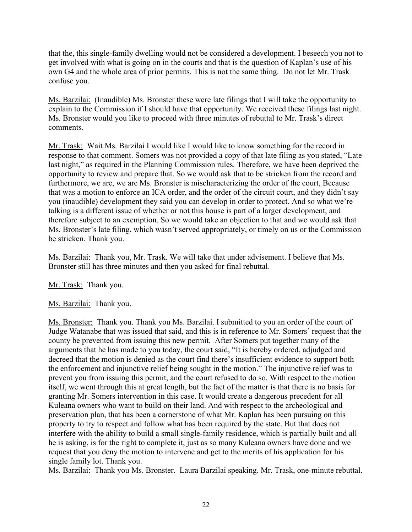that the, this single-family dwelling would not be considered a development. I beseech you not to get involved with what is going on in the courts and that is the question of Kaplan's use of his own G4 and the whole area of prior permits. This is not the same thing. Do not let Mr. Trask confuse you.

Ms. Barzilai: (Inaudible) Ms. Bronster these were late filings that I will take the opportunity to explain to the Commission if I should have that opportunity. We received these filings last night. Ms. Bronster would you like to proceed with three minutes of rebuttal to Mr. Trask's direct comments.

Mr. Trask: Wait Ms. Barzilai I would like I would like to know something for the record in response to that comment. Somers was not provided a copy of that late filing as you stated, "Late last night," as required in the Planning Commission rules. Therefore, we have been deprived the opportunity to review and prepare that. So we would ask that to be stricken from the record and furthermore, we are, we are Ms. Bronster is mischaracterizing the order of the court, Because that was a motion to enforce an ICA order, and the order of the circuit court, and they didn't say you (inaudible) development they said you can develop in order to protect. And so what we're talking is a different issue of whether or not this house is part of a larger development, and therefore subject to an exemption. So we would take an objection to that and we would ask that Ms. Bronster's late filing, which wasn't served appropriately, or timely on us or the Commission be stricken. Thank you.

Ms. Barzilai: Thank you, Mr. Trask. We will take that under advisement. I believe that Ms. Bronster still has three minutes and then you asked for final rebuttal.

Mr. Trask: Thank you.

Ms. Barzilai: Thank you.

Ms. Bronster: Thank you. Thank you Ms. Barzilai. I submitted to you an order of the court of Judge Watanabe that was issued that said, and this is in reference to Mr. Somers' request that the county be prevented from issuing this new permit. After Somers put together many of the arguments that he has made to you today, the court said, "It is hereby ordered, adjudged and decreed that the motion is denied as the court find there's insufficient evidence to support both the enforcement and injunctive relief being sought in the motion." The injunctive relief was to prevent you from issuing this permit, and the court refused to do so. With respect to the motion itself, we went through this at great length, but the fact of the matter is that there is no basis for granting Mr. Somers intervention in this case. It would create a dangerous precedent for all Kuleana owners who want to build on their land. And with respect to the archeological and preservation plan, that has been a cornerstone of what Mr. Kaplan has been pursuing on this property to try to respect and follow what has been required by the state. But that does not interfere with the ability to build a small single-family residence, which is partially built and all he is asking, is for the right to complete it, just as so many Kuleana owners have done and we request that you deny the motion to intervene and get to the merits of his application for his single family lot. Thank you.

Ms. Barzilai: Thank you Ms. Bronster. Laura Barzilai speaking. Mr. Trask, one-minute rebuttal.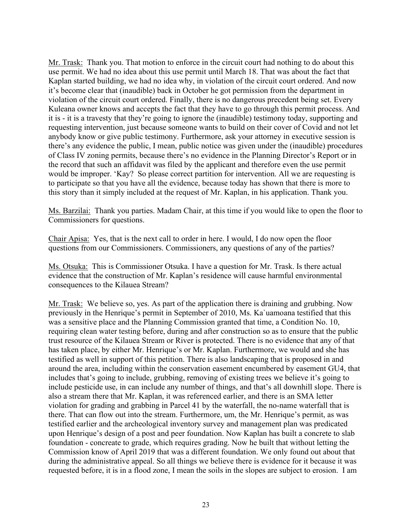Mr. Trask: Thank you. That motion to enforce in the circuit court had nothing to do about this use permit. We had no idea about this use permit until March 18. That was about the fact that Kaplan started building, we had no idea why, in violation of the circuit court ordered. And now it's become clear that (inaudible) back in October he got permission from the department in violation of the circuit court ordered. Finally, there is no dangerous precedent being set. Every Kuleana owner knows and accepts the fact that they have to go through this permit process. And it is - it is a travesty that they're going to ignore the (inaudible) testimony today, supporting and requesting intervention, just because someone wants to build on their cover of Covid and not let anybody know or give public testimony. Furthermore, ask your attorney in executive session is there's any evidence the public, I mean, public notice was given under the (inaudible) procedures of Class IV zoning permits, because there's no evidence in the Planning Director's Report or in the record that such an affidavit was filed by the applicant and therefore even the use permit would be improper. 'Kay? So please correct partition for intervention. All we are requesting is to participate so that you have all the evidence, because today has shown that there is more to this story than it simply included at the request of Mr. Kaplan, in his application. Thank you.

Ms. Barzilai: Thank you parties. Madam Chair, at this time if you would like to open the floor to Commissioners for questions.

Chair Apisa: Yes, that is the next call to order in here. I would, I do now open the floor questions from our Commissioners. Commissioners, any questions of any of the parties?

Ms. Otsuka: This is Commissioner Otsuka. I have a question for Mr. Trask. Is there actual evidence that the construction of Mr. Kaplan's residence will cause harmful environmental consequences to the Kilauea Stream?

Mr. Trask: We believe so, yes. As part of the application there is draining and grubbing. Now previously in the Henrique's permit in September of 2010, Ms. Ka`uamoana testified that this was a sensitive place and the Planning Commission granted that time, a Condition No. 10, requiring clean water testing before, during and after construction so as to ensure that the public trust resource of the Kilauea Stream or River is protected. There is no evidence that any of that has taken place, by either Mr. Henrique's or Mr. Kaplan. Furthermore, we would and she has testified as well in support of this petition. There is also landscaping that is proposed in and around the area, including within the conservation easement encumbered by easement GU4, that includes that's going to include, grubbing, removing of existing trees we believe it's going to include pesticide use, in can include any number of things, and that's all downhill slope. There is also a stream there that Mr. Kaplan, it was referenced earlier, and there is an SMA letter violation for grading and grabbing in Parcel 41 by the waterfall, the no-name waterfall that is there. That can flow out into the stream. Furthermore, um, the Mr. Henrique's permit, as was testified earlier and the archeological inventory survey and management plan was predicated upon Henrique's design of a post and peer foundation. Now Kaplan has built a concrete to slab foundation - concreate to grade, which requires grading. Now he built that without letting the Commission know of April 2019 that was a different foundation. We only found out about that during the administrative appeal. So all things we believe there is evidence for it because it was requested before, it is in a flood zone, I mean the soils in the slopes are subject to erosion. I am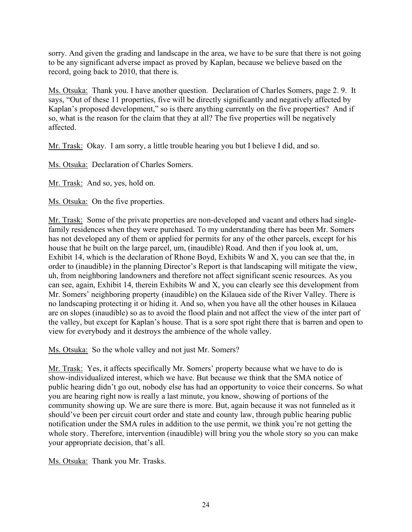sorry. And given the grading and landscape in the area, we have to be sure that there is not going to be any significant adverse impact as proved by Kaplan, because we believe based on the record, going back to 2010, that there is.

Ms. Otsuka: Thank you. I have another question. Declaration of Charles Somers, page 2. 9. It says, "Out of these 11 properties, five will be directly significantly and negatively affected by Kaplan's proposed development," so is there anything currently on the five properties? And if so, what is the reason for the claim that they at all? The five properties will be negatively affected.

Mr. Trask: Okay. I am sorry, a little trouble hearing you but I believe I did, and so.

Ms. Otsuka: Declaration of Charles Somers.

Mr. Trask: And so, yes, hold on.

Ms. Otsuka: On the five properties.

Mr. Trask: Some of the private properties are non-developed and vacant and others had singlefamily residences when they were purchased. To my understanding there has been Mr. Somers has not developed any of them or applied for permits for any of the other parcels, except for his house that he built on the large parcel, um, (inaudible) Road. And then if you look at, um, Exhibit 14, which is the declaration of Rhone Boyd, Exhibits W and X, you can see that the, in order to (inaudible) in the planning Director's Report is that landscaping will mitigate the view, uh, from neighboring landowners and therefore not affect significant scenic resources. As you can see, again, Exhibit 14, therein Exhibits W and X, you can clearly see this development from Mr. Somers' neighboring property (inaudible) on the Kilauea side of the River Valley. There is no landscaping protecting it or hiding it. And so, when you have all the other houses in Kilauea are on slopes (inaudible) so as to avoid the flood plain and not affect the view of the inter part of the valley, but except for Kaplan's house. That is a sore spot right there that is barren and open to view for everybody and it destroys the ambience of the whole valley.

Ms. Otsuka: So the whole valley and not just Mr. Somers?

Mr. Trask: Yes, it affects specifically Mr. Somers' property because what we have to do is show-individualized interest, which we have. But because we think that the SMA notice of public hearing didn't go out, nobody else has had an opportunity to voice their concerns. So what you are hearing right now is really a last minute, you know, showing of portions of the community showing up. We are sure there is more. But, again because it was not funneled as it should've been per circuit court order and state and county law, through public hearing public notification under the SMA rules in addition to the use permit, we think you're not getting the whole story. Therefore, intervention (inaudible) will bring you the whole story so you can make your appropriate decision, that's all.

Ms. Otsuka: Thank you Mr. Trasks.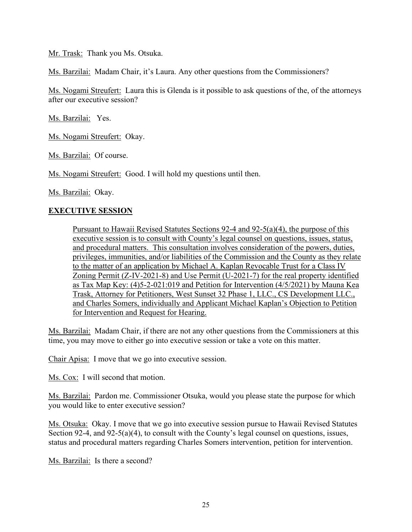Mr. Trask: Thank you Ms. Otsuka.

Ms. Barzilai: Madam Chair, it's Laura. Any other questions from the Commissioners?

Ms. Nogami Streufert: Laura this is Glenda is it possible to ask questions of the, of the attorneys after our executive session?

Ms. Barzilai: Yes.

Ms. Nogami Streufert: Okay.

Ms. Barzilai: Of course.

Ms. Nogami Streufert: Good. I will hold my questions until then.

Ms. Barzilai: Okay.

#### **EXECUTIVE SESSION**

Pursuant to Hawaii Revised Statutes Sections 92-4 and 92-5(a)(4), the purpose of this executive session is to consult with County's legal counsel on questions, issues, status, and procedural matters. This consultation involves consideration of the powers, duties, privileges, immunities, and/or liabilities of the Commission and the County as they relate to the matter of an application by Michael A. Kaplan Revocable Trust for a Class IV Zoning Permit (Z-IV-2021-8) and Use Permit (U-2021-7) for the real property identified as Tax Map Key: (4)5-2-021:019 and Petition for Intervention (4/5/2021) by Mauna Kea Trask, Attorney for Petitioners, West Sunset 32 Phase 1, LLC., CS Development LLC., and Charles Somers, individually and Applicant Michael Kaplan's Objection to Petition for Intervention and Request for Hearing.

Ms. Barzilai: Madam Chair, if there are not any other questions from the Commissioners at this time, you may move to either go into executive session or take a vote on this matter.

Chair Apisa: I move that we go into executive session.

Ms. Cox: I will second that motion.

Ms. Barzilai: Pardon me. Commissioner Otsuka, would you please state the purpose for which you would like to enter executive session?

Ms. Otsuka: Okay. I move that we go into executive session pursue to Hawaii Revised Statutes Section 92-4, and 92-5(a)(4), to consult with the County's legal counsel on questions, issues, status and procedural matters regarding Charles Somers intervention, petition for intervention.

Ms. Barzilai: Is there a second?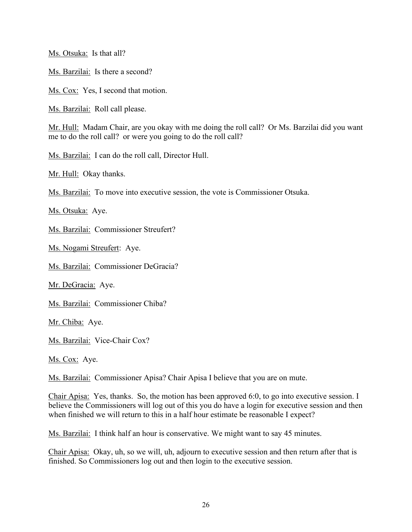Ms. Otsuka: Is that all?

Ms. Barzilai: Is there a second?

Ms. Cox: Yes, I second that motion.

Ms. Barzilai: Roll call please.

Mr. Hull: Madam Chair, are you okay with me doing the roll call? Or Ms. Barzilai did you want me to do the roll call? or were you going to do the roll call?

Ms. Barzilai: I can do the roll call, Director Hull.

Mr. Hull: Okay thanks.

Ms. Barzilai: To move into executive session, the vote is Commissioner Otsuka.

Ms. Otsuka: Aye.

Ms. Barzilai: Commissioner Streufert?

Ms. Nogami Streufert: Aye.

Ms. Barzilai: Commissioner DeGracia?

Mr. DeGracia: Aye.

Ms. Barzilai: Commissioner Chiba?

Mr. Chiba: Aye.

Ms. Barzilai: Vice-Chair Cox?

Ms. Cox: Aye.

Ms. Barzilai: Commissioner Apisa? Chair Apisa I believe that you are on mute.

Chair Apisa: Yes, thanks. So, the motion has been approved 6:0, to go into executive session. I believe the Commissioners will log out of this you do have a login for executive session and then when finished we will return to this in a half hour estimate be reasonable I expect?

Ms. Barzilai: I think half an hour is conservative. We might want to say 45 minutes.

Chair Apisa: Okay, uh, so we will, uh, adjourn to executive session and then return after that is finished. So Commissioners log out and then login to the executive session.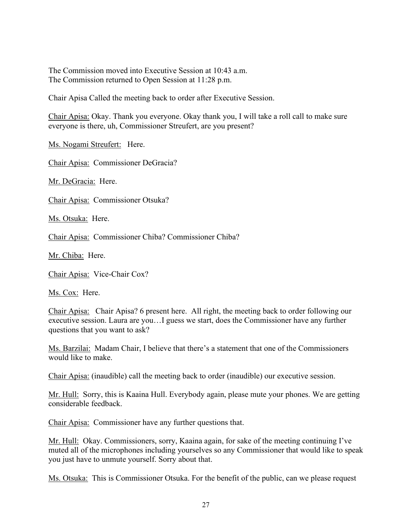The Commission moved into Executive Session at 10:43 a.m. The Commission returned to Open Session at 11:28 p.m.

Chair Apisa Called the meeting back to order after Executive Session.

Chair Apisa: Okay. Thank you everyone. Okay thank you, I will take a roll call to make sure everyone is there, uh, Commissioner Streufert, are you present?

Ms. Nogami Streufert: Here.

Chair Apisa: Commissioner DeGracia?

Mr. DeGracia: Here.

Chair Apisa: Commissioner Otsuka?

Ms. Otsuka: Here.

Chair Apisa: Commissioner Chiba? Commissioner Chiba?

Mr. Chiba: Here.

Chair Apisa: Vice-Chair Cox?

Ms. Cox: Here.

Chair Apisa: Chair Apisa? 6 present here. All right, the meeting back to order following our executive session. Laura are you…I guess we start, does the Commissioner have any further questions that you want to ask?

Ms. Barzilai: Madam Chair, I believe that there's a statement that one of the Commissioners would like to make.

Chair Apisa: (inaudible) call the meeting back to order (inaudible) our executive session.

Mr. Hull: Sorry, this is Kaaina Hull. Everybody again, please mute your phones. We are getting considerable feedback.

Chair Apisa: Commissioner have any further questions that.

Mr. Hull: Okay. Commissioners, sorry, Kaaina again, for sake of the meeting continuing I've muted all of the microphones including yourselves so any Commissioner that would like to speak you just have to unmute yourself. Sorry about that.

Ms. Otsuka: This is Commissioner Otsuka. For the benefit of the public, can we please request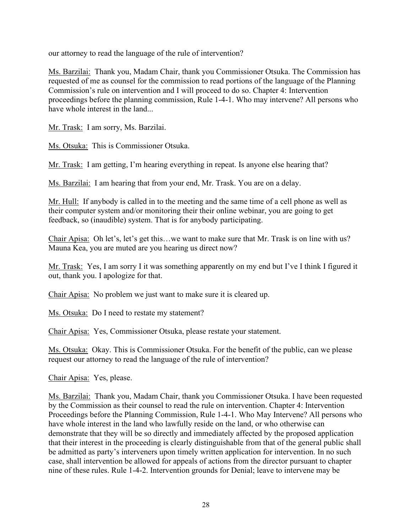our attorney to read the language of the rule of intervention?

Ms. Barzilai: Thank you, Madam Chair, thank you Commissioner Otsuka. The Commission has requested of me as counsel for the commission to read portions of the language of the Planning Commission's rule on intervention and I will proceed to do so. Chapter 4: Intervention proceedings before the planning commission, Rule 1-4-1. Who may intervene? All persons who have whole interest in the land...

Mr. Trask: I am sorry, Ms. Barzilai.

Ms. Otsuka: This is Commissioner Otsuka.

Mr. Trask: I am getting, I'm hearing everything in repeat. Is anyone else hearing that?

Ms. Barzilai: I am hearing that from your end, Mr. Trask. You are on a delay.

Mr. Hull: If anybody is called in to the meeting and the same time of a cell phone as well as their computer system and/or monitoring their their online webinar, you are going to get feedback, so (inaudible) system. That is for anybody participating.

Chair Apisa: Oh let's, let's get this…we want to make sure that Mr. Trask is on line with us? Mauna Kea, you are muted are you hearing us direct now?

Mr. Trask: Yes, I am sorry I it was something apparently on my end but I've I think I figured it out, thank you. I apologize for that.

Chair Apisa: No problem we just want to make sure it is cleared up.

Ms. Otsuka: Do I need to restate my statement?

Chair Apisa: Yes, Commissioner Otsuka, please restate your statement.

Ms. Otsuka: Okay. This is Commissioner Otsuka. For the benefit of the public, can we please request our attorney to read the language of the rule of intervention?

Chair Apisa: Yes, please.

Ms. Barzilai: Thank you, Madam Chair, thank you Commissioner Otsuka. I have been requested by the Commission as their counsel to read the rule on intervention. Chapter 4: Intervention Proceedings before the Planning Commission, Rule 1-4-1. Who May Intervene? All persons who have whole interest in the land who lawfully reside on the land, or who otherwise can demonstrate that they will be so directly and immediately affected by the proposed application that their interest in the proceeding is clearly distinguishable from that of the general public shall be admitted as party's interveners upon timely written application for intervention. In no such case, shall intervention be allowed for appeals of actions from the director pursuant to chapter nine of these rules. Rule 1-4-2. Intervention grounds for Denial; leave to intervene may be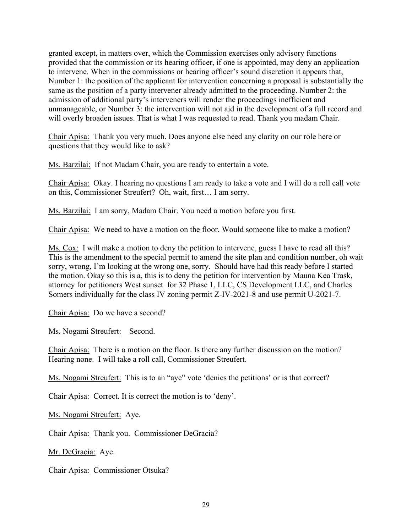granted except, in matters over, which the Commission exercises only advisory functions provided that the commission or its hearing officer, if one is appointed, may deny an application to intervene. When in the commissions or hearing officer's sound discretion it appears that, Number 1: the position of the applicant for intervention concerning a proposal is substantially the same as the position of a party intervener already admitted to the proceeding. Number 2: the admission of additional party's interveners will render the proceedings inefficient and unmanageable, or Number 3: the intervention will not aid in the development of a full record and will overly broaden issues. That is what I was requested to read. Thank you madam Chair.

Chair Apisa: Thank you very much. Does anyone else need any clarity on our role here or questions that they would like to ask?

Ms. Barzilai: If not Madam Chair, you are ready to entertain a vote.

Chair Apisa: Okay. I hearing no questions I am ready to take a vote and I will do a roll call vote on this, Commissioner Streufert? Oh, wait, first… I am sorry.

Ms. Barzilai: I am sorry, Madam Chair. You need a motion before you first.

Chair Apisa: We need to have a motion on the floor. Would someone like to make a motion?

Ms. Cox: I will make a motion to deny the petition to intervene, guess I have to read all this? This is the amendment to the special permit to amend the site plan and condition number, oh wait sorry, wrong, I'm looking at the wrong one, sorry. Should have had this ready before I started the motion. Okay so this is a, this is to deny the petition for intervention by Mauna Kea Trask, attorney for petitioners West sunset for 32 Phase 1, LLC, CS Development LLC, and Charles Somers individually for the class IV zoning permit Z-IV-2021-8 and use permit U-2021-7.

Chair Apisa: Do we have a second?

Ms. Nogami Streufert: Second.

Chair Apisa: There is a motion on the floor. Is there any further discussion on the motion? Hearing none. I will take a roll call, Commissioner Streufert.

Ms. Nogami Streufert: This is to an "aye" vote 'denies the petitions' or is that correct?

Chair Apisa: Correct. It is correct the motion is to 'deny'.

Ms. Nogami Streufert: Aye.

Chair Apisa: Thank you. Commissioner DeGracia?

Mr. DeGracia: Aye.

Chair Apisa: Commissioner Otsuka?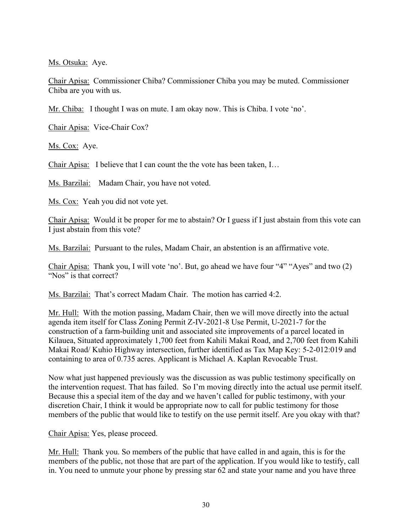Ms. Otsuka: Aye.

Chair Apisa: Commissioner Chiba? Commissioner Chiba you may be muted. Commissioner Chiba are you with us.

Mr. Chiba: I thought I was on mute. I am okay now. This is Chiba. I vote 'no'.

Chair Apisa: Vice-Chair Cox?

Ms. Cox: Aye.

Chair Apisa: I believe that I can count the the vote has been taken, I…

Ms. Barzilai: Madam Chair, you have not voted.

Ms. Cox: Yeah you did not vote yet.

Chair Apisa: Would it be proper for me to abstain? Or I guess if I just abstain from this vote can I just abstain from this vote?

Ms. Barzilai: Pursuant to the rules, Madam Chair, an abstention is an affirmative vote.

Chair Apisa: Thank you, I will vote 'no'. But, go ahead we have four "4" "Ayes" and two (2) "Nos" is that correct?

Ms. Barzilai: That's correct Madam Chair. The motion has carried 4:2.

Mr. Hull: With the motion passing, Madam Chair, then we will move directly into the actual agenda item itself for Class Zoning Permit Z-IV-2021-8 Use Permit, U-2021-7 for the construction of a farm-building unit and associated site improvements of a parcel located in Kilauea, Situated approximately 1,700 feet from Kahili Makai Road, and 2,700 feet from Kahili Makai Road/ Kuhio Highway intersection, further identified as Tax Map Key: 5-2-012:019 and containing to area of 0.735 acres. Applicant is Michael A. Kaplan Revocable Trust.

Now what just happened previously was the discussion as was public testimony specifically on the intervention request. That has failed. So I'm moving directly into the actual use permit itself. Because this a special item of the day and we haven't called for public testimony, with your discretion Chair, I think it would be appropriate now to call for public testimony for those members of the public that would like to testify on the use permit itself. Are you okay with that?

Chair Apisa: Yes, please proceed.

Mr. Hull: Thank you. So members of the public that have called in and again, this is for the members of the public, not those that are part of the application. If you would like to testify, call in. You need to unmute your phone by pressing star 62 and state your name and you have three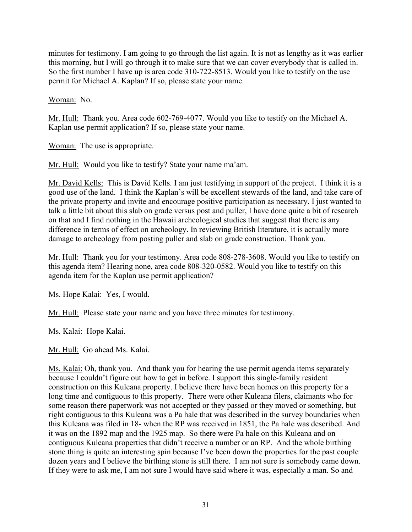minutes for testimony. I am going to go through the list again. It is not as lengthy as it was earlier this morning, but I will go through it to make sure that we can cover everybody that is called in. So the first number I have up is area code 310-722-8513. Would you like to testify on the use permit for Michael A. Kaplan? If so, please state your name.

Woman: No.

Mr. Hull: Thank you. Area code 602-769-4077. Would you like to testify on the Michael A. Kaplan use permit application? If so, please state your name.

Woman: The use is appropriate.

Mr. Hull: Would you like to testify? State your name ma'am.

Mr. David Kells: This is David Kells. I am just testifying in support of the project. I think it is a good use of the land. I think the Kaplan's will be excellent stewards of the land, and take care of the private property and invite and encourage positive participation as necessary. I just wanted to talk a little bit about this slab on grade versus post and puller, I have done quite a bit of research on that and I find nothing in the Hawaii archeological studies that suggest that there is any difference in terms of effect on archeology. In reviewing British literature, it is actually more damage to archeology from posting puller and slab on grade construction. Thank you.

Mr. Hull: Thank you for your testimony. Area code 808-278-3608. Would you like to testify on this agenda item? Hearing none, area code 808-320-0582. Would you like to testify on this agenda item for the Kaplan use permit application?

Ms. Hope Kalai: Yes, I would.

Mr. Hull: Please state your name and you have three minutes for testimony.

Ms. Kalai: Hope Kalai.

Mr. Hull: Go ahead Ms. Kalai.

Ms. Kalai: Oh, thank you. And thank you for hearing the use permit agenda items separately because I couldn't figure out how to get in before. I support this single-family resident construction on this Kuleana property. I believe there have been homes on this property for a long time and contiguous to this property. There were other Kuleana filers, claimants who for some reason there paperwork was not accepted or they passed or they moved or something, but right contiguous to this Kuleana was a Pa hale that was described in the survey boundaries when this Kuleana was filed in 18- when the RP was received in 1851, the Pa hale was described. And it was on the 1892 map and the 1925 map. So there were Pa hale on this Kuleana and on contiguous Kuleana properties that didn't receive a number or an RP. And the whole birthing stone thing is quite an interesting spin because I've been down the properties for the past couple dozen years and I believe the birthing stone is still there. I am not sure is somebody came down. If they were to ask me, I am not sure I would have said where it was, especially a man. So and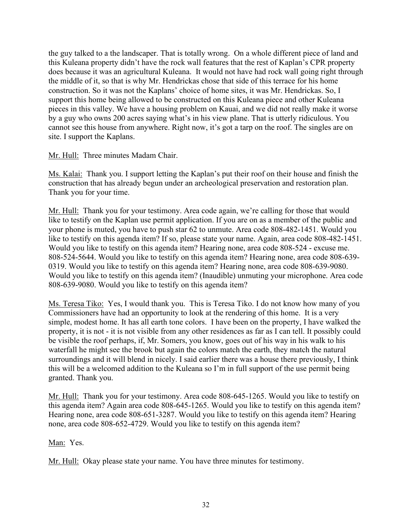the guy talked to a the landscaper. That is totally wrong. On a whole different piece of land and this Kuleana property didn't have the rock wall features that the rest of Kaplan's CPR property does because it was an agricultural Kuleana. It would not have had rock wall going right through the middle of it, so that is why Mr. Hendrickas chose that side of this terrace for his home construction. So it was not the Kaplans' choice of home sites, it was Mr. Hendrickas. So, I support this home being allowed to be constructed on this Kuleana piece and other Kuleana pieces in this valley. We have a housing problem on Kauai, and we did not really make it worse by a guy who owns 200 acres saying what's in his view plane. That is utterly ridiculous. You cannot see this house from anywhere. Right now, it's got a tarp on the roof. The singles are on site. I support the Kaplans.

Mr. Hull: Three minutes Madam Chair.

Ms. Kalai: Thank you. I support letting the Kaplan's put their roof on their house and finish the construction that has already begun under an archeological preservation and restoration plan. Thank you for your time.

Mr. Hull: Thank you for your testimony. Area code again, we're calling for those that would like to testify on the Kaplan use permit application. If you are on as a member of the public and your phone is muted, you have to push star 62 to unmute. Area code 808-482-1451. Would you like to testify on this agenda item? If so, please state your name. Again, area code 808-482-1451. Would you like to testify on this agenda item? Hearing none, area code 808-524 - excuse me. 808-524-5644. Would you like to testify on this agenda item? Hearing none, area code 808-639- 0319. Would you like to testify on this agenda item? Hearing none, area code 808-639-9080. Would you like to testify on this agenda item? (Inaudible) unmuting your microphone. Area code 808-639-9080. Would you like to testify on this agenda item?

Ms. Teresa Tiko: Yes, I would thank you. This is Teresa Tiko. I do not know how many of you Commissioners have had an opportunity to look at the rendering of this home. It is a very simple, modest home. It has all earth tone colors. I have been on the property, I have walked the property, it is not - it is not visible from any other residences as far as I can tell. It possibly could be visible the roof perhaps, if, Mr. Somers, you know, goes out of his way in his walk to his waterfall he might see the brook but again the colors match the earth, they match the natural surroundings and it will blend in nicely. I said earlier there was a house there previously, I think this will be a welcomed addition to the Kuleana so I'm in full support of the use permit being granted. Thank you.

Mr. Hull: Thank you for your testimony. Area code 808-645-1265. Would you like to testify on this agenda item? Again area code 808-645-1265. Would you like to testify on this agenda item? Hearing none, area code 808-651-3287. Would you like to testify on this agenda item? Hearing none, area code 808-652-4729. Would you like to testify on this agenda item?

## Man: Yes.

Mr. Hull: Okay please state your name. You have three minutes for testimony.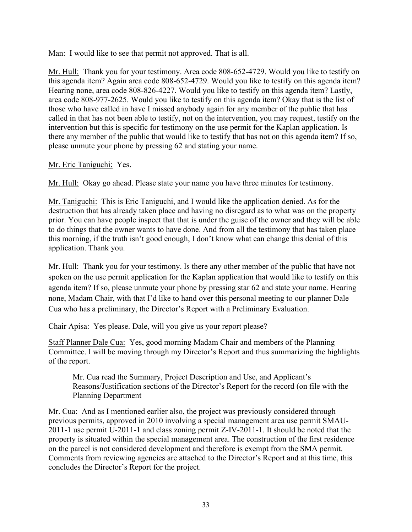Man: I would like to see that permit not approved. That is all.

Mr. Hull: Thank you for your testimony. Area code 808-652-4729. Would you like to testify on this agenda item? Again area code 808-652-4729. Would you like to testify on this agenda item? Hearing none, area code 808-826-4227. Would you like to testify on this agenda item? Lastly, area code 808-977-2625. Would you like to testify on this agenda item? Okay that is the list of those who have called in have I missed anybody again for any member of the public that has called in that has not been able to testify, not on the intervention, you may request, testify on the intervention but this is specific for testimony on the use permit for the Kaplan application. Is there any member of the public that would like to testify that has not on this agenda item? If so, please unmute your phone by pressing 62 and stating your name.

## Mr. Eric Taniguchi: Yes.

Mr. Hull: Okay go ahead. Please state your name you have three minutes for testimony.

Mr. Taniguchi: This is Eric Taniguchi, and I would like the application denied. As for the destruction that has already taken place and having no disregard as to what was on the property prior. You can have people inspect that that is under the guise of the owner and they will be able to do things that the owner wants to have done. And from all the testimony that has taken place this morning, if the truth isn't good enough, I don't know what can change this denial of this application. Thank you.

Mr. Hull: Thank you for your testimony. Is there any other member of the public that have not spoken on the use permit application for the Kaplan application that would like to testify on this agenda item? If so, please unmute your phone by pressing star 62 and state your name. Hearing none, Madam Chair, with that I'd like to hand over this personal meeting to our planner Dale Cua who has a preliminary, the Director's Report with a Preliminary Evaluation.

Chair Apisa: Yes please. Dale, will you give us your report please?

Staff Planner Dale Cua: Yes, good morning Madam Chair and members of the Planning Committee. I will be moving through my Director's Report and thus summarizing the highlights of the report.

Mr. Cua read the Summary, Project Description and Use, and Applicant's Reasons/Justification sections of the Director's Report for the record (on file with the Planning Department

Mr. Cua: And as I mentioned earlier also, the project was previously considered through previous permits, approved in 2010 involving a special management area use permit SMAU-2011-1 use permit U-2011-1 and class zoning permit Z-IV-2011-1. It should be noted that the property is situated within the special management area. The construction of the first residence on the parcel is not considered development and therefore is exempt from the SMA permit. Comments from reviewing agencies are attached to the Director's Report and at this time, this concludes the Director's Report for the project.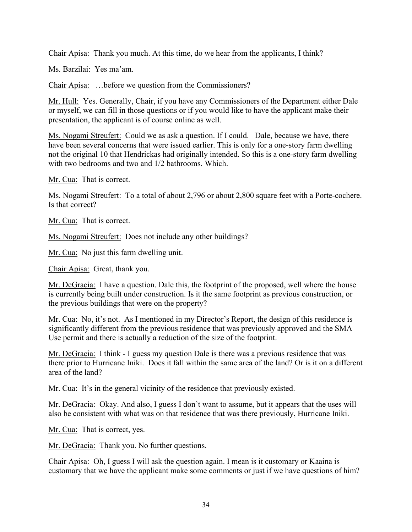Chair Apisa: Thank you much. At this time, do we hear from the applicants, I think?

Ms. Barzilai: Yes ma'am.

Chair Apisa: …before we question from the Commissioners?

Mr. Hull: Yes. Generally, Chair, if you have any Commissioners of the Department either Dale or myself, we can fill in those questions or if you would like to have the applicant make their presentation, the applicant is of course online as well.

Ms. Nogami Streufert: Could we as ask a question. If I could. Dale, because we have, there have been several concerns that were issued earlier. This is only for a one-story farm dwelling not the original 10 that Hendrickas had originally intended. So this is a one-story farm dwelling with two bedrooms and two and 1/2 bathrooms. Which.

Mr. Cua: That is correct.

Ms. Nogami Streufert: To a total of about 2,796 or about 2,800 square feet with a Porte-cochere. Is that correct?

Mr. Cua: That is correct.

Ms. Nogami Streufert: Does not include any other buildings?

Mr. Cua: No just this farm dwelling unit.

Chair Apisa: Great, thank you.

Mr. DeGracia: I have a question. Dale this, the footprint of the proposed, well where the house is currently being built under construction. Is it the same footprint as previous construction, or the previous buildings that were on the property?

Mr. Cua: No, it's not. As I mentioned in my Director's Report, the design of this residence is significantly different from the previous residence that was previously approved and the SMA Use permit and there is actually a reduction of the size of the footprint.

Mr. DeGracia: I think - I guess my question Dale is there was a previous residence that was there prior to Hurricane Iniki. Does it fall within the same area of the land? Or is it on a different area of the land?

Mr. Cua: It's in the general vicinity of the residence that previously existed.

Mr. DeGracia: Okay. And also, I guess I don't want to assume, but it appears that the uses will also be consistent with what was on that residence that was there previously, Hurricane Iniki.

Mr. Cua: That is correct, yes.

Mr. DeGracia: Thank you. No further questions.

Chair Apisa: Oh, I guess I will ask the question again. I mean is it customary or Kaaina is customary that we have the applicant make some comments or just if we have questions of him?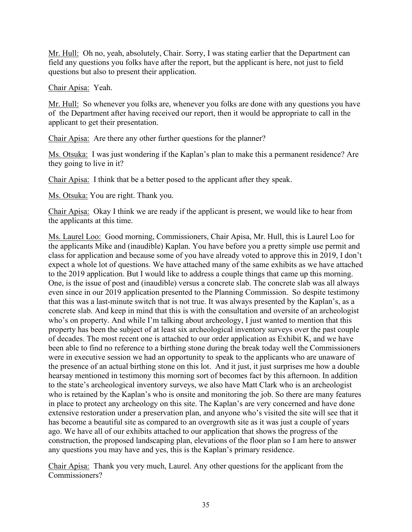Mr. Hull: Oh no, yeah, absolutely, Chair. Sorry, I was stating earlier that the Department can field any questions you folks have after the report, but the applicant is here, not just to field questions but also to present their application.

Chair Apisa: Yeah.

Mr. Hull: So whenever you folks are, whenever you folks are done with any questions you have of the Department after having received our report, then it would be appropriate to call in the applicant to get their presentation.

Chair Apisa: Are there any other further questions for the planner?

Ms. Otsuka: I was just wondering if the Kaplan's plan to make this a permanent residence? Are they going to live in it?

Chair Apisa: I think that be a better posed to the applicant after they speak.

Ms. Otsuka: You are right. Thank you.

Chair Apisa: Okay I think we are ready if the applicant is present, we would like to hear from the applicants at this time.

Ms. Laurel Loo: Good morning, Commissioners, Chair Apisa, Mr. Hull, this is Laurel Loo for the applicants Mike and (inaudible) Kaplan. You have before you a pretty simple use permit and class for application and because some of you have already voted to approve this in 2019, I don't expect a whole lot of questions. We have attached many of the same exhibits as we have attached to the 2019 application. But I would like to address a couple things that came up this morning. One, is the issue of post and (inaudible) versus a concrete slab. The concrete slab was all always even since in our 2019 application presented to the Planning Commission. So despite testimony that this was a last-minute switch that is not true. It was always presented by the Kaplan's, as a concrete slab. And keep in mind that this is with the consultation and oversite of an archeologist who's on property. And while I'm talking about archeology, I just wanted to mention that this property has been the subject of at least six archeological inventory surveys over the past couple of decades. The most recent one is attached to our order application as Exhibit K, and we have been able to find no reference to a birthing stone during the break today well the Commissioners were in executive session we had an opportunity to speak to the applicants who are unaware of the presence of an actual birthing stone on this lot. And it just, it just surprises me how a double hearsay mentioned in testimony this morning sort of becomes fact by this afternoon. In addition to the state's archeological inventory surveys, we also have Matt Clark who is an archeologist who is retained by the Kaplan's who is onsite and monitoring the job. So there are many features in place to protect any archeology on this site. The Kaplan's are very concerned and have done extensive restoration under a preservation plan, and anyone who's visited the site will see that it has become a beautiful site as compared to an overgrowth site as it was just a couple of years ago. We have all of our exhibits attached to our application that shows the progress of the construction, the proposed landscaping plan, elevations of the floor plan so I am here to answer any questions you may have and yes, this is the Kaplan's primary residence.

Chair Apisa: Thank you very much, Laurel. Any other questions for the applicant from the Commissioners?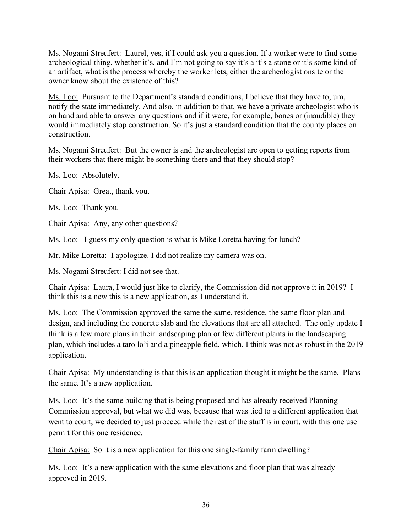Ms. Nogami Streufert: Laurel, yes, if I could ask you a question. If a worker were to find some archeological thing, whether it's, and I'm not going to say it's a it's a stone or it's some kind of an artifact, what is the process whereby the worker lets, either the archeologist onsite or the owner know about the existence of this?

Ms. Loo: Pursuant to the Department's standard conditions, I believe that they have to, um, notify the state immediately. And also, in addition to that, we have a private archeologist who is on hand and able to answer any questions and if it were, for example, bones or (inaudible) they would immediately stop construction. So it's just a standard condition that the county places on construction.

Ms. Nogami Streufert: But the owner is and the archeologist are open to getting reports from their workers that there might be something there and that they should stop?

Ms. Loo: Absolutely.

Chair Apisa: Great, thank you.

Ms. Loo: Thank you.

Chair Apisa: Any, any other questions?

Ms. Loo: I guess my only question is what is Mike Loretta having for lunch?

Mr. Mike Loretta: I apologize. I did not realize my camera was on.

Ms. Nogami Streufert: I did not see that.

Chair Apisa: Laura, I would just like to clarify, the Commission did not approve it in 2019? I think this is a new this is a new application, as I understand it.

Ms. Loo: The Commission approved the same the same, residence, the same floor plan and design, and including the concrete slab and the elevations that are all attached. The only update I think is a few more plans in their landscaping plan or few different plants in the landscaping plan, which includes a taro lo'i and a pineapple field, which, I think was not as robust in the 2019 application.

Chair Apisa: My understanding is that this is an application thought it might be the same. Plans the same. It's a new application.

Ms. Loo: It's the same building that is being proposed and has already received Planning Commission approval, but what we did was, because that was tied to a different application that went to court, we decided to just proceed while the rest of the stuff is in court, with this one use permit for this one residence.

Chair Apisa: So it is a new application for this one single-family farm dwelling?

Ms. Loo: It's a new application with the same elevations and floor plan that was already approved in 2019.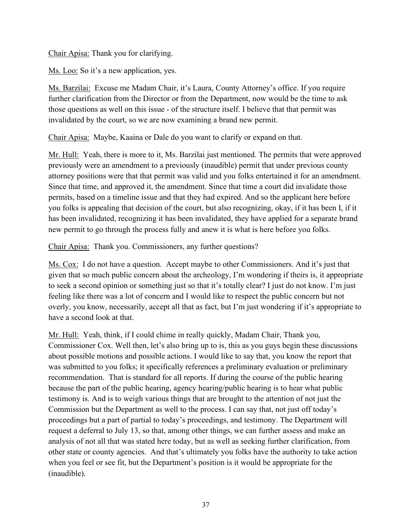Chair Apisa: Thank you for clarifying.

Ms. Loo: So it's a new application, yes.

Ms. Barzilai: Excuse me Madam Chair, it's Laura, County Attorney's office. If you require further clarification from the Director or from the Department, now would be the time to ask those questions as well on this issue - of the structure itself. I believe that that permit was invalidated by the court, so we are now examining a brand new permit.

Chair Apisa: Maybe, Kaaina or Dale do you want to clarify or expand on that.

Mr. Hull: Yeah, there is more to it, Ms. Barzilai just mentioned. The permits that were approved previously were an amendment to a previously (inaudible) permit that under previous county attorney positions were that that permit was valid and you folks entertained it for an amendment. Since that time, and approved it, the amendment. Since that time a court did invalidate those permits, based on a timeline issue and that they had expired. And so the applicant here before you folks is appealing that decision of the court, but also recognizing, okay, if it has been I, if it has been invalidated, recognizing it has been invalidated, they have applied for a separate brand new permit to go through the process fully and anew it is what is here before you folks.

Chair Apisa: Thank you. Commissioners, any further questions?

Ms. Cox: I do not have a question. Accept maybe to other Commissioners. And it's just that given that so much public concern about the archeology, I'm wondering if theirs is, it appropriate to seek a second opinion or something just so that it's totally clear? I just do not know. I'm just feeling like there was a lot of concern and I would like to respect the public concern but not overly, you know, necessarily, accept all that as fact, but I'm just wondering if it's appropriate to have a second look at that.

Mr. Hull: Yeah, think, if I could chime in really quickly, Madam Chair, Thank you, Commissioner Cox. Well then, let's also bring up to is, this as you guys begin these discussions about possible motions and possible actions. I would like to say that, you know the report that was submitted to you folks; it specifically references a preliminary evaluation or preliminary recommendation. That is standard for all reports. If during the course of the public hearing because the part of the public hearing, agency hearing/public hearing is to hear what public testimony is. And is to weigh various things that are brought to the attention of not just the Commission but the Department as well to the process. I can say that, not just off today's proceedings but a part of partial to today's proceedings, and testimony. The Department will request a deferral to July 13, so that, among other things, we can further assess and make an analysis of not all that was stated here today, but as well as seeking further clarification, from other state or county agencies. And that's ultimately you folks have the authority to take action when you feel or see fit, but the Department's position is it would be appropriate for the (inaudible).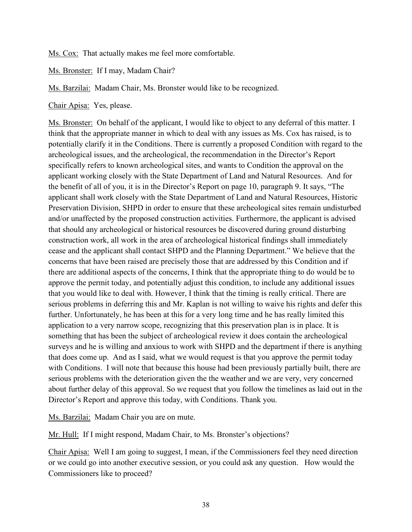Ms. Cox: That actually makes me feel more comfortable.

Ms. Bronster: If I may, Madam Chair?

Ms. Barzilai: Madam Chair, Ms. Bronster would like to be recognized.

Chair Apisa: Yes, please.

Ms. Bronster: On behalf of the applicant, I would like to object to any deferral of this matter. I think that the appropriate manner in which to deal with any issues as Ms. Cox has raised, is to potentially clarify it in the Conditions. There is currently a proposed Condition with regard to the archeological issues, and the archeological, the recommendation in the Director's Report specifically refers to known archeological sites, and wants to Condition the approval on the applicant working closely with the State Department of Land and Natural Resources. And for the benefit of all of you, it is in the Director's Report on page 10, paragraph 9. It says, "The applicant shall work closely with the State Department of Land and Natural Resources, Historic Preservation Division, SHPD in order to ensure that these archeological sites remain undisturbed and/or unaffected by the proposed construction activities. Furthermore, the applicant is advised that should any archeological or historical resources be discovered during ground disturbing construction work, all work in the area of archeological historical findings shall immediately cease and the applicant shall contact SHPD and the Planning Department." We believe that the concerns that have been raised are precisely those that are addressed by this Condition and if there are additional aspects of the concerns, I think that the appropriate thing to do would be to approve the permit today, and potentially adjust this condition, to include any additional issues that you would like to deal with. However, I think that the timing is really critical. There are serious problems in deferring this and Mr. Kaplan is not willing to waive his rights and defer this further. Unfortunately, he has been at this for a very long time and he has really limited this application to a very narrow scope, recognizing that this preservation plan is in place. It is something that has been the subject of archeological review it does contain the archeological surveys and he is willing and anxious to work with SHPD and the department if there is anything that does come up. And as I said, what we would request is that you approve the permit today with Conditions. I will note that because this house had been previously partially built, there are serious problems with the deterioration given the the weather and we are very, very concerned about further delay of this approval. So we request that you follow the timelines as laid out in the Director's Report and approve this today, with Conditions. Thank you.

Ms. Barzilai: Madam Chair you are on mute.

Mr. Hull: If I might respond, Madam Chair, to Ms. Bronster's objections?

Chair Apisa: Well I am going to suggest, I mean, if the Commissioners feel they need direction or we could go into another executive session, or you could ask any question. How would the Commissioners like to proceed?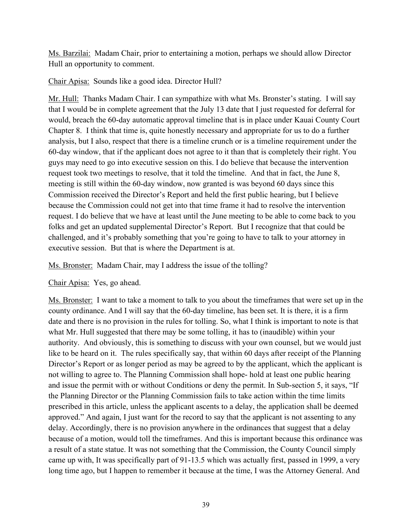Ms. Barzilai: Madam Chair, prior to entertaining a motion, perhaps we should allow Director Hull an opportunity to comment.

## Chair Apisa: Sounds like a good idea. Director Hull?

Mr. Hull: Thanks Madam Chair. I can sympathize with what Ms. Bronster's stating. I will say that I would be in complete agreement that the July 13 date that I just requested for deferral for would, breach the 60-day automatic approval timeline that is in place under Kauai County Court Chapter 8. I think that time is, quite honestly necessary and appropriate for us to do a further analysis, but I also, respect that there is a timeline crunch or is a timeline requirement under the 60-day window, that if the applicant does not agree to it than that is completely their right. You guys may need to go into executive session on this. I do believe that because the intervention request took two meetings to resolve, that it told the timeline. And that in fact, the June 8, meeting is still within the 60-day window, now granted is was beyond 60 days since this Commission received the Director's Report and held the first public hearing, but I believe because the Commission could not get into that time frame it had to resolve the intervention request. I do believe that we have at least until the June meeting to be able to come back to you folks and get an updated supplemental Director's Report. But I recognize that that could be challenged, and it's probably something that you're going to have to talk to your attorney in executive session. But that is where the Department is at.

Ms. Bronster: Madam Chair, may I address the issue of the tolling?

## Chair Apisa: Yes, go ahead.

Ms. Bronster: I want to take a moment to talk to you about the timeframes that were set up in the county ordinance. And I will say that the 60-day timeline, has been set. It is there, it is a firm date and there is no provision in the rules for tolling. So, what I think is important to note is that what Mr. Hull suggested that there may be some tolling, it has to (inaudible) within your authority. And obviously, this is something to discuss with your own counsel, but we would just like to be heard on it. The rules specifically say, that within 60 days after receipt of the Planning Director's Report or as longer period as may be agreed to by the applicant, which the applicant is not willing to agree to. The Planning Commission shall hope- hold at least one public hearing and issue the permit with or without Conditions or deny the permit. In Sub-section 5, it says, "If the Planning Director or the Planning Commission fails to take action within the time limits prescribed in this article, unless the applicant ascents to a delay, the application shall be deemed approved." And again, I just want for the record to say that the applicant is not assenting to any delay. Accordingly, there is no provision anywhere in the ordinances that suggest that a delay because of a motion, would toll the timeframes. And this is important because this ordinance was a result of a state statue. It was not something that the Commission, the County Council simply came up with, It was specifically part of 91-13.5 which was actually first, passed in 1999, a very long time ago, but I happen to remember it because at the time, I was the Attorney General. And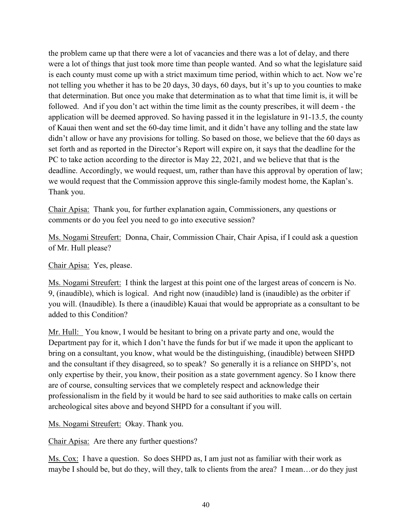the problem came up that there were a lot of vacancies and there was a lot of delay, and there were a lot of things that just took more time than people wanted. And so what the legislature said is each county must come up with a strict maximum time period, within which to act. Now we're not telling you whether it has to be 20 days, 30 days, 60 days, but it's up to you counties to make that determination. But once you make that determination as to what that time limit is, it will be followed. And if you don't act within the time limit as the county prescribes, it will deem - the application will be deemed approved. So having passed it in the legislature in 91-13.5, the county of Kauai then went and set the 60-day time limit, and it didn't have any tolling and the state law didn't allow or have any provisions for tolling. So based on those, we believe that the 60 days as set forth and as reported in the Director's Report will expire on, it says that the deadline for the PC to take action according to the director is May 22, 2021, and we believe that that is the deadline. Accordingly, we would request, um, rather than have this approval by operation of law; we would request that the Commission approve this single-family modest home, the Kaplan's. Thank you.

Chair Apisa: Thank you, for further explanation again, Commissioners, any questions or comments or do you feel you need to go into executive session?

Ms. Nogami Streufert: Donna, Chair, Commission Chair, Chair Apisa, if I could ask a question of Mr. Hull please?

Chair Apisa: Yes, please.

Ms. Nogami Streufert: I think the largest at this point one of the largest areas of concern is No. 9, (inaudible), which is logical. And right now (inaudible) land is (inaudible) as the orbiter if you will. (Inaudible). Is there a (inaudible) Kauai that would be appropriate as a consultant to be added to this Condition?

Mr. Hull: You know, I would be hesitant to bring on a private party and one, would the Department pay for it, which I don't have the funds for but if we made it upon the applicant to bring on a consultant, you know, what would be the distinguishing, (inaudible) between SHPD and the consultant if they disagreed, so to speak? So generally it is a reliance on SHPD's, not only expertise by their, you know, their position as a state government agency. So I know there are of course, consulting services that we completely respect and acknowledge their professionalism in the field by it would be hard to see said authorities to make calls on certain archeological sites above and beyond SHPD for a consultant if you will.

Ms. Nogami Streufert: Okay. Thank you.

Chair Apisa: Are there any further questions?

Ms. Cox: I have a question. So does SHPD as, I am just not as familiar with their work as maybe I should be, but do they, will they, talk to clients from the area? I mean…or do they just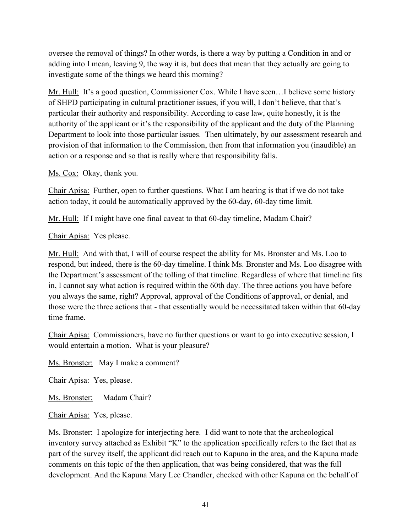oversee the removal of things? In other words, is there a way by putting a Condition in and or adding into I mean, leaving 9, the way it is, but does that mean that they actually are going to investigate some of the things we heard this morning?

Mr. Hull: It's a good question, Commissioner Cox. While I have seen...I believe some history of SHPD participating in cultural practitioner issues, if you will, I don't believe, that that's particular their authority and responsibility. According to case law, quite honestly, it is the authority of the applicant or it's the responsibility of the applicant and the duty of the Planning Department to look into those particular issues. Then ultimately, by our assessment research and provision of that information to the Commission, then from that information you (inaudible) an action or a response and so that is really where that responsibility falls.

Ms. Cox: Okay, thank you.

Chair Apisa: Further, open to further questions. What I am hearing is that if we do not take action today, it could be automatically approved by the 60-day, 60-day time limit.

Mr. Hull: If I might have one final caveat to that 60-day timeline, Madam Chair?

Chair Apisa: Yes please.

Mr. Hull: And with that, I will of course respect the ability for Ms. Bronster and Ms. Loo to respond, but indeed, there is the 60-day timeline. I think Ms. Bronster and Ms. Loo disagree with the Department's assessment of the tolling of that timeline. Regardless of where that timeline fits in, I cannot say what action is required within the 60th day. The three actions you have before you always the same, right? Approval, approval of the Conditions of approval, or denial, and those were the three actions that - that essentially would be necessitated taken within that 60-day time frame.

Chair Apisa: Commissioners, have no further questions or want to go into executive session, I would entertain a motion. What is your pleasure?

Ms. Bronster: May I make a comment?

Chair Apisa: Yes, please.

Ms. Bronster: Madam Chair?

Chair Apisa: Yes, please.

Ms. Bronster: I apologize for interjecting here. I did want to note that the archeological inventory survey attached as Exhibit "K" to the application specifically refers to the fact that as part of the survey itself, the applicant did reach out to Kapuna in the area, and the Kapuna made comments on this topic of the then application, that was being considered, that was the full development. And the Kapuna Mary Lee Chandler, checked with other Kapuna on the behalf of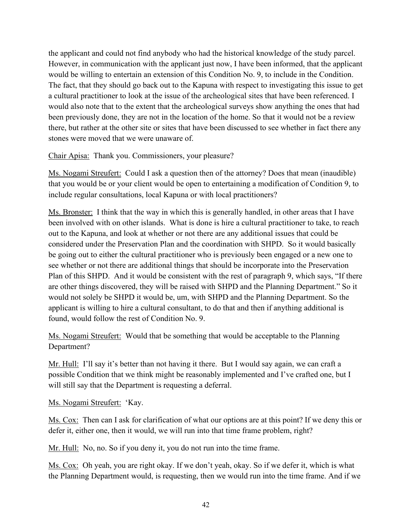the applicant and could not find anybody who had the historical knowledge of the study parcel. However, in communication with the applicant just now, I have been informed, that the applicant would be willing to entertain an extension of this Condition No. 9, to include in the Condition. The fact, that they should go back out to the Kapuna with respect to investigating this issue to get a cultural practitioner to look at the issue of the archeological sites that have been referenced. I would also note that to the extent that the archeological surveys show anything the ones that had been previously done, they are not in the location of the home. So that it would not be a review there, but rather at the other site or sites that have been discussed to see whether in fact there any stones were moved that we were unaware of.

Chair Apisa: Thank you. Commissioners, your pleasure?

Ms. Nogami Streufert: Could I ask a question then of the attorney? Does that mean (inaudible) that you would be or your client would be open to entertaining a modification of Condition 9, to include regular consultations, local Kapuna or with local practitioners?

Ms. Bronster: I think that the way in which this is generally handled, in other areas that I have been involved with on other islands. What is done is hire a cultural practitioner to take, to reach out to the Kapuna, and look at whether or not there are any additional issues that could be considered under the Preservation Plan and the coordination with SHPD. So it would basically be going out to either the cultural practitioner who is previously been engaged or a new one to see whether or not there are additional things that should be incorporate into the Preservation Plan of this SHPD. And it would be consistent with the rest of paragraph 9, which says, "If there are other things discovered, they will be raised with SHPD and the Planning Department." So it would not solely be SHPD it would be, um, with SHPD and the Planning Department. So the applicant is willing to hire a cultural consultant, to do that and then if anything additional is found, would follow the rest of Condition No. 9.

Ms. Nogami Streufert: Would that be something that would be acceptable to the Planning Department?

Mr. Hull: I'll say it's better than not having it there. But I would say again, we can craft a possible Condition that we think might be reasonably implemented and I've crafted one, but I will still say that the Department is requesting a deferral.

Ms. Nogami Streufert: 'Kay.

Ms. Cox: Then can I ask for clarification of what our options are at this point? If we deny this or defer it, either one, then it would, we will run into that time frame problem, right?

Mr. Hull: No, no. So if you deny it, you do not run into the time frame.

Ms. Cox: Oh yeah, you are right okay. If we don't yeah, okay. So if we defer it, which is what the Planning Department would, is requesting, then we would run into the time frame. And if we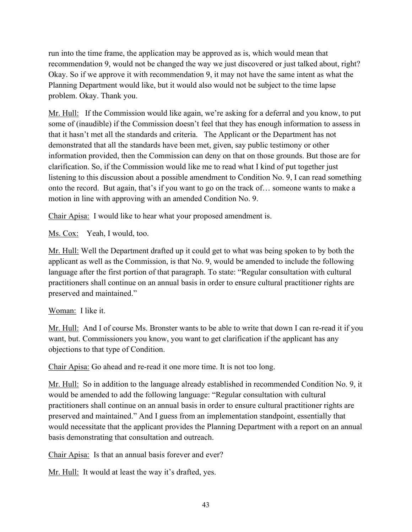run into the time frame, the application may be approved as is, which would mean that recommendation 9, would not be changed the way we just discovered or just talked about, right? Okay. So if we approve it with recommendation 9, it may not have the same intent as what the Planning Department would like, but it would also would not be subject to the time lapse problem. Okay. Thank you.

Mr. Hull: If the Commission would like again, we're asking for a deferral and you know, to put some of (inaudible) if the Commission doesn't feel that they has enough information to assess in that it hasn't met all the standards and criteria. The Applicant or the Department has not demonstrated that all the standards have been met, given, say public testimony or other information provided, then the Commission can deny on that on those grounds. But those are for clarification. So, if the Commission would like me to read what I kind of put together just listening to this discussion about a possible amendment to Condition No. 9, I can read something onto the record. But again, that's if you want to go on the track of… someone wants to make a motion in line with approving with an amended Condition No. 9.

Chair Apisa: I would like to hear what your proposed amendment is.

Ms. Cox: Yeah, I would, too.

Mr. Hull: Well the Department drafted up it could get to what was being spoken to by both the applicant as well as the Commission, is that No. 9, would be amended to include the following language after the first portion of that paragraph. To state: "Regular consultation with cultural practitioners shall continue on an annual basis in order to ensure cultural practitioner rights are preserved and maintained."

## Woman: I like it.

Mr. Hull: And I of course Ms. Bronster wants to be able to write that down I can re-read it if you want, but. Commissioners you know, you want to get clarification if the applicant has any objections to that type of Condition.

Chair Apisa: Go ahead and re-read it one more time. It is not too long.

Mr. Hull: So in addition to the language already established in recommended Condition No. 9, it would be amended to add the following language: "Regular consultation with cultural practitioners shall continue on an annual basis in order to ensure cultural practitioner rights are preserved and maintained." And I guess from an implementation standpoint, essentially that would necessitate that the applicant provides the Planning Department with a report on an annual basis demonstrating that consultation and outreach.

Chair Apisa: Is that an annual basis forever and ever?

Mr. Hull: It would at least the way it's drafted, yes.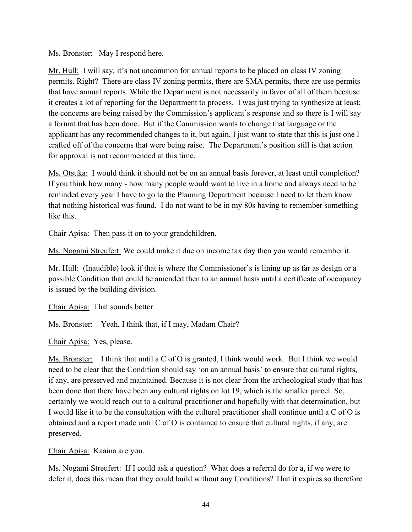### Ms. Bronster: May I respond here.

Mr. Hull: I will say, it's not uncommon for annual reports to be placed on class IV zoning permits. Right? There are class IV zoning permits, there are SMA permits, there are use permits that have annual reports. While the Department is not necessarily in favor of all of them because it creates a lot of reporting for the Department to process. I was just trying to synthesize at least; the concerns are being raised by the Commission's applicant's response and so there is I will say a format that has been done. But if the Commission wants to change that language or the applicant has any recommended changes to it, but again, I just want to state that this is just one I crafted off of the concerns that were being raise. The Department's position still is that action for approval is not recommended at this time.

Ms. Otsuka: I would think it should not be on an annual basis forever, at least until completion? If you think how many - how many people would want to live in a home and always need to be reminded every year I have to go to the Planning Department because I need to let them know that nothing historical was found. I do not want to be in my 80s having to remember something like this.

Chair Apisa: Then pass it on to your grandchildren.

Ms. Nogami Streufert: We could make it due on income tax day then you would remember it.

Mr. Hull: (Inaudible) look if that is where the Commissioner's is lining up as far as design or a possible Condition that could be amended then to an annual basis until a certificate of occupancy is issued by the building division.

Chair Apisa: That sounds better.

Ms. Bronster: Yeah, I think that, if I may, Madam Chair?

Chair Apisa: Yes, please.

Ms. Bronster: I think that until a C of O is granted, I think would work. But I think we would need to be clear that the Condition should say 'on an annual basis' to ensure that cultural rights, if any, are preserved and maintained. Because it is not clear from the archeological study that has been done that there have been any cultural rights on lot 19, which is the smaller parcel. So, certainly we would reach out to a cultural practitioner and hopefully with that determination, but I would like it to be the consultation with the cultural practitioner shall continue until a C of O is obtained and a report made until C of O is contained to ensure that cultural rights, if any, are preserved.

Chair Apisa: Kaaina are you.

Ms. Nogami Streufert: If I could ask a question? What does a referral do for a, if we were to defer it, does this mean that they could build without any Conditions? That it expires so therefore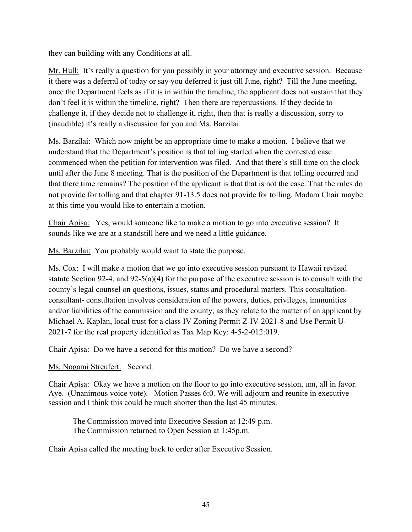they can building with any Conditions at all.

Mr. Hull: It's really a question for you possibly in your attorney and executive session. Because it there was a deferral of today or say you deferred it just till June, right? Till the June meeting, once the Department feels as if it is in within the timeline, the applicant does not sustain that they don't feel it is within the timeline, right? Then there are repercussions. If they decide to challenge it, if they decide not to challenge it, right, then that is really a discussion, sorry to (inaudible) it's really a discussion for you and Ms. Barzilai.

Ms. Barzilai: Which now might be an appropriate time to make a motion. I believe that we understand that the Department's position is that tolling started when the contested case commenced when the petition for intervention was filed. And that there's still time on the clock until after the June 8 meeting. That is the position of the Department is that tolling occurred and that there time remains? The position of the applicant is that that is not the case. That the rules do not provide for tolling and that chapter 91-13.5 does not provide for tolling. Madam Chair maybe at this time you would like to entertain a motion.

Chair Apisa: Yes, would someone like to make a motion to go into executive session? It sounds like we are at a standstill here and we need a little guidance.

Ms. Barzilai: You probably would want to state the purpose.

Ms. Cox: I will make a motion that we go into executive session pursuant to Hawaii revised statute Section 92-4, and 92-5(a)(4) for the purpose of the executive session is to consult with the county's legal counsel on questions, issues, status and procedural matters. This consultationconsultant- consultation involves consideration of the powers, duties, privileges, immunities and/or liabilities of the commission and the county, as they relate to the matter of an applicant by Michael A. Kaplan, local trust for a class IV Zoning Permit Z-IV-2021-8 and Use Permit U-2021-7 for the real property identified as Tax Map Key: 4-5-2-012:019.

Chair Apisa: Do we have a second for this motion? Do we have a second?

Ms. Nogami Streufert: Second.

Chair Apisa: Okay we have a motion on the floor to go into executive session, um, all in favor. Aye. (Unanimous voice vote). Motion Passes 6:0. We will adjourn and reunite in executive session and I think this could be much shorter than the last 45 minutes.

The Commission moved into Executive Session at 12:49 p.m. The Commission returned to Open Session at 1:45p.m.

Chair Apisa called the meeting back to order after Executive Session.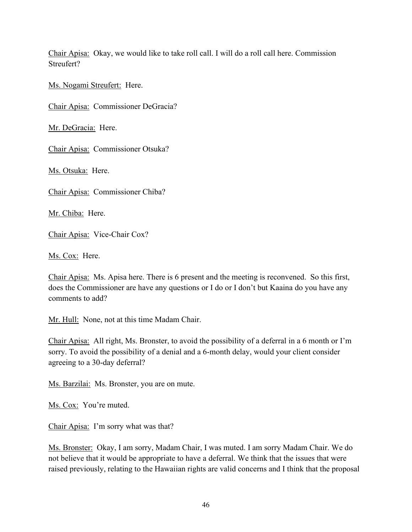Chair Apisa: Okay, we would like to take roll call. I will do a roll call here. Commission Streufert?

Ms. Nogami Streufert: Here.

Chair Apisa: Commissioner DeGracia?

Mr. DeGracia: Here.

Chair Apisa: Commissioner Otsuka?

Ms. Otsuka: Here.

Chair Apisa: Commissioner Chiba?

Mr. Chiba: Here.

Chair Apisa: Vice-Chair Cox?

Ms. Cox: Here.

Chair Apisa: Ms. Apisa here. There is 6 present and the meeting is reconvened. So this first, does the Commissioner are have any questions or I do or I don't but Kaaina do you have any comments to add?

Mr. Hull: None, not at this time Madam Chair.

Chair Apisa: All right, Ms. Bronster, to avoid the possibility of a deferral in a 6 month or I'm sorry. To avoid the possibility of a denial and a 6-month delay, would your client consider agreeing to a 30-day deferral?

Ms. Barzilai: Ms. Bronster, you are on mute.

Ms. Cox: You're muted.

Chair Apisa: I'm sorry what was that?

Ms. Bronster: Okay, I am sorry, Madam Chair, I was muted. I am sorry Madam Chair. We do not believe that it would be appropriate to have a deferral. We think that the issues that were raised previously, relating to the Hawaiian rights are valid concerns and I think that the proposal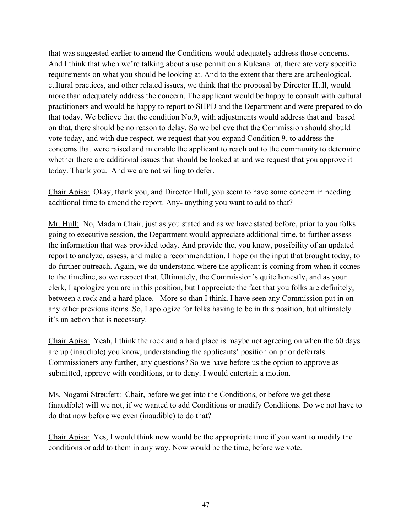that was suggested earlier to amend the Conditions would adequately address those concerns. And I think that when we're talking about a use permit on a Kuleana lot, there are very specific requirements on what you should be looking at. And to the extent that there are archeological, cultural practices, and other related issues, we think that the proposal by Director Hull, would more than adequately address the concern. The applicant would be happy to consult with cultural practitioners and would be happy to report to SHPD and the Department and were prepared to do that today. We believe that the condition No.9, with adjustments would address that and based on that, there should be no reason to delay. So we believe that the Commission should should vote today, and with due respect, we request that you expand Condition 9, to address the concerns that were raised and in enable the applicant to reach out to the community to determine whether there are additional issues that should be looked at and we request that you approve it today. Thank you. And we are not willing to defer.

Chair Apisa: Okay, thank you, and Director Hull, you seem to have some concern in needing additional time to amend the report. Any- anything you want to add to that?

Mr. Hull: No, Madam Chair, just as you stated and as we have stated before, prior to you folks going to executive session, the Department would appreciate additional time, to further assess the information that was provided today. And provide the, you know, possibility of an updated report to analyze, assess, and make a recommendation. I hope on the input that brought today, to do further outreach. Again, we do understand where the applicant is coming from when it comes to the timeline, so we respect that. Ultimately, the Commission's quite honestly, and as your clerk, I apologize you are in this position, but I appreciate the fact that you folks are definitely, between a rock and a hard place. More so than I think, I have seen any Commission put in on any other previous items. So, I apologize for folks having to be in this position, but ultimately it's an action that is necessary.

Chair Apisa: Yeah, I think the rock and a hard place is maybe not agreeing on when the 60 days are up (inaudible) you know, understanding the applicants' position on prior deferrals. Commissioners any further, any questions? So we have before us the option to approve as submitted, approve with conditions, or to deny. I would entertain a motion.

Ms. Nogami Streufert: Chair, before we get into the Conditions, or before we get these (inaudible) will we not, if we wanted to add Conditions or modify Conditions. Do we not have to do that now before we even (inaudible) to do that?

Chair Apisa: Yes, I would think now would be the appropriate time if you want to modify the conditions or add to them in any way. Now would be the time, before we vote.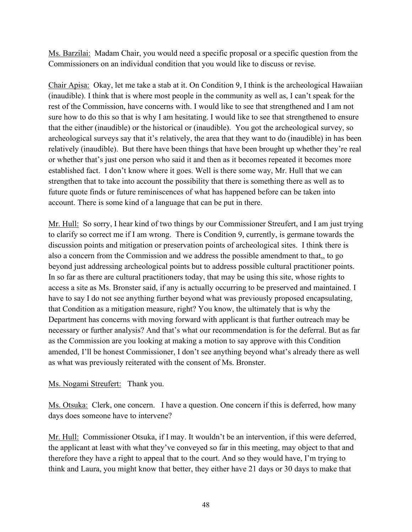Ms. Barzilai: Madam Chair, you would need a specific proposal or a specific question from the Commissioners on an individual condition that you would like to discuss or revise.

Chair Apisa: Okay, let me take a stab at it. On Condition 9, I think is the archeological Hawaiian (inaudible). I think that is where most people in the community as well as, I can't speak for the rest of the Commission, have concerns with. I would like to see that strengthened and I am not sure how to do this so that is why I am hesitating. I would like to see that strengthened to ensure that the either (inaudible) or the historical or (inaudible). You got the archeological survey, so archeological surveys say that it's relatively, the area that they want to do (inaudible) in has been relatively (inaudible). But there have been things that have been brought up whether they're real or whether that's just one person who said it and then as it becomes repeated it becomes more established fact. I don't know where it goes. Well is there some way, Mr. Hull that we can strengthen that to take into account the possibility that there is something there as well as to future quote finds or future reminiscences of what has happened before can be taken into account. There is some kind of a language that can be put in there.

Mr. Hull: So sorry, I hear kind of two things by our Commissioner Streufert, and I am just trying to clarify so correct me if I am wrong. There is Condition 9, currently, is germane towards the discussion points and mitigation or preservation points of archeological sites. I think there is also a concern from the Commission and we address the possible amendment to that,, to go beyond just addressing archeological points but to address possible cultural practitioner points. In so far as there are cultural practitioners today, that may be using this site, whose rights to access a site as Ms. Bronster said, if any is actually occurring to be preserved and maintained. I have to say I do not see anything further beyond what was previously proposed encapsulating, that Condition as a mitigation measure, right? You know, the ultimately that is why the Department has concerns with moving forward with applicant is that further outreach may be necessary or further analysis? And that's what our recommendation is for the deferral. But as far as the Commission are you looking at making a motion to say approve with this Condition amended, I'll be honest Commissioner, I don't see anything beyond what's already there as well as what was previously reiterated with the consent of Ms. Bronster.

Ms. Nogami Streufert: Thank you.

Ms. Otsuka: Clerk, one concern. I have a question. One concern if this is deferred, how many days does someone have to intervene?

Mr. Hull: Commissioner Otsuka, if I may. It wouldn't be an intervention, if this were deferred, the applicant at least with what they've conveyed so far in this meeting, may object to that and therefore they have a right to appeal that to the court. And so they would have, I'm trying to think and Laura, you might know that better, they either have 21 days or 30 days to make that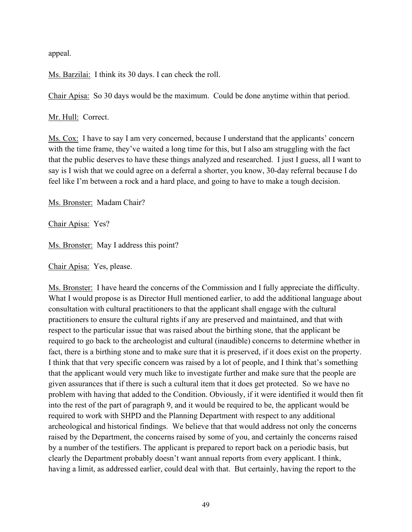appeal.

Ms. Barzilai: I think its 30 days. I can check the roll.

Chair Apisa: So 30 days would be the maximum. Could be done anytime within that period.

Mr. Hull: Correct.

Ms. Cox: I have to say I am very concerned, because I understand that the applicants' concern with the time frame, they've waited a long time for this, but I also am struggling with the fact that the public deserves to have these things analyzed and researched. I just I guess, all I want to say is I wish that we could agree on a deferral a shorter, you know, 30-day referral because I do feel like I'm between a rock and a hard place, and going to have to make a tough decision.

Ms. Bronster: Madam Chair?

Chair Apisa: Yes?

Ms. Bronster: May I address this point?

Chair Apisa: Yes, please.

Ms. Bronster: I have heard the concerns of the Commission and I fully appreciate the difficulty. What I would propose is as Director Hull mentioned earlier, to add the additional language about consultation with cultural practitioners to that the applicant shall engage with the cultural practitioners to ensure the cultural rights if any are preserved and maintained, and that with respect to the particular issue that was raised about the birthing stone, that the applicant be required to go back to the archeologist and cultural (inaudible) concerns to determine whether in fact, there is a birthing stone and to make sure that it is preserved, if it does exist on the property. I think that that very specific concern was raised by a lot of people, and I think that's something that the applicant would very much like to investigate further and make sure that the people are given assurances that if there is such a cultural item that it does get protected. So we have no problem with having that added to the Condition. Obviously, if it were identified it would then fit into the rest of the part of paragraph 9, and it would be required to be, the applicant would be required to work with SHPD and the Planning Department with respect to any additional archeological and historical findings. We believe that that would address not only the concerns raised by the Department, the concerns raised by some of you, and certainly the concerns raised by a number of the testifiers. The applicant is prepared to report back on a periodic basis, but clearly the Department probably doesn't want annual reports from every applicant. I think, having a limit, as addressed earlier, could deal with that. But certainly, having the report to the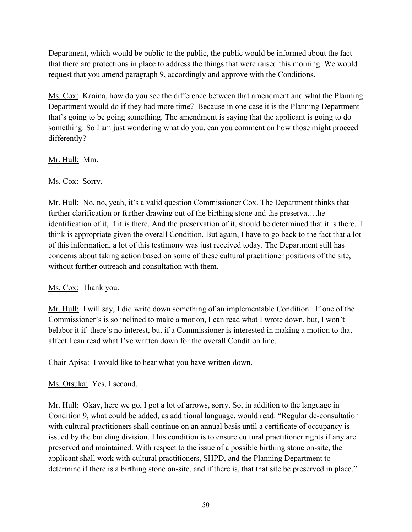Department, which would be public to the public, the public would be informed about the fact that there are protections in place to address the things that were raised this morning. We would request that you amend paragraph 9, accordingly and approve with the Conditions.

Ms. Cox: Kaaina, how do you see the difference between that amendment and what the Planning Department would do if they had more time? Because in one case it is the Planning Department that's going to be going something. The amendment is saying that the applicant is going to do something. So I am just wondering what do you, can you comment on how those might proceed differently?

Mr. Hull: Mm.

Ms. Cox: Sorry.

Mr. Hull: No, no, yeah, it's a valid question Commissioner Cox. The Department thinks that further clarification or further drawing out of the birthing stone and the preserva…the identification of it, if it is there. And the preservation of it, should be determined that it is there. I think is appropriate given the overall Condition. But again, I have to go back to the fact that a lot of this information, a lot of this testimony was just received today. The Department still has concerns about taking action based on some of these cultural practitioner positions of the site, without further outreach and consultation with them.

Ms. Cox: Thank you.

Mr. Hull: I will say, I did write down something of an implementable Condition. If one of the Commissioner's is so inclined to make a motion, I can read what I wrote down, but, I won't belabor it if there's no interest, but if a Commissioner is interested in making a motion to that affect I can read what I've written down for the overall Condition line.

Chair Apisa: I would like to hear what you have written down.

Ms. Otsuka: Yes, I second.

Mr. Hull: Okay, here we go, I got a lot of arrows, sorry. So, in addition to the language in Condition 9, what could be added, as additional language, would read: "Regular de-consultation with cultural practitioners shall continue on an annual basis until a certificate of occupancy is issued by the building division. This condition is to ensure cultural practitioner rights if any are preserved and maintained. With respect to the issue of a possible birthing stone on-site, the applicant shall work with cultural practitioners, SHPD, and the Planning Department to determine if there is a birthing stone on-site, and if there is, that that site be preserved in place."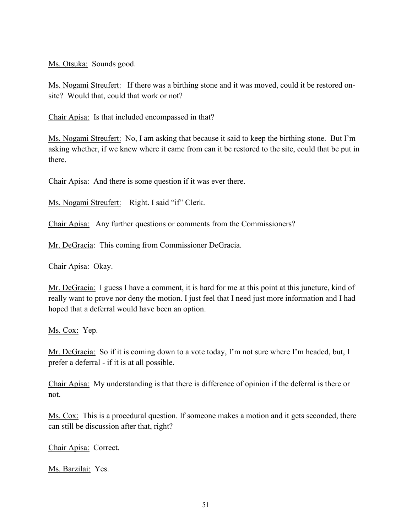Ms. Otsuka: Sounds good.

Ms. Nogami Streufert: If there was a birthing stone and it was moved, could it be restored onsite? Would that, could that work or not?

Chair Apisa: Is that included encompassed in that?

Ms. Nogami Streufert: No, I am asking that because it said to keep the birthing stone. But I'm asking whether, if we knew where it came from can it be restored to the site, could that be put in there.

Chair Apisa: And there is some question if it was ever there.

Ms. Nogami Streufert: Right. I said "if" Clerk.

Chair Apisa: Any further questions or comments from the Commissioners?

Mr. DeGracia: This coming from Commissioner DeGracia.

Chair Apisa: Okay.

Mr. DeGracia: I guess I have a comment, it is hard for me at this point at this juncture, kind of really want to prove nor deny the motion. I just feel that I need just more information and I had hoped that a deferral would have been an option.

Ms. Cox: Yep.

Mr. DeGracia: So if it is coming down to a vote today, I'm not sure where I'm headed, but, I prefer a deferral - if it is at all possible.

Chair Apisa: My understanding is that there is difference of opinion if the deferral is there or not.

Ms. Cox: This is a procedural question. If someone makes a motion and it gets seconded, there can still be discussion after that, right?

Chair Apisa: Correct.

Ms. Barzilai: Yes.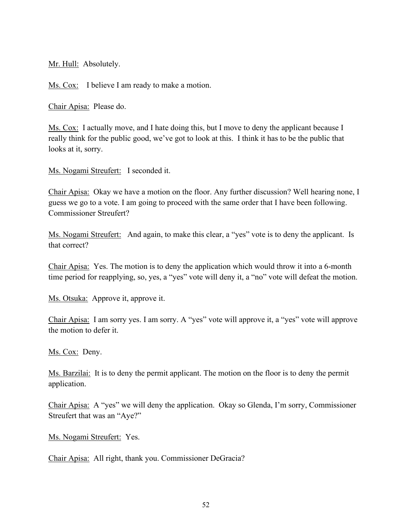Mr. Hull: Absolutely.

Ms. Cox: I believe I am ready to make a motion.

Chair Apisa: Please do.

Ms. Cox: I actually move, and I hate doing this, but I move to deny the applicant because I really think for the public good, we've got to look at this. I think it has to be the public that looks at it, sorry.

Ms. Nogami Streufert: I seconded it.

Chair Apisa: Okay we have a motion on the floor. Any further discussion? Well hearing none, I guess we go to a vote. I am going to proceed with the same order that I have been following. Commissioner Streufert?

Ms. Nogami Streufert: And again, to make this clear, a "yes" vote is to deny the applicant. Is that correct?

Chair Apisa: Yes. The motion is to deny the application which would throw it into a 6-month time period for reapplying, so, yes, a "yes" vote will deny it, a "no" vote will defeat the motion.

Ms. Otsuka: Approve it, approve it.

Chair Apisa: I am sorry yes. I am sorry. A "yes" vote will approve it, a "yes" vote will approve the motion to defer it.

Ms. Cox: Deny.

Ms. Barzilai: It is to deny the permit applicant. The motion on the floor is to deny the permit application.

Chair Apisa: A "yes" we will deny the application. Okay so Glenda, I'm sorry, Commissioner Streufert that was an "Aye?"

Ms. Nogami Streufert: Yes.

Chair Apisa: All right, thank you. Commissioner DeGracia?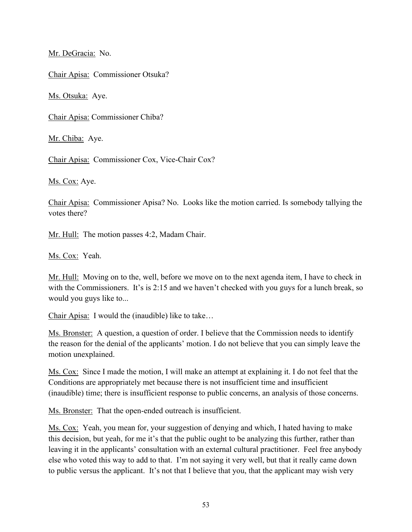Mr. DeGracia: No.

Chair Apisa: Commissioner Otsuka?

Ms. Otsuka: Aye.

Chair Apisa: Commissioner Chiba?

Mr. Chiba: Aye.

Chair Apisa: Commissioner Cox, Vice-Chair Cox?

Ms. Cox: Aye.

Chair Apisa: Commissioner Apisa? No. Looks like the motion carried. Is somebody tallying the votes there?

Mr. Hull: The motion passes 4:2, Madam Chair.

Ms. Cox: Yeah.

Mr. Hull: Moving on to the, well, before we move on to the next agenda item, I have to check in with the Commissioners. It's is 2:15 and we haven't checked with you guys for a lunch break, so would you guys like to...

Chair Apisa: I would the (inaudible) like to take…

Ms. Bronster: A question, a question of order. I believe that the Commission needs to identify the reason for the denial of the applicants' motion. I do not believe that you can simply leave the motion unexplained.

Ms. Cox: Since I made the motion, I will make an attempt at explaining it. I do not feel that the Conditions are appropriately met because there is not insufficient time and insufficient (inaudible) time; there is insufficient response to public concerns, an analysis of those concerns.

Ms. Bronster: That the open-ended outreach is insufficient.

Ms. Cox: Yeah, you mean for, your suggestion of denying and which, I hated having to make this decision, but yeah, for me it's that the public ought to be analyzing this further, rather than leaving it in the applicants' consultation with an external cultural practitioner. Feel free anybody else who voted this way to add to that. I'm not saying it very well, but that it really came down to public versus the applicant. It's not that I believe that you, that the applicant may wish very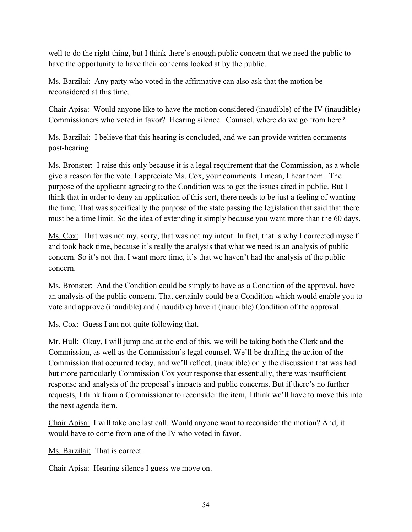well to do the right thing, but I think there's enough public concern that we need the public to have the opportunity to have their concerns looked at by the public.

Ms. Barzilai: Any party who voted in the affirmative can also ask that the motion be reconsidered at this time.

Chair Apisa: Would anyone like to have the motion considered (inaudible) of the IV (inaudible) Commissioners who voted in favor? Hearing silence. Counsel, where do we go from here?

Ms. Barzilai: I believe that this hearing is concluded, and we can provide written comments post-hearing.

Ms. Bronster: I raise this only because it is a legal requirement that the Commission, as a whole give a reason for the vote. I appreciate Ms. Cox, your comments. I mean, I hear them. The purpose of the applicant agreeing to the Condition was to get the issues aired in public. But I think that in order to deny an application of this sort, there needs to be just a feeling of wanting the time. That was specifically the purpose of the state passing the legislation that said that there must be a time limit. So the idea of extending it simply because you want more than the 60 days.

Ms. Cox: That was not my, sorry, that was not my intent. In fact, that is why I corrected myself and took back time, because it's really the analysis that what we need is an analysis of public concern. So it's not that I want more time, it's that we haven't had the analysis of the public concern.

Ms. Bronster: And the Condition could be simply to have as a Condition of the approval, have an analysis of the public concern. That certainly could be a Condition which would enable you to vote and approve (inaudible) and (inaudible) have it (inaudible) Condition of the approval.

Ms. Cox: Guess I am not quite following that.

Mr. Hull: Okay, I will jump and at the end of this, we will be taking both the Clerk and the Commission, as well as the Commission's legal counsel. We'll be drafting the action of the Commission that occurred today, and we'll reflect, (inaudible) only the discussion that was had but more particularly Commission Cox your response that essentially, there was insufficient response and analysis of the proposal's impacts and public concerns. But if there's no further requests, I think from a Commissioner to reconsider the item, I think we'll have to move this into the next agenda item.

Chair Apisa: I will take one last call. Would anyone want to reconsider the motion? And, it would have to come from one of the IV who voted in favor.

Ms. Barzilai: That is correct.

Chair Apisa: Hearing silence I guess we move on.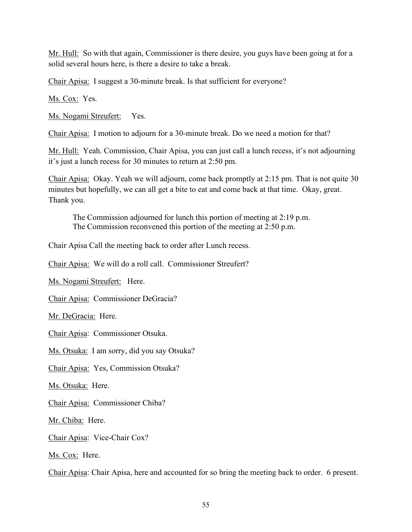Mr. Hull: So with that again, Commissioner is there desire, you guys have been going at for a solid several hours here, is there a desire to take a break.

Chair Apisa: I suggest a 30-minute break. Is that sufficient for everyone?

Ms. Cox: Yes.

Ms. Nogami Streufert: Yes.

Chair Apisa: I motion to adjourn for a 30-minute break. Do we need a motion for that?

Mr. Hull: Yeah. Commission, Chair Apisa, you can just call a lunch recess, it's not adjourning it's just a lunch recess for 30 minutes to return at 2:50 pm.

Chair Apisa: Okay. Yeah we will adjourn, come back promptly at 2:15 pm. That is not quite 30 minutes but hopefully, we can all get a bite to eat and come back at that time. Okay, great. Thank you.

The Commission adjourned for lunch this portion of meeting at 2:19 p.m. The Commission reconvened this portion of the meeting at 2:50 p.m.

Chair Apisa Call the meeting back to order after Lunch recess.

Chair Apisa: We will do a roll call. Commissioner Streufert?

Ms. Nogami Streufert: Here.

Chair Apisa: Commissioner DeGracia?

Mr. DeGracia: Here.

Chair Apisa: Commissioner Otsuka.

Ms. Otsuka: I am sorry, did you say Otsuka?

Chair Apisa: Yes, Commission Otsuka?

Ms. Otsuka: Here.

Chair Apisa: Commissioner Chiba?

Mr. Chiba: Here.

Chair Apisa: Vice-Chair Cox?

Ms. Cox: Here.

Chair Apisa: Chair Apisa, here and accounted for so bring the meeting back to order. 6 present.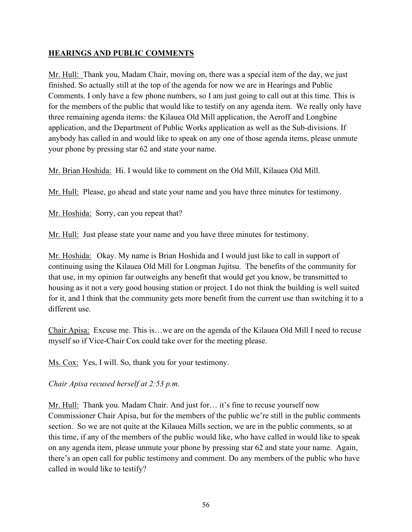## **HEARINGS AND PUBLIC COMMENTS**

Mr. Hull: Thank you, Madam Chair, moving on, there was a special item of the day, we just finished. So actually still at the top of the agenda for now we are in Hearings and Public Comments. I only have a few phone numbers, so I am just going to call out at this time. This is for the members of the public that would like to testify on any agenda item. We really only have three remaining agenda items: the Kilauea Old Mill application, the Aeroff and Longbine application, and the Department of Public Works application as well as the Sub-divisions. If anybody has called in and would like to speak on any one of those agenda items, please unmute your phone by pressing star 62 and state your name.

Mr. Brian Hoshida: Hi. I would like to comment on the Old Mill, Kilauea Old Mill.

Mr. Hull: Please, go ahead and state your name and you have three minutes for testimony.

Mr. Hoshida: Sorry, can you repeat that?

Mr. Hull: Just please state your name and you have three minutes for testimony.

Mr. Hoshida: Okay. My name is Brian Hoshida and I would just like to call in support of continuing using the Kilauea Old Mill for Longman Jujitsu. The benefits of the community for that use, in my opinion far outweighs any benefit that would get you know, be transmitted to housing as it not a very good housing station or project. I do not think the building is well suited for it, and I think that the community gets more benefit from the current use than switching it to a different use.

Chair Apisa: Excuse me. This is…we are on the agenda of the Kilauea Old Mill I need to recuse myself so if Vice-Chair Cox could take over for the meeting please.

Ms. Cox: Yes, I will. So, thank you for your testimony.

*Chair Apisa recused herself at 2:53 p.m.*

Mr. Hull: Thank you. Madam Chair. And just for… it's fine to recuse yourself now Commissioner Chair Apisa, but for the members of the public we're still in the public comments section. So we are not quite at the Kilauea Mills section, we are in the public comments, so at this time, if any of the members of the public would like, who have called in would like to speak on any agenda item, please unmute your phone by pressing star 62 and state your name. Again, there's an open call for public testimony and comment. Do any members of the public who have called in would like to testify?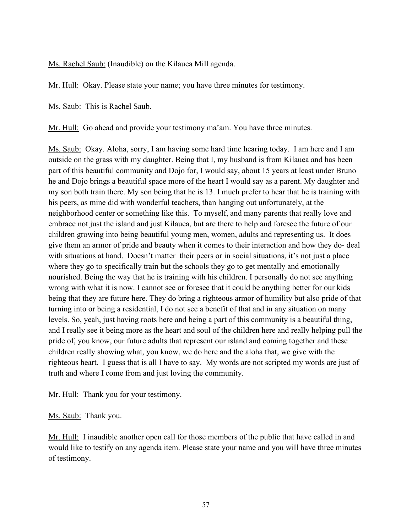Ms. Rachel Saub: (Inaudible) on the Kilauea Mill agenda.

Mr. Hull: Okay. Please state your name; you have three minutes for testimony.

Ms. Saub: This is Rachel Saub.

Mr. Hull: Go ahead and provide your testimony ma'am. You have three minutes.

Ms. Saub: Okay. Aloha, sorry, I am having some hard time hearing today. I am here and I am outside on the grass with my daughter. Being that I, my husband is from Kilauea and has been part of this beautiful community and Dojo for, I would say, about 15 years at least under Bruno he and Dojo brings a beautiful space more of the heart I would say as a parent. My daughter and my son both train there. My son being that he is 13. I much prefer to hear that he is training with his peers, as mine did with wonderful teachers, than hanging out unfortunately, at the neighborhood center or something like this. To myself, and many parents that really love and embrace not just the island and just Kilauea, but are there to help and foresee the future of our children growing into being beautiful young men, women, adults and representing us. It does give them an armor of pride and beauty when it comes to their interaction and how they do- deal with situations at hand. Doesn't matter their peers or in social situations, it's not just a place where they go to specifically train but the schools they go to get mentally and emotionally nourished. Being the way that he is training with his children. I personally do not see anything wrong with what it is now. I cannot see or foresee that it could be anything better for our kids being that they are future here. They do bring a righteous armor of humility but also pride of that turning into or being a residential, I do not see a benefit of that and in any situation on many levels. So, yeah, just having roots here and being a part of this community is a beautiful thing, and I really see it being more as the heart and soul of the children here and really helping pull the pride of, you know, our future adults that represent our island and coming together and these children really showing what, you know, we do here and the aloha that, we give with the righteous heart. I guess that is all I have to say. My words are not scripted my words are just of truth and where I come from and just loving the community.

Mr. Hull: Thank you for your testimony.

#### Ms. Saub: Thank you.

Mr. Hull: I inaudible another open call for those members of the public that have called in and would like to testify on any agenda item. Please state your name and you will have three minutes of testimony.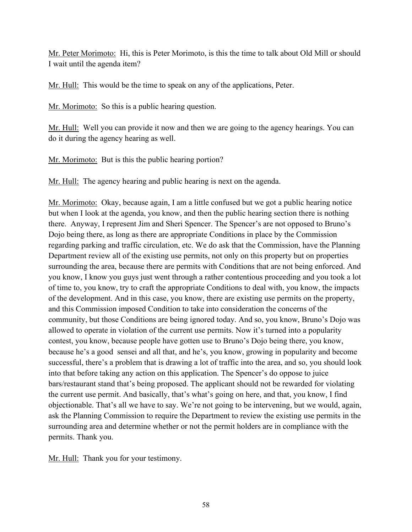Mr. Peter Morimoto: Hi, this is Peter Morimoto, is this the time to talk about Old Mill or should I wait until the agenda item?

Mr. Hull: This would be the time to speak on any of the applications, Peter.

Mr. Morimoto: So this is a public hearing question.

Mr. Hull: Well you can provide it now and then we are going to the agency hearings. You can do it during the agency hearing as well.

Mr. Morimoto: But is this the public hearing portion?

Mr. Hull: The agency hearing and public hearing is next on the agenda.

Mr. Morimoto: Okay, because again, I am a little confused but we got a public hearing notice but when I look at the agenda, you know, and then the public hearing section there is nothing there. Anyway, I represent Jim and Sheri Spencer. The Spencer's are not opposed to Bruno's Dojo being there, as long as there are appropriate Conditions in place by the Commission regarding parking and traffic circulation, etc. We do ask that the Commission, have the Planning Department review all of the existing use permits, not only on this property but on properties surrounding the area, because there are permits with Conditions that are not being enforced. And you know, I know you guys just went through a rather contentious proceeding and you took a lot of time to, you know, try to craft the appropriate Conditions to deal with, you know, the impacts of the development. And in this case, you know, there are existing use permits on the property, and this Commission imposed Condition to take into consideration the concerns of the community, but those Conditions are being ignored today. And so, you know, Bruno's Dojo was allowed to operate in violation of the current use permits. Now it's turned into a popularity contest, you know, because people have gotten use to Bruno's Dojo being there, you know, because he's a good sensei and all that, and he's, you know, growing in popularity and become successful, there's a problem that is drawing a lot of traffic into the area, and so, you should look into that before taking any action on this application. The Spencer's do oppose to juice bars/restaurant stand that's being proposed. The applicant should not be rewarded for violating the current use permit. And basically, that's what's going on here, and that, you know, I find objectionable. That's all we have to say. We're not going to be intervening, but we would, again, ask the Planning Commission to require the Department to review the existing use permits in the surrounding area and determine whether or not the permit holders are in compliance with the permits. Thank you.

Mr. Hull: Thank you for your testimony.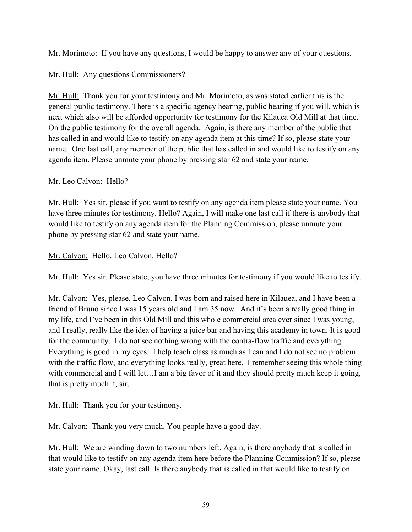Mr. Morimoto: If you have any questions, I would be happy to answer any of your questions.

# Mr. Hull: Any questions Commissioners?

Mr. Hull: Thank you for your testimony and Mr. Morimoto, as was stated earlier this is the general public testimony. There is a specific agency hearing, public hearing if you will, which is next which also will be afforded opportunity for testimony for the Kilauea Old Mill at that time. On the public testimony for the overall agenda. Again, is there any member of the public that has called in and would like to testify on any agenda item at this time? If so, please state your name. One last call, any member of the public that has called in and would like to testify on any agenda item. Please unmute your phone by pressing star 62 and state your name.

# Mr. Leo Calvon: Hello?

Mr. Hull: Yes sir, please if you want to testify on any agenda item please state your name. You have three minutes for testimony. Hello? Again, I will make one last call if there is anybody that would like to testify on any agenda item for the Planning Commission, please unmute your phone by pressing star 62 and state your name.

Mr. Calvon: Hello. Leo Calvon. Hello?

Mr. Hull: Yes sir. Please state, you have three minutes for testimony if you would like to testify.

Mr. Calvon: Yes, please. Leo Calvon. I was born and raised here in Kilauea, and I have been a friend of Bruno since I was 15 years old and I am 35 now. And it's been a really good thing in my life, and I've been in this Old Mill and this whole commercial area ever since I was young, and I really, really like the idea of having a juice bar and having this academy in town. It is good for the community. I do not see nothing wrong with the contra-flow traffic and everything. Everything is good in my eyes. I help teach class as much as I can and I do not see no problem with the traffic flow, and everything looks really, great here. I remember seeing this whole thing with commercial and I will let…I am a big favor of it and they should pretty much keep it going, that is pretty much it, sir.

Mr. Hull: Thank you for your testimony.

Mr. Calvon: Thank you very much. You people have a good day.

Mr. Hull: We are winding down to two numbers left. Again, is there anybody that is called in that would like to testify on any agenda item here before the Planning Commission? If so, please state your name. Okay, last call. Is there anybody that is called in that would like to testify on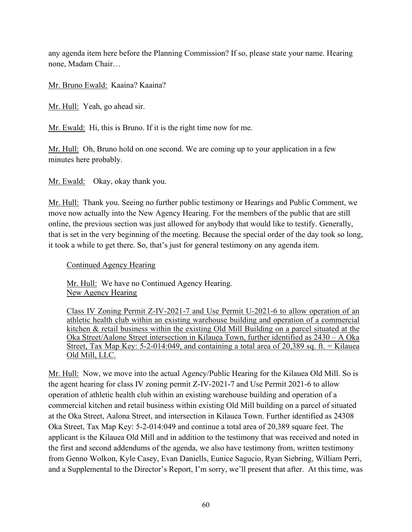any agenda item here before the Planning Commission? If so, please state your name. Hearing none, Madam Chair…

Mr. Bruno Ewald: Kaaina? Kaaina?

Mr. Hull: Yeah, go ahead sir.

Mr. Ewald: Hi, this is Bruno. If it is the right time now for me.

Mr. Hull: Oh, Bruno hold on one second. We are coming up to your application in a few minutes here probably.

Mr. Ewald: Okay, okay thank you.

Mr. Hull: Thank you. Seeing no further public testimony or Hearings and Public Comment, we move now actually into the New Agency Hearing. For the members of the public that are still online, the previous section was just allowed for anybody that would like to testify. Generally, that is set in the very beginning of the meeting. Because the special order of the day took so long, it took a while to get there. So, that's just for general testimony on any agenda item.

Continued Agency Hearing

Mr. Hull: We have no Continued Agency Hearing. New Agency Hearing

Class IV Zoning Permit Z-IV-2021-7 and Use Permit U-2021-6 to allow operation of an athletic health club within an existing warehouse building and operation of a commercial kitchen & retail business within the existing Old Mill Building on a parcel situated at the Oka Street/Aalone Street intersection in Kilauea Town, further identified as 2430 – A Oka Street, Tax Map Key: 5-2-014:049, and containing a total area of 20,389 sq. ft.  $=$  Kilauea Old Mill, LLC.

Mr. Hull: Now, we move into the actual Agency/Public Hearing for the Kilauea Old Mill. So is the agent hearing for class IV zoning permit Z-IV-2021-7 and Use Permit 2021-6 to allow operation of athletic health club within an existing warehouse building and operation of a commercial kitchen and retail business within existing Old Mill building on a parcel of situated at the Oka Street, Aalona Street, and intersection in Kilauea Town. Further identified as 24308 Oka Street, Tax Map Key: 5-2-014:049 and continue a total area of 20,389 square feet. The applicant is the Kilauea Old Mill and in addition to the testimony that was received and noted in the first and second addendums of the agenda, we also have testimony from, written testimony from Genno Wolkon, Kyle Casey, Evan Daniells, Eunice Sagucio, Ryan Siebring, William Perri, and a Supplemental to the Director's Report, I'm sorry, we'll present that after. At this time, was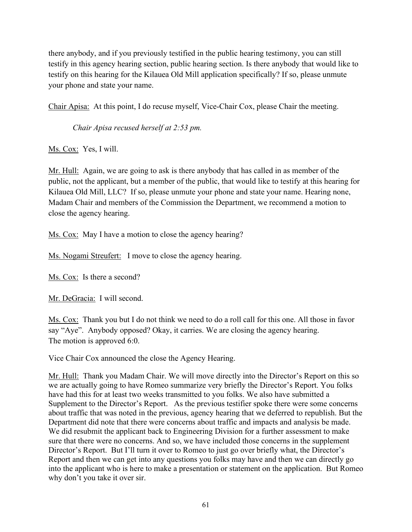there anybody, and if you previously testified in the public hearing testimony, you can still testify in this agency hearing section, public hearing section. Is there anybody that would like to testify on this hearing for the Kilauea Old Mill application specifically? If so, please unmute your phone and state your name.

Chair Apisa: At this point, I do recuse myself, Vice-Chair Cox, please Chair the meeting.

*Chair Apisa recused herself at 2:53 pm.*

Ms. Cox: Yes, I will.

Mr. Hull: Again, we are going to ask is there anybody that has called in as member of the public, not the applicant, but a member of the public, that would like to testify at this hearing for Kilauea Old Mill, LLC? If so, please unmute your phone and state your name. Hearing none, Madam Chair and members of the Commission the Department, we recommend a motion to close the agency hearing.

Ms. Cox: May I have a motion to close the agency hearing?

Ms. Nogami Streufert: I move to close the agency hearing.

Ms. Cox: Is there a second?

Mr. DeGracia: I will second.

Ms. Cox: Thank you but I do not think we need to do a roll call for this one. All those in favor say "Aye". Anybody opposed? Okay, it carries. We are closing the agency hearing. The motion is approved 6:0.

Vice Chair Cox announced the close the Agency Hearing.

Mr. Hull: Thank you Madam Chair. We will move directly into the Director's Report on this so we are actually going to have Romeo summarize very briefly the Director's Report. You folks have had this for at least two weeks transmitted to you folks. We also have submitted a Supplement to the Director's Report. As the previous testifier spoke there were some concerns about traffic that was noted in the previous, agency hearing that we deferred to republish. But the Department did note that there were concerns about traffic and impacts and analysis be made. We did resubmit the applicant back to Engineering Division for a further assessment to make sure that there were no concerns. And so, we have included those concerns in the supplement Director's Report. But I'll turn it over to Romeo to just go over briefly what, the Director's Report and then we can get into any questions you folks may have and then we can directly go into the applicant who is here to make a presentation or statement on the application. But Romeo why don't you take it over sir.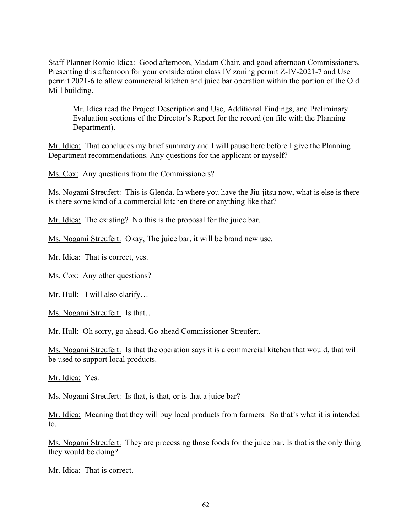Staff Planner Romio Idica: Good afternoon, Madam Chair, and good afternoon Commissioners. Presenting this afternoon for your consideration class IV zoning permit Z-IV-2021-7 and Use permit 2021-6 to allow commercial kitchen and juice bar operation within the portion of the Old Mill building.

Mr. Idica read the Project Description and Use, Additional Findings, and Preliminary Evaluation sections of the Director's Report for the record (on file with the Planning Department).

Mr. Idica: That concludes my brief summary and I will pause here before I give the Planning Department recommendations. Any questions for the applicant or myself?

Ms. Cox: Any questions from the Commissioners?

Ms. Nogami Streufert: This is Glenda. In where you have the Jiu-jitsu now, what is else is there is there some kind of a commercial kitchen there or anything like that?

Mr. Idica: The existing? No this is the proposal for the juice bar.

Ms. Nogami Streufert: Okay, The juice bar, it will be brand new use.

Mr. Idica: That is correct, yes.

Ms. Cox: Any other questions?

Mr. Hull: I will also clarify…

Ms. Nogami Streufert: Is that…

Mr. Hull: Oh sorry, go ahead. Go ahead Commissioner Streufert.

Ms. Nogami Streufert: Is that the operation says it is a commercial kitchen that would, that will be used to support local products.

Mr. Idica: Yes.

Ms. Nogami Streufert: Is that, is that, or is that a juice bar?

Mr. Idica: Meaning that they will buy local products from farmers. So that's what it is intended to.

Ms. Nogami Streufert: They are processing those foods for the juice bar. Is that is the only thing they would be doing?

Mr. Idica: That is correct.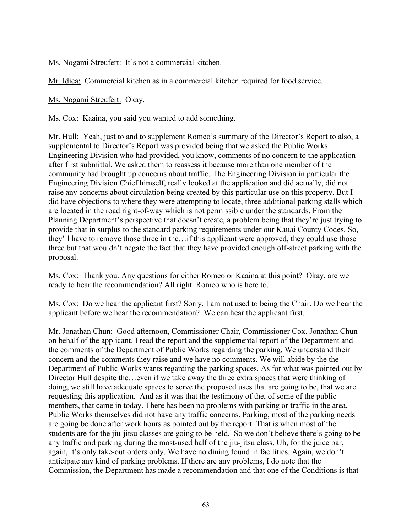Ms. Nogami Streufert: It's not a commercial kitchen.

Mr. Idica: Commercial kitchen as in a commercial kitchen required for food service.

Ms. Nogami Streufert: Okay.

Ms. Cox: Kaaina, you said you wanted to add something.

Mr. Hull: Yeah, just to and to supplement Romeo's summary of the Director's Report to also, a supplemental to Director's Report was provided being that we asked the Public Works Engineering Division who had provided, you know, comments of no concern to the application after first submittal. We asked them to reassess it because more than one member of the community had brought up concerns about traffic. The Engineering Division in particular the Engineering Division Chief himself, really looked at the application and did actually, did not raise any concerns about circulation being created by this particular use on this property. But I did have objections to where they were attempting to locate, three additional parking stalls which are located in the road right-of-way which is not permissible under the standards. From the Planning Department's perspective that doesn't create, a problem being that they're just trying to provide that in surplus to the standard parking requirements under our Kauai County Codes. So, they'll have to remove those three in the…if this applicant were approved, they could use those three but that wouldn't negate the fact that they have provided enough off-street parking with the proposal.

Ms. Cox: Thank you. Any questions for either Romeo or Kaaina at this point? Okay, are we ready to hear the recommendation? All right. Romeo who is here to.

Ms. Cox: Do we hear the applicant first? Sorry, I am not used to being the Chair. Do we hear the applicant before we hear the recommendation? We can hear the applicant first.

Mr. Jonathan Chun: Good afternoon, Commissioner Chair, Commissioner Cox. Jonathan Chun on behalf of the applicant. I read the report and the supplemental report of the Department and the comments of the Department of Public Works regarding the parking. We understand their concern and the comments they raise and we have no comments. We will abide by the the Department of Public Works wants regarding the parking spaces. As for what was pointed out by Director Hull despite the…even if we take away the three extra spaces that were thinking of doing, we still have adequate spaces to serve the proposed uses that are going to be, that we are requesting this application. And as it was that the testimony of the, of some of the public members, that came in today. There has been no problems with parking or traffic in the area. Public Works themselves did not have any traffic concerns. Parking, most of the parking needs are going be done after work hours as pointed out by the report. That is when most of the students are for the jiu-jitsu classes are going to be held. So we don't believe there's going to be any traffic and parking during the most-used half of the jiu-jitsu class. Uh, for the juice bar, again, it's only take-out orders only. We have no dining found in facilities. Again, we don't anticipate any kind of parking problems. If there are any problems, I do note that the Commission, the Department has made a recommendation and that one of the Conditions is that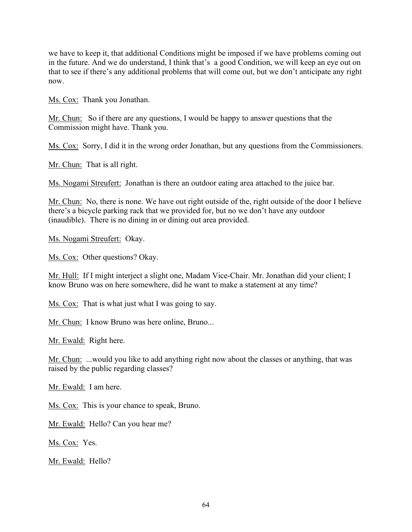we have to keep it, that additional Conditions might be imposed if we have problems coming out in the future. And we do understand, I think that's a good Condition, we will keep an eye out on that to see if there's any additional problems that will come out, but we don't anticipate any right now.

Ms. Cox: Thank you Jonathan.

Mr. Chun: So if there are any questions, I would be happy to answer questions that the Commission might have. Thank you.

Ms. Cox: Sorry, I did it in the wrong order Jonathan, but any questions from the Commissioners.

Mr. Chun: That is all right.

Ms. Nogami Streufert: Jonathan is there an outdoor eating area attached to the juice bar.

Mr. Chun: No, there is none. We have out right outside of the, right outside of the door I believe there's a bicycle parking rack that we provided for, but no we don't have any outdoor (inaudible). There is no dining in or dining out area provided.

Ms. Nogami Streufert: Okay.

Ms. Cox: Other questions? Okay.

Mr. Hull: If I might interject a slight one, Madam Vice-Chair. Mr. Jonathan did your client; I know Bruno was on here somewhere, did he want to make a statement at any time?

Ms. Cox: That is what just what I was going to say.

Mr. Chun: I know Bruno was here online, Bruno...

Mr. Ewald: Right here.

Mr. Chun: ...would you like to add anything right now about the classes or anything, that was raised by the public regarding classes?

Mr. Ewald: I am here.

Ms. Cox: This is your chance to speak, Bruno.

Mr. Ewald: Hello? Can you hear me?

Ms. Cox: Yes.

Mr. Ewald: Hello?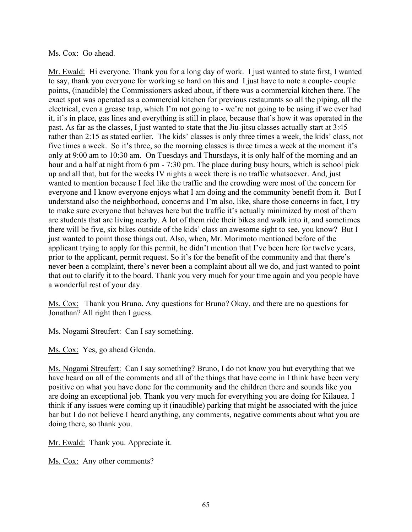#### Ms. Cox: Go ahead.

Mr. Ewald: Hi everyone. Thank you for a long day of work. I just wanted to state first, I wanted to say, thank you everyone for working so hard on this and I just have to note a couple- couple points, (inaudible) the Commissioners asked about, if there was a commercial kitchen there. The exact spot was operated as a commercial kitchen for previous restaurants so all the piping, all the electrical, even a grease trap, which I'm not going to - we're not going to be using if we ever had it, it's in place, gas lines and everything is still in place, because that's how it was operated in the past. As far as the classes, I just wanted to state that the Jiu-jitsu classes actually start at 3:45 rather than 2:15 as stated earlier. The kids' classes is only three times a week, the kids' class, not five times a week. So it's three, so the morning classes is three times a week at the moment it's only at 9:00 am to 10:30 am. On Tuesdays and Thursdays, it is only half of the morning and an hour and a half at night from 6 pm - 7:30 pm. The place during busy hours, which is school pick up and all that, but for the weeks IV nights a week there is no traffic whatsoever. And, just wanted to mention because I feel like the traffic and the crowding were most of the concern for everyone and I know everyone enjoys what I am doing and the community benefit from it. But I understand also the neighborhood, concerns and I'm also, like, share those concerns in fact, I try to make sure everyone that behaves here but the traffic it's actually minimized by most of them are students that are living nearby. A lot of them ride their bikes and walk into it, and sometimes there will be five, six bikes outside of the kids' class an awesome sight to see, you know? But I just wanted to point those things out. Also, when, Mr. Morimoto mentioned before of the applicant trying to apply for this permit, he didn't mention that I've been here for twelve years, prior to the applicant, permit request. So it's for the benefit of the community and that there's never been a complaint, there's never been a complaint about all we do, and just wanted to point that out to clarify it to the board. Thank you very much for your time again and you people have a wonderful rest of your day.

Ms. Cox: Thank you Bruno. Any questions for Bruno? Okay, and there are no questions for Jonathan? All right then I guess.

Ms. Nogami Streufert: Can I say something.

Ms. Cox: Yes, go ahead Glenda.

Ms. Nogami Streufert: Can I say something? Bruno, I do not know you but everything that we have heard on all of the comments and all of the things that have come in I think have been very positive on what you have done for the community and the children there and sounds like you are doing an exceptional job. Thank you very much for everything you are doing for Kilauea. I think if any issues were coming up it (inaudible) parking that might be associated with the juice bar but I do not believe I heard anything, any comments, negative comments about what you are doing there, so thank you.

Mr. Ewald: Thank you. Appreciate it.

Ms. Cox: Any other comments?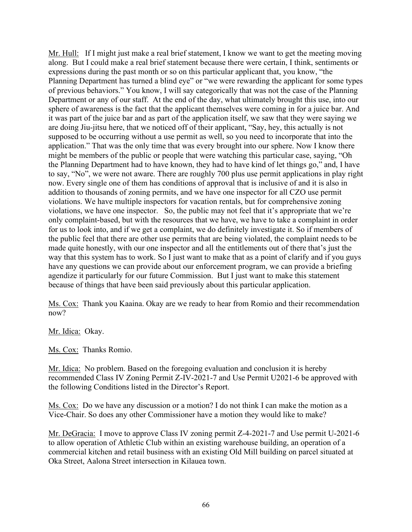Mr. Hull: If I might just make a real brief statement, I know we want to get the meeting moving along. But I could make a real brief statement because there were certain, I think, sentiments or expressions during the past month or so on this particular applicant that, you know, "the Planning Department has turned a blind eye" or "we were rewarding the applicant for some types of previous behaviors." You know, I will say categorically that was not the case of the Planning Department or any of our staff. At the end of the day, what ultimately brought this use, into our sphere of awareness is the fact that the applicant themselves were coming in for a juice bar. And it was part of the juice bar and as part of the application itself, we saw that they were saying we are doing Jiu-jitsu here, that we noticed off of their applicant, "Say, hey, this actually is not supposed to be occurring without a use permit as well, so you need to incorporate that into the application." That was the only time that was every brought into our sphere. Now I know there might be members of the public or people that were watching this particular case, saying, "Oh the Planning Department had to have known, they had to have kind of let things go," and, I have to say, "No", we were not aware. There are roughly 700 plus use permit applications in play right now. Every single one of them has conditions of approval that is inclusive of and it is also in addition to thousands of zoning permits, and we have one inspector for all CZO use permit violations. We have multiple inspectors for vacation rentals, but for comprehensive zoning violations, we have one inspector. So, the public may not feel that it's appropriate that we're only complaint-based, but with the resources that we have, we have to take a complaint in order for us to look into, and if we get a complaint, we do definitely investigate it. So if members of the public feel that there are other use permits that are being violated, the complaint needs to be made quite honestly, with our one inspector and all the entitlements out of there that's just the way that this system has to work. So I just want to make that as a point of clarify and if you guys have any questions we can provide about our enforcement program, we can provide a briefing agendize it particularly for our future Commission. But I just want to make this statement because of things that have been said previously about this particular application.

Ms. Cox: Thank you Kaaina. Okay are we ready to hear from Romio and their recommendation now?

Mr. Idica: Okay.

Ms. Cox: Thanks Romio.

Mr. Idica: No problem. Based on the foregoing evaluation and conclusion it is hereby recommended Class IV Zoning Permit Z-IV-2021-7 and Use Permit U2021-6 be approved with the following Conditions listed in the Director's Report.

Ms. Cox: Do we have any discussion or a motion? I do not think I can make the motion as a Vice-Chair. So does any other Commissioner have a motion they would like to make?

Mr. DeGracia: I move to approve Class IV zoning permit Z-4-2021-7 and Use permit U-2021-6 to allow operation of Athletic Club within an existing warehouse building, an operation of a commercial kitchen and retail business with an existing Old Mill building on parcel situated at Oka Street, Aalona Street intersection in Kilauea town.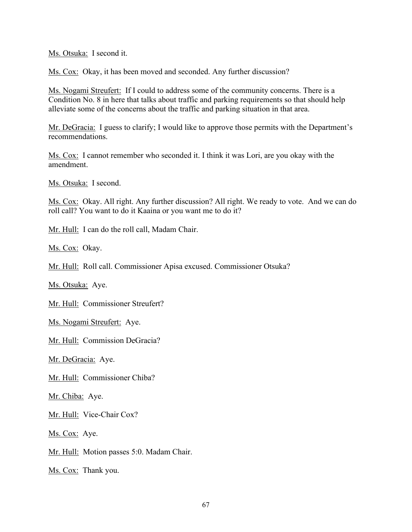Ms. Otsuka: I second it.

Ms. Cox: Okay, it has been moved and seconded. Any further discussion?

Ms. Nogami Streufert: If I could to address some of the community concerns. There is a Condition No. 8 in here that talks about traffic and parking requirements so that should help alleviate some of the concerns about the traffic and parking situation in that area.

Mr. DeGracia: I guess to clarify; I would like to approve those permits with the Department's recommendations.

Ms. Cox: I cannot remember who seconded it. I think it was Lori, are you okay with the amendment.

Ms. Otsuka: I second.

Ms. Cox: Okay. All right. Any further discussion? All right. We ready to vote. And we can do roll call? You want to do it Kaaina or you want me to do it?

Mr. Hull: I can do the roll call, Madam Chair.

Ms. Cox: Okay.

Mr. Hull: Roll call. Commissioner Apisa excused. Commissioner Otsuka?

Ms. Otsuka: Aye.

Mr. Hull: Commissioner Streufert?

Ms. Nogami Streufert: Aye.

Mr. Hull: Commission DeGracia?

Mr. DeGracia: Aye.

Mr. Hull: Commissioner Chiba?

Mr. Chiba: Aye.

Mr. Hull: Vice-Chair Cox?

Ms. Cox: Aye.

Mr. Hull: Motion passes 5:0. Madam Chair.

Ms. Cox: Thank you.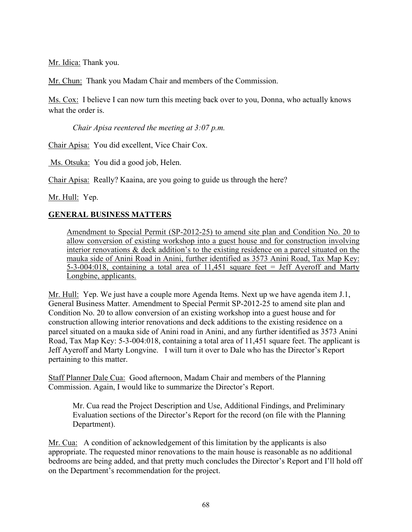Mr. Idica: Thank you.

Mr. Chun: Thank you Madam Chair and members of the Commission.

Ms. Cox: I believe I can now turn this meeting back over to you, Donna, who actually knows what the order is.

*Chair Apisa reentered the meeting at 3:07 p.m.*

Chair Apisa: You did excellent, Vice Chair Cox.

Ms. Otsuka: You did a good job, Helen.

Chair Apisa: Really? Kaaina, are you going to guide us through the here?

Mr. Hull: Yep.

## **GENERAL BUSINESS MATTERS**

Amendment to Special Permit (SP-2012-25) to amend site plan and Condition No. 20 to allow conversion of existing workshop into a guest house and for construction involving interior renovations & deck addition's to the existing residence on a parcel situated on the mauka side of Anini Road in Anini, further identified as 3573 Anini Road, Tax Map Key: 5-3-004:018, containing a total area of 11,451 square feet = Jeff Ayeroff and Marty Longbine, applicants.

Mr. Hull: Yep. We just have a couple more Agenda Items. Next up we have agenda item J.1, General Business Matter. Amendment to Special Permit SP-2012-25 to amend site plan and Condition No. 20 to allow conversion of an existing workshop into a guest house and for construction allowing interior renovations and deck additions to the existing residence on a parcel situated on a mauka side of Anini road in Anini, and any further identified as 3573 Anini Road, Tax Map Key: 5-3-004:018, containing a total area of 11,451 square feet. The applicant is Jeff Ayeroff and Marty Longvine. I will turn it over to Dale who has the Director's Report pertaining to this matter.

Staff Planner Dale Cua: Good afternoon, Madam Chair and members of the Planning Commission. Again, I would like to summarize the Director's Report.

Mr. Cua read the Project Description and Use, Additional Findings, and Preliminary Evaluation sections of the Director's Report for the record (on file with the Planning Department).

Mr. Cua: A condition of acknowledgement of this limitation by the applicants is also appropriate. The requested minor renovations to the main house is reasonable as no additional bedrooms are being added, and that pretty much concludes the Director's Report and I'll hold off on the Department's recommendation for the project.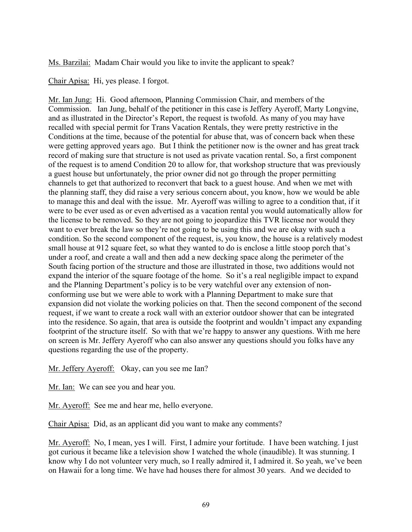Ms. Barzilai: Madam Chair would you like to invite the applicant to speak?

Chair Apisa: Hi, yes please. I forgot.

Mr. Ian Jung: Hi. Good afternoon, Planning Commission Chair, and members of the Commission. Ian Jung, behalf of the petitioner in this case is Jeffery Ayeroff, Marty Longvine, and as illustrated in the Director's Report, the request is twofold. As many of you may have recalled with special permit for Trans Vacation Rentals, they were pretty restrictive in the Conditions at the time, because of the potential for abuse that, was of concern back when these were getting approved years ago. But I think the petitioner now is the owner and has great track record of making sure that structure is not used as private vacation rental. So, a first component of the request is to amend Condition 20 to allow for, that workshop structure that was previously a guest house but unfortunately, the prior owner did not go through the proper permitting channels to get that authorized to reconvert that back to a guest house. And when we met with the planning staff, they did raise a very serious concern about, you know, how we would be able to manage this and deal with the issue. Mr. Ayeroff was willing to agree to a condition that, if it were to be ever used as or even advertised as a vacation rental you would automatically allow for the license to be removed. So they are not going to jeopardize this TVR license nor would they want to ever break the law so they're not going to be using this and we are okay with such a condition. So the second component of the request, is, you know, the house is a relatively modest small house at 912 square feet, so what they wanted to do is enclose a little stoop porch that's under a roof, and create a wall and then add a new decking space along the perimeter of the South facing portion of the structure and those are illustrated in those, two additions would not expand the interior of the square footage of the home. So it's a real negligible impact to expand and the Planning Department's policy is to be very watchful over any extension of nonconforming use but we were able to work with a Planning Department to make sure that expansion did not violate the working policies on that. Then the second component of the second request, if we want to create a rock wall with an exterior outdoor shower that can be integrated into the residence. So again, that area is outside the footprint and wouldn't impact any expanding footprint of the structure itself. So with that we're happy to answer any questions. With me here on screen is Mr. Jeffery Ayeroff who can also answer any questions should you folks have any questions regarding the use of the property.

Mr. Jeffery Ayeroff: Okay, can you see me Ian?

Mr. Ian: We can see you and hear you.

Mr. Ayeroff: See me and hear me, hello everyone.

Chair Apisa: Did, as an applicant did you want to make any comments?

Mr. Ayeroff: No, I mean, yes I will. First, I admire your fortitude. I have been watching. I just got curious it became like a television show I watched the whole (inaudible). It was stunning. I know why I do not volunteer very much, so I really admired it, I admired it. So yeah, we've been on Hawaii for a long time. We have had houses there for almost 30 years. And we decided to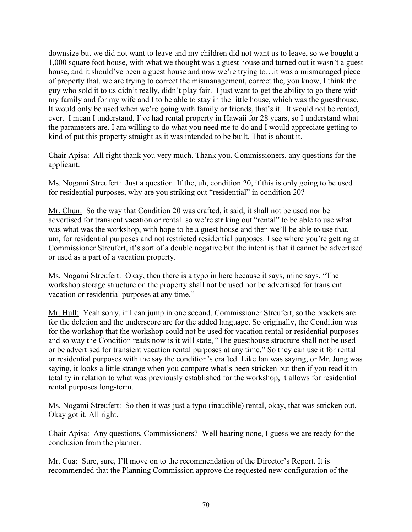downsize but we did not want to leave and my children did not want us to leave, so we bought a 1,000 square foot house, with what we thought was a guest house and turned out it wasn't a guest house, and it should've been a guest house and now we're trying to... it was a mismanaged piece of property that, we are trying to correct the mismanagement, correct the, you know, I think the guy who sold it to us didn't really, didn't play fair. I just want to get the ability to go there with my family and for my wife and I to be able to stay in the little house, which was the guesthouse. It would only be used when we're going with family or friends, that's it. It would not be rented, ever. I mean I understand, I've had rental property in Hawaii for 28 years, so I understand what the parameters are. I am willing to do what you need me to do and I would appreciate getting to kind of put this property straight as it was intended to be built. That is about it.

Chair Apisa: All right thank you very much. Thank you. Commissioners, any questions for the applicant.

Ms. Nogami Streufert: Just a question. If the, uh, condition 20, if this is only going to be used for residential purposes, why are you striking out "residential" in condition 20?

Mr. Chun: So the way that Condition 20 was crafted, it said, it shall not be used nor be advertised for transient vacation or rental so we're striking out "rental" to be able to use what was what was the workshop, with hope to be a guest house and then we'll be able to use that, um, for residential purposes and not restricted residential purposes. I see where you're getting at Commissioner Streufert, it's sort of a double negative but the intent is that it cannot be advertised or used as a part of a vacation property.

Ms. Nogami Streufert: Okay, then there is a typo in here because it says, mine says, "The workshop storage structure on the property shall not be used nor be advertised for transient vacation or residential purposes at any time."

Mr. Hull: Yeah sorry, if I can jump in one second. Commissioner Streufert, so the brackets are for the deletion and the underscore are for the added language. So originally, the Condition was for the workshop that the workshop could not be used for vacation rental or residential purposes and so way the Condition reads now is it will state, "The guesthouse structure shall not be used or be advertised for transient vacation rental purposes at any time." So they can use it for rental or residential purposes with the say the condition's crafted. Like Ian was saying, or Mr. Jung was saying, it looks a little strange when you compare what's been stricken but then if you read it in totality in relation to what was previously established for the workshop, it allows for residential rental purposes long-term.

Ms. Nogami Streufert: So then it was just a typo (inaudible) rental, okay, that was stricken out. Okay got it. All right.

Chair Apisa: Any questions, Commissioners? Well hearing none, I guess we are ready for the conclusion from the planner.

Mr. Cua: Sure, sure, I'll move on to the recommendation of the Director's Report. It is recommended that the Planning Commission approve the requested new configuration of the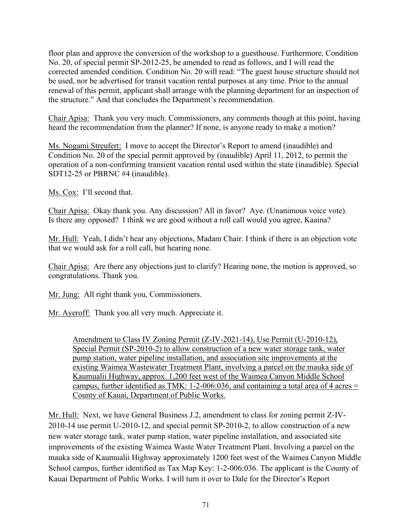floor plan and approve the conversion of the workshop to a guesthouse. Furthermore, Condition No. 20, of special permit SP-2012-25, be amended to read as follows, and I will read the corrected amended condition. Condition No. 20 will read: "The guest house structure should not be used, nor be advertised for transit vacation rental purposes at any time. Prior to the annual renewal of this permit, applicant shall arrange with the planning department for an inspection of the structure." And that concludes the Department's recommendation.

Chair Apisa: Thank you very much. Commissioners, any comments though at this point, having heard the recommendation from the planner? If none, is anyone ready to make a motion?

Ms. Nogami Streufert: I move to accept the Director's Report to amend (inaudible) and Condition No. 20 of the special permit approved by (inaudible) April 11, 2012, to permit the operation of a non-confirming transient vacation rental used within the state (inaudible). Special SDT12-25 or PBRNC #4 (inaudible).

Ms. Cox: I'll second that.

Chair Apisa: Okay thank you. Any discussion? All in favor? Aye. (Unanimous voice vote). Is there any opposed? I think we are good without a roll call would you agree, Kaaina?

Mr. Hull: Yeah, I didn't hear any objections, Madam Chair. I think if there is an objection vote that we would ask for a roll call, but hearing none.

Chair Apisa: Are there any objections just to clarify? Hearing none, the motion is approved, so congratulations. Thank you.

Mr. Jung: All right thank you, Commissioners.

Mr. Ayeroff: Thank you all very much. Appreciate it.

Amendment to Class IV Zoning Permit (Z-IV-2021-14), Use Permit (U-2010-12), Special Permit (SP-2010-2) to allow construction of a new water storage tank, water pump station, water pipeline installation, and association site improvements at the existing Waimea Wastewater Treatment Plant, involving a parcel on the mauka side of Kaumualii Highway, approx. 1,200 feet west of the Waimea Canyon Middle School campus, further identified as TMK: 1-2-006:036, and containing a total area of 4 acres = County of Kauai, Department of Public Works.

Mr. Hull: Next, we have General Business J.2, amendment to class for zoning permit Z-IV-2010-14 use permit U-2010-12, and special permit SP-2010-2, to allow construction of a new new water storage tank, water pump station, water pipeline installation, and associated site improvements of the existing Waimea Waste Water Treatment Plant. Involving a parcel on the mauka side of Kaumualii Highway approximately 1200 feet west of the Waimea Canyon Middle School campus, further identified as Tax Map Key: 1-2-006:036. The applicant is the County of Kauai Department of Public Works. I will turn it over to Dale for the Director's Report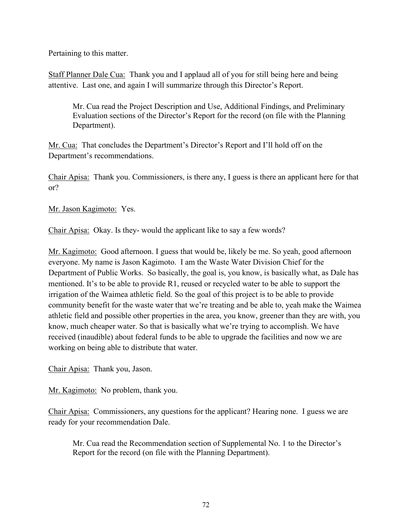Pertaining to this matter.

Staff Planner Dale Cua: Thank you and I applaud all of you for still being here and being attentive. Last one, and again I will summarize through this Director's Report.

Mr. Cua read the Project Description and Use, Additional Findings, and Preliminary Evaluation sections of the Director's Report for the record (on file with the Planning Department).

Mr. Cua: That concludes the Department's Director's Report and I'll hold off on the Department's recommendations.

Chair Apisa: Thank you. Commissioners, is there any, I guess is there an applicant here for that or?

Mr. Jason Kagimoto: Yes.

Chair Apisa: Okay. Is they- would the applicant like to say a few words?

Mr. Kagimoto: Good afternoon. I guess that would be, likely be me. So yeah, good afternoon everyone. My name is Jason Kagimoto. I am the Waste Water Division Chief for the Department of Public Works. So basically, the goal is, you know, is basically what, as Dale has mentioned. It's to be able to provide R1, reused or recycled water to be able to support the irrigation of the Waimea athletic field. So the goal of this project is to be able to provide community benefit for the waste water that we're treating and be able to, yeah make the Waimea athletic field and possible other properties in the area, you know, greener than they are with, you know, much cheaper water. So that is basically what we're trying to accomplish. We have received (inaudible) about federal funds to be able to upgrade the facilities and now we are working on being able to distribute that water.

Chair Apisa: Thank you, Jason.

Mr. Kagimoto: No problem, thank you.

Chair Apisa: Commissioners, any questions for the applicant? Hearing none. I guess we are ready for your recommendation Dale.

Mr. Cua read the Recommendation section of Supplemental No. 1 to the Director's Report for the record (on file with the Planning Department).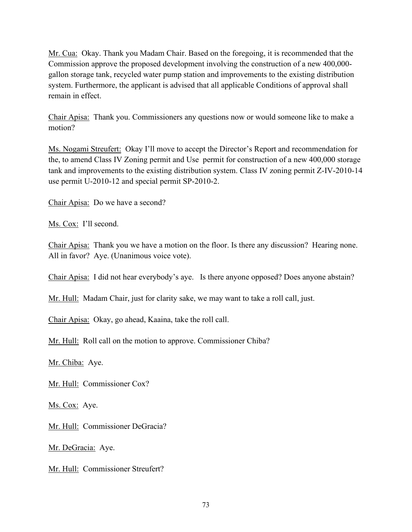Mr. Cua: Okay. Thank you Madam Chair. Based on the foregoing, it is recommended that the Commission approve the proposed development involving the construction of a new 400,000 gallon storage tank, recycled water pump station and improvements to the existing distribution system. Furthermore, the applicant is advised that all applicable Conditions of approval shall remain in effect.

Chair Apisa: Thank you. Commissioners any questions now or would someone like to make a motion?

Ms. Nogami Streufert: Okay I'll move to accept the Director's Report and recommendation for the, to amend Class IV Zoning permit and Use permit for construction of a new 400,000 storage tank and improvements to the existing distribution system. Class IV zoning permit Z-IV-2010-14 use permit U-2010-12 and special permit SP-2010-2.

Chair Apisa: Do we have a second?

Ms. Cox: I'll second.

Chair Apisa: Thank you we have a motion on the floor. Is there any discussion? Hearing none. All in favor? Aye. (Unanimous voice vote).

Chair Apisa: I did not hear everybody's aye. Is there anyone opposed? Does anyone abstain?

Mr. Hull: Madam Chair, just for clarity sake, we may want to take a roll call, just.

Chair Apisa: Okay, go ahead, Kaaina, take the roll call.

Mr. Hull: Roll call on the motion to approve. Commissioner Chiba?

Mr. Chiba: Aye.

Mr. Hull: Commissioner Cox?

Ms. Cox: Aye.

Mr. Hull: Commissioner DeGracia?

Mr. DeGracia: Aye.

Mr. Hull: Commissioner Streufert?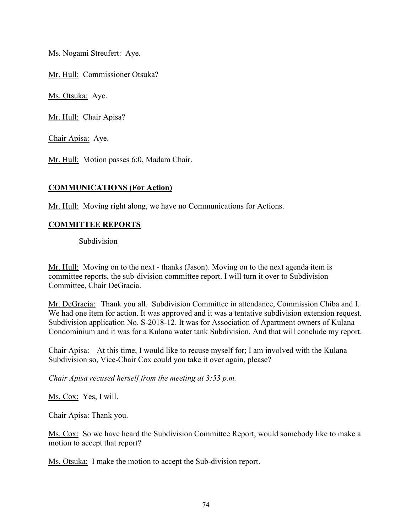Ms. Nogami Streufert: Aye.

Mr. Hull: Commissioner Otsuka?

Ms. Otsuka: Aye.

Mr. Hull: Chair Apisa?

Chair Apisa: Aye.

Mr. Hull: Motion passes 6:0, Madam Chair.

## **COMMUNICATIONS (For Action)**

Mr. Hull: Moving right along, we have no Communications for Actions.

## **COMMITTEE REPORTS**

Subdivision

Mr. Hull: Moving on to the next - thanks (Jason). Moving on to the next agenda item is committee reports, the sub-division committee report. I will turn it over to Subdivision Committee, Chair DeGracia.

Mr. DeGracia: Thank you all. Subdivision Committee in attendance, Commission Chiba and I. We had one item for action. It was approved and it was a tentative subdivision extension request. Subdivision application No. S-2018-12. It was for Association of Apartment owners of Kulana Condominium and it was for a Kulana water tank Subdivision. And that will conclude my report.

Chair Apisa: At this time, I would like to recuse myself for; I am involved with the Kulana Subdivision so, Vice-Chair Cox could you take it over again, please?

*Chair Apisa recused herself from the meeting at 3:53 p.m.*

Ms. Cox: Yes, I will.

Chair Apisa: Thank you.

Ms. Cox: So we have heard the Subdivision Committee Report, would somebody like to make a motion to accept that report?

Ms. Otsuka: I make the motion to accept the Sub-division report.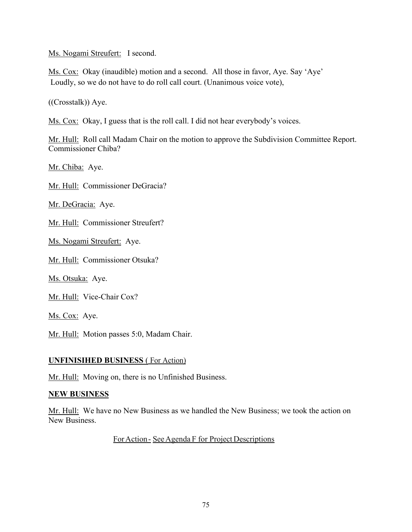Ms. Nogami Streufert: I second.

Ms. Cox: Okay (inaudible) motion and a second. All those in favor, Aye. Say 'Aye' Loudly, so we do not have to do roll call court. (Unanimous voice vote),

((Crosstalk)) Aye.

Ms. Cox: Okay, I guess that is the roll call. I did not hear everybody's voices.

Mr. Hull: Roll call Madam Chair on the motion to approve the Subdivision Committee Report. Commissioner Chiba?

Mr. Chiba: Aye.

Mr. Hull: Commissioner DeGracia?

Mr. DeGracia: Aye.

Mr. Hull: Commissioner Streufert?

Ms. Nogami Streufert: Aye.

Mr. Hull: Commissioner Otsuka?

Ms. Otsuka: Aye.

Mr. Hull: Vice-Chair Cox?

Ms. Cox: Aye.

Mr. Hull: Motion passes 5:0, Madam Chair.

#### **UNFINISIHED BUSINESS** ( For Action)

Mr. Hull: Moving on, there is no Unfinished Business.

#### **NEW BUSINESS**

Mr. Hull: We have no New Business as we handled the New Business; we took the action on New Business.

ForAction- SeeAgenda F for Project Descriptions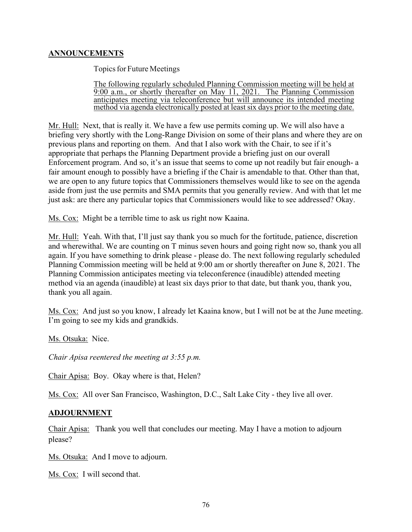# **ANNOUNCEMENTS**

Topics for Future Meetings

The following regularly scheduled Planning Commission meeting will be held at 9:00 a.m., or shortly thereafter on May 11, 2021. The Planning Commission anticipates meeting via teleconference but will announce its intended meeting method via agenda electronically posted at least six days prior to the meeting date.

Mr. Hull: Next, that is really it. We have a few use permits coming up. We will also have a briefing very shortly with the Long-Range Division on some of their plans and where they are on previous plans and reporting on them. And that I also work with the Chair, to see if it's appropriate that perhaps the Planning Department provide a briefing just on our overall Enforcement program. And so, it's an issue that seems to come up not readily but fair enough- a fair amount enough to possibly have a briefing if the Chair is amendable to that. Other than that, we are open to any future topics that Commissioners themselves would like to see on the agenda aside from just the use permits and SMA permits that you generally review. And with that let me just ask: are there any particular topics that Commissioners would like to see addressed? Okay.

Ms. Cox: Might be a terrible time to ask us right now Kaaina.

Mr. Hull: Yeah. With that, I'll just say thank you so much for the fortitude, patience, discretion and wherewithal. We are counting on T minus seven hours and going right now so, thank you all again. If you have something to drink please - please do. The next following regularly scheduled Planning Commission meeting will be held at 9:00 am or shortly thereafter on June 8, 2021. The Planning Commission anticipates meeting via teleconference (inaudible) attended meeting method via an agenda (inaudible) at least six days prior to that date, but thank you, thank you, thank you all again.

Ms. Cox: And just so you know, I already let Kaaina know, but I will not be at the June meeting. I'm going to see my kids and grandkids.

Ms. Otsuka: Nice.

*Chair Apisa reentered the meeting at 3:55 p.m.* 

Chair Apisa: Boy. Okay where is that, Helen?

Ms. Cox: All over San Francisco, Washington, D.C., Salt Lake City - they live all over.

## **ADJOURNMENT**

Chair Apisa: Thank you well that concludes our meeting. May I have a motion to adjourn please?

Ms. Otsuka: And I move to adjourn.

Ms. Cox: I will second that.